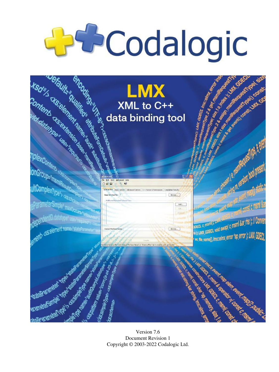# **Decodalogic**



Version 7.6 Document Revision 1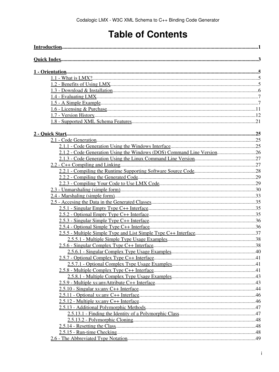# **Table of Contents**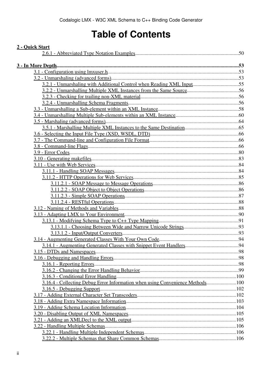## **Table of Contents**

| 2 - Quick Start                                                               |  |
|-------------------------------------------------------------------------------|--|
|                                                                               |  |
|                                                                               |  |
|                                                                               |  |
|                                                                               |  |
| 3.2.1 - Unmarshaling with Additional Control when Reading XML Input55         |  |
|                                                                               |  |
|                                                                               |  |
|                                                                               |  |
|                                                                               |  |
|                                                                               |  |
|                                                                               |  |
|                                                                               |  |
|                                                                               |  |
|                                                                               |  |
|                                                                               |  |
|                                                                               |  |
|                                                                               |  |
|                                                                               |  |
|                                                                               |  |
|                                                                               |  |
|                                                                               |  |
|                                                                               |  |
|                                                                               |  |
|                                                                               |  |
|                                                                               |  |
|                                                                               |  |
|                                                                               |  |
|                                                                               |  |
|                                                                               |  |
|                                                                               |  |
|                                                                               |  |
|                                                                               |  |
|                                                                               |  |
|                                                                               |  |
|                                                                               |  |
|                                                                               |  |
|                                                                               |  |
| 3.16.4 - Collecting Debug Error Information when using Convenience Methods100 |  |
|                                                                               |  |
|                                                                               |  |
|                                                                               |  |
|                                                                               |  |
|                                                                               |  |
|                                                                               |  |
|                                                                               |  |
|                                                                               |  |
|                                                                               |  |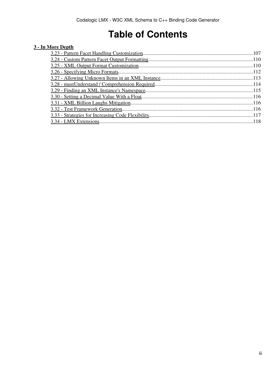# **Table of Contents**

#### **[3 - In More Depth](#page-58-0)**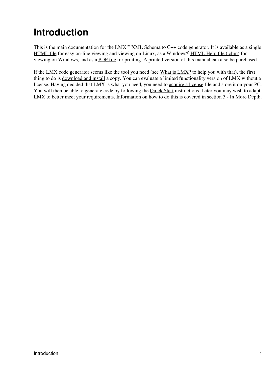# <span id="page-6-0"></span>**Introduction**

This is the main documentation for the LMX<sup>™</sup> XML Schema to C++ code generator. It is available as a single [HTML file](http://codalogic.com/lmx/lmx-start.html) for easy on-line viewing and viewing on Linux, as a Windows® [HTML Help file \(.chm\)](http://codalogic.com/lmx/lmx-start.chm) for viewing on Windows, and as a [PDF file](http://codalogic.com/lmx/lmx-start.pdf) for printing. A printed version of this manual can also be purchased.

If the LMX code generator seems like the tool you need (see What is LMX? to help you with that), the first thing to do is [download and install](#page-10-3) a copy. You can evaluate a limited functionality version of LMX without a license. Having decided that LMX is what you need, you need to [acquire a license](#page-16-1) file and store it on your PC. You will then be able to generate code by following the **[Quick Start](#page-28-0)** instructions. Later you may wish to adapt LMX to better meet your requirements. Information on how to do this is covered in section  $3$  - In More Depth.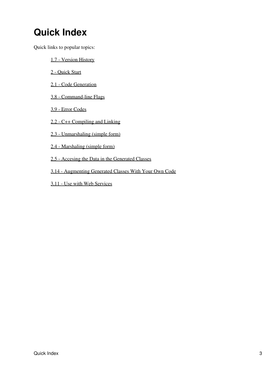# <span id="page-8-0"></span>**Quick Index**

Quick links to popular topics:

- [1.7 Version History](#page-17-1)
- [2 Quick Start](#page-28-0)
- [2.1 Code Generation](#page-30-3)
- [3.8 Command-line Flags](#page-71-3)
- [3.9 Error Codes](#page-85-0)
- [2.2 C++ Compiling and Linking](#page-32-2)
- [2.3 Unmarshaling \(simple form\)](#page-35-1)
- [2.4 Marshaling \(simple form\)](#page-38-1)
- [2.5 Accesing the Data in the Generated Classes](#page-40-3)
- [3.14 Augmenting Generated Classes With Your Own Code](#page-99-2)
- [3.11 Use with Web Services](#page-89-2)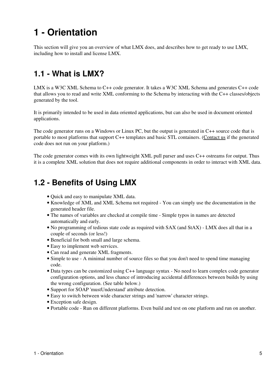# <span id="page-10-0"></span>**1 - Orientation**

This section will give you an overview of what LMX does, and describes how to get ready to use LMX, including how to install and license LMX.

## <span id="page-10-1"></span>**1.1 - What is LMX?**

LMX is a W3C XML Schema to C++ code generator. It takes a W3C XML Schema and generates C++ code that allows you to read and write XML conforming to the Schema by interacting with the C++ classes/objects generated by the tool.

It is primarily intended to be used in data oriented applications, but can also be used in document oriented applications.

The code generator runs on a Windows or Linux PC, but the output is generated in C++ source code that is portable to most platforms that support C++ templates and basic STL containers. [\(Contact us](mailto:support@xml2cpp.com) if the generated code does not run on your platform.)

The code generator comes with its own lightweight XML pull parser and uses C++ ostreams for output. Thus it is a complete XML solution that does not require additional components in order to interact with XML data.

## <span id="page-10-2"></span>**1.2 - Benefits of Using LMX**

- Quick and easy to manipulate XML data.
- Knowledge of XML and XML Schema not required You can simply use the documentation in the generated header file.
- The names of variables are checked at compile time Simple typos in names are detected automatically and early.
- No programming of tedious state code as required with SAX (and StAX) LMX does all that in a couple of seconds (or less!)
- Beneficial for both small and large schema.
- Easy to implement web services.
- Can read and generate XML fragments.
- Simple to use A minimal number of source files so that you don't need to spend time managing code.
- Data types can be customized using C++ language syntax No need to learn complex code generator configuration options, and less chance of introducing accidental differences between builds by using the wrong configuration. (See table below.)
- Support for SOAP 'mustUnderstand' attribute detection.
- Easy to switch between wide character strings and 'narrow' character strings.
- Exception safe design.
- <span id="page-10-3"></span>• Portable code - Run on different platforms. Even build and test on one platform and run on another.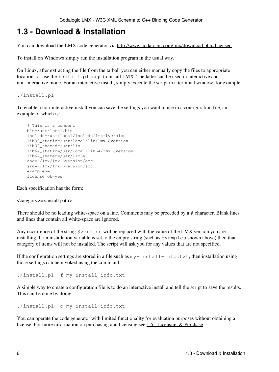## <span id="page-11-0"></span>**1.3 - Download & Installation**

You can download the LMX code generator via [http://www.codalogic.com/lmx/download.php#licensed.](http://www.codalogic.com/lmx/download.php#licensed)

To install on Windows simply run the installation program in the usual way.

On Linux, after extracting the file from the tarball you can either manually copy the files to appropriate locations or use the install.pl script to install LMX. The latter can be used in interactive and non-interactive mode. For an interactive install, simply execute the script in a terminal window, for example:

./install.pl

To enable a non-interactive install you can save the settings you want to use in a configuration file, an example of which is:

```
 # This is a comment
 bin=/usr/local/bin
 include=/usr/local/include/lmx-$version
 lib32_static=/usr/local/lib/lmx-$version
 lib32_shared=/usr/lib
 lib64_static=/usr/local/lib64/lmx-$version
 lib64_shared=/usr/lib64
 doc=~/lmx/lmx-$version/doc
 src=~/lmx/lmx-$version/src
 examples=
 license_ok=yes
```
Each specification has the form:

<category>=<install path>

There should be no leading white-space on a line. Comments may be preceded by a # character. Blank lines and lines that contain all white-space are ignored.

Any occurrence of the string \$version will be replaced with the value of the LMX version you are installing. If an installation variable is set to the empty string (such as examples shown above) then that category of items will not be installed. The script will ask you for any values that are not specified.

If the configuration settings are stored in a file such as  $my-install-indo.txt$ , then installation using those settings can be invoked using the command:

./install.pl -f my-install-info.txt

A simple way to create a configuration file is to do an interactive install and tell the script to save the results. This can be done by doing:

```
./install.pl -o my-install-info.txt
```
You can operate the code generator with limited functionality for evaluation purposes without obtaining a license. For more information on purchasing and licensing see [1.6 - Licensing & Purchase.](#page-16-2)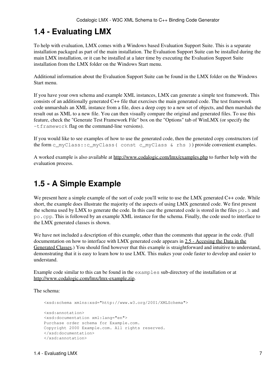## <span id="page-12-0"></span>**1.4 - Evaluating LMX**

To help with evaluation, LMX comes with a Windows based Evaluation Support Suite. This is a separate installation packaged as part of the main installation. The Evaluation Support Suite can be installed during the main LMX installation, or it can be installed at a later time by executing the Evaluation Support Suite installation from the LMX folder on the Windows Start menu.

Additional information about the Evaluation Support Suite can be found in the LMX folder on the Windows Start menu.

If you have your own schema and example XML instances, LMX can generate a simple test framework. This consists of an additionally generated C++ file that exercises the main generated code. The test framework code unmarshals an XML instance from a file, does a deep copy to a new set of objects, and then marshals the result out as XML to a new file. You can then visually compare the original and generated files. To use this feature, check the "Generate Test Framework File" box on the "Options" tab of WinLMX (or specify the -tframework flag on the command-line versions).

If you would like to see examples of how to use the generated code, then the generated copy constructors (of the form c\_myClass::c\_myClass( const c\_myClass & rhs )) provide convenient examples.

A worked example is also available at<http://www.codalogic.com/lmx/examples.php>to further help with the evaluation process.

## <span id="page-12-1"></span>**1.5 - A Simple Example**

We present here a simple example of the sort of code you'll write to use the LMX generated C++ code. While short, the example does illustrate the majority of the aspects of using LMX generated code. We first present the schema used by LMX to generate the code. In this case the generated code is stored in the files  $p_0$ . h and po.cpp. This is followed by an example XML instance for the schema. Finally, the code used to interface to the LMX generated classes is shown.

We have not included a description of this example, other than the comments that appear in the code. (Full documentation on how to interface with LMX generated code appears in [2.5 - Accesing the Data in the](#page-40-3) [Generated Classes.](#page-40-3)) You should find however that this example is straightforward and intuitive to understand, demonstrating that it is easy to learn how to use LMX. This makes your code faster to develop and easier to understand.

Example code similar to this can be found in the examples sub-directory of the installation or at [http://www.codalogic.com/lmx/lmx-example.zip.](http://www.codalogic.com/lmx/lmx-example.zip)

The schema:

```
 <xsd:schema xmlns:xsd="http://www.w3.org/2001/XMLSchema">
 <xsd:annotation>
 <xsd:documentation xml:lang="en">
 Purchase order schema for Example.com.
 Copyright 2000 Example.com. All rights reserved.
 </xsd:documentation>
 </xsd:annotation>
```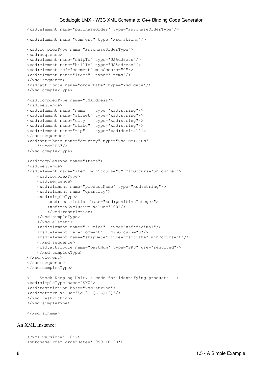```
 <xsd:element name="purchaseOrder" type="PurchaseOrderType"/>
 <xsd:element name="comment" type="xsd:string"/>
 <xsd:complexType name="PurchaseOrderType">
 <xsd:sequence>
 <xsd:element name="shipTo" type="USAddress"/>
 <xsd:element name="billTo" type="USAddress"/>
 <xsd:element ref="comment" minOccurs="0"/>
 <xsd:element name="items" type="Items"/>
 </xsd:sequence>
 <xsd:attribute name="orderDate" type="xsd:date"/>
 </xsd:complexType>
 <xsd:complexType name="USAddress">
 <xsd:sequence>
 <xsd:element name="name" type="xsd:string"/>
 <xsd:element name="street" type="xsd:string"/>
 <xsd:element name="city" type="xsd:string"/>
 <xsd:element name="state" type="xsd:string"/>
 <xsd:element name="zip" type="xsd:decimal"/>
 </xsd:sequence>
 <xsd:attribute name="country" type="xsd:NMTOKEN"
    fixed="US"/>
 </xsd:complexType>
 <xsd:complexType name="Items">
 <xsd:sequence>
 <xsd:element name="item" minOccurs="0" maxOccurs="unbounded">
     <xsd:complexType>
     <xsd:sequence>
     <xsd:element name="productName" type="xsd:string"/>
     <xsd:element name="quantity">
     <xsd:simpleType>
         <xsd:restriction base="xsd:positiveInteger">
         <xsd:maxExclusive value="100"/>
         </xsd:restriction>
     </xsd:simpleType>
     </xsd:element>
     <xsd:element name="USPrice" type="xsd:decimal"/>
     <xsd:element ref="comment" minOccurs="0"/>
     <xsd:element name="shipDate" type="xsd:date" minOccurs="0"/>
     </xsd:sequence>
     <xsd:attribute name="partNum" type="SKU" use="required"/>
     </xsd:complexType>
 </xsd:element>
 </xsd:sequence>
 </xsd:complexType>
 <!-- Stock Keeping Unit, a code for identifying products -->
 <xsd:simpleType name="SKU">
 <xsd:restriction base="xsd:string">
 <xsd:pattern value="\d{3}-[A-Z]{2}"/>
 </xsd:restriction>
 </xsd:simpleType>
```
</xsd:schema>

#### An XML Instance:

```
 <?xml version='1.0'?>
 <purchaseOrder orderDate='1999-10-20'>
```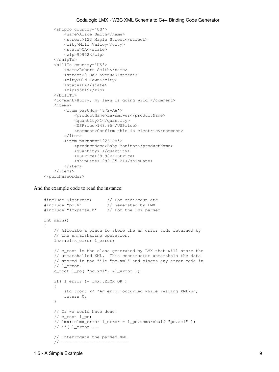```
 <shipTo country='US'>
         <name>Alice Smith</name>
         <street>123 Maple Street</street>
         <city>Mill Valley</city>
         <state>CA</state>
         <zip>90952</zip>
     </shipTo>
     <billTo country='US'>
         <name>Robert Smith</name>
         <street>8 Oak Avenue</street>
         <city>Old Town</city>
         <state>PA</state>
         <zip>95819</zip>
     </billTo>
     <comment>Hurry, my lawn is going wild!</comment>
     <items>
         <item partNum='872-AA'>
              <productName>Lawnmower</productName>
              <quantity>1</quantity>
              <USPrice>148.95</USPrice>
              <comment>Confirm this is electric</comment>
        \langleitem\rangle <item partNum='926-AA'>
              <productName>Baby Monitor</productName>
              <quantity>1</quantity>
              <USPrice>39.98</USPrice>
              <shipDate>1999-05-21</shipDate>
        \langleitem>
     </items>
 </purchaseOrder>
```
And the example code to read the instance:

```
 #include <iostream> // For std::cout etc.
 #include "po.h" // Generated by LMX
 #include "lmxparse.h" // For the LMX parser
   int main()
\left\{\begin{array}{ccc} \end{array}\right\}// Allocate a place to store the an error code returned by
        // the unmarshaling operation.
         lmx::elmx_error l_error;
        // c_root is the class generated by LMX that will store the 
        // unmarshalled XML. This constructor unmarshals the data
        // stored in the file "po.xml" and places any error code in
        // l_error.
        c_root l_po( "po.xml", &l_error );
        if( l_error != lmx::ELMX_OK )
         {
           std::cout << "An error occurred while reading XML\n";
           return 0;
 }
        // Or we could have done:
        // c_root l_po;
        // lmx::elmx_error l_error = l_po.unmarshal( "po.xml" );
        // if( l_error ...
        // Interrogate the parsed XML
        //---------------------------
```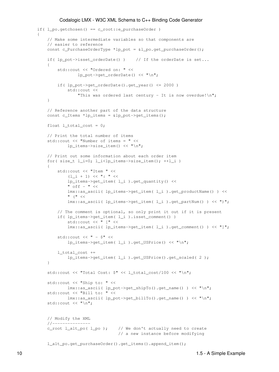```
if( l_po.getchosen() == c_root::e_purchaseOrder )
\overline{\mathcal{L}}// Make some intermediate variables so that components are 
                // easier to reference
                const c_PurchaseOrderType *lp_pot = &l_po.get_purchaseOrder();
                if( lp_pot->isset_orderDate() ) // If the orderDate is set...
\left\{ \begin{array}{cc} 0 & 0 & 0 \\ 0 & 0 & 0 \\ 0 & 0 & 0 \\ 0 & 0 & 0 \\ 0 & 0 & 0 \\ 0 & 0 & 0 \\ 0 & 0 & 0 \\ 0 & 0 & 0 \\ 0 & 0 & 0 \\ 0 & 0 & 0 \\ 0 & 0 & 0 \\ 0 & 0 & 0 & 0 \\ 0 & 0 & 0 & 0 \\ 0 & 0 & 0 & 0 \\ 0 & 0 & 0 & 0 & 0 \\ 0 & 0 & 0 & 0 & 0 \\ 0 & 0 & 0 & 0 & 0 \\ 0 & 0 & 0 & 0 & 0 & 0 \\ 0 & 0 & 0 & 0 std::cout << "Ordered on: " << 
                                lp_pot->get_orderDate() << "\n";
                     if( lp_pot->get_orderDate().get_year() <= 2000 )
                           std::cout << 
                                "This was ordered last century - It is now overdue!\n";
 }
                // Reference another part of the data structure
                const c_Items *lp_items = \alphalp_pot->qet_items();
                float l\_total\_cost = 0;// Print the total number of items
                 std::cout << "Number of items = " << 
                           lp_items->size_item() << "\n";
                // Print out some information about each order item
                for( size_t l_i=0; l_i < lp_items->size_item(); ++l_i )
\left\{ \begin{array}{cc} 0 & 0 & 0 \\ 0 & 0 & 0 \\ 0 & 0 & 0 \\ 0 & 0 & 0 \\ 0 & 0 & 0 \\ 0 & 0 & 0 \\ 0 & 0 & 0 \\ 0 & 0 & 0 \\ 0 & 0 & 0 \\ 0 & 0 & 0 \\ 0 & 0 & 0 \\ 0 & 0 & 0 & 0 \\ 0 & 0 & 0 & 0 \\ 0 & 0 & 0 & 0 \\ 0 & 0 & 0 & 0 & 0 \\ 0 & 0 & 0 & 0 & 0 \\ 0 & 0 & 0 & 0 & 0 \\ 0 & 0 & 0 & 0 & 0 & 0 \\ 0 & 0 & 0 & 0 std::cout << "Item " << 
                          (1 \quad i + 1) \leq  ": " \leq lp_items->get_item( l_i ).get_quantity() << 
                           " off - " <<
                           lmx::as_ascii( lp_items->get_item( l_i ).get_productName() ) <<
                           " (" <<
                           lmx::as_ascii( lp_items->get_item( l_i ).get_partNum() ) << ")";
                     // The comment is optional, so only print it out if it is present
                     if( lp_items->get_item( l_i ).isset_comment() )
                           std::cout << " [" << 
                           lmx::as_ascii( lp_items->get_item( l_i ).get_comment() ) << "]";
                     std:: cout \lt\lt " - \text{S}" \lt\lt lp_items->get_item( l_i ).get_USPrice() << "\n";
                      l_total_cost +=
                            lp_items->get_item( l_i ).get_USPrice().get_scaled( 2 );
 }
                 std::cout << "Total Cost: $" << l_total_cost/100 << "\n";
                 std::cout << "Ship to: " << 
                          lmx::as_ascii( lp_pot->get_shipTo().get_name() ) << "\n";
                 std::cout << "Bill to: " << 
                           lmx::as_ascii( lp_pot->get_billTo().get_name() ) << "\n";
                std::cout << "\n";
                // Modify the XML
                //---------------
                c_root l_alt_po(l_po); // We don't actually need to create
                                                      // a new instance before modifying
                 l_alt_po.get_purchaseOrder().get_items().append_item();
```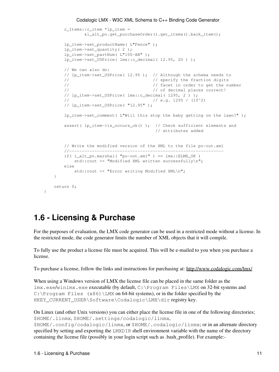```
 c_Items::c_item *lp_item =
           &l_alt_po.get_purchaseOrder().get_items().back_item();
    lp_item->set_productName( L"Fence" );
    lp_item->set_quantity( 2 );
    lp_item->set_partNum( L"100-AB" );
    lp_item->set_USPrice( lmx::c_decimal( 12.95, 2U ) );
   // We can also do:
   // lp_item->set_USPrice( 12.95 ); // Although the schema needs to 
   // // specify the fraction digits
   // \frac{1}{100} // facet in order to get the number
   // // of decimal places correct!
   // lp_item->set_USPrice( lmx::c_decimal( 1295, 2 ) );
   \frac{1}{2} // e.g. 1295 / (10^2)
   // lp_item->set_USPrice( "12.95" );
   lp_item->set_comment( L"Will this stop the baby getting on the lawn?");
    assert( lp_item->is_occurs_ok() ); // Check sufficient elements and 
                                    // attributes added
   // Write the modified version of the XML to the file po-out.xml
   //-------------------------------------------------------------
   if( l\_alt\_po.maxshall "po-out.xml" ) == lmx::ELMX_OK )
       std:: cout << "Modified XML written successfully\n";
   else
      std::cout << "Error writing Modified XML\n";
 }
return 0;
```
## <span id="page-16-2"></span><span id="page-16-1"></span><span id="page-16-0"></span>**1.6 - Licensing & Purchase**

}

For the purposes of evaluation, the LMX code generator can be used in a restricted mode without a license. In the restricted mode, the code generator limits the number of XML objects that it will compile.

To fully use the product a license file must be acquired. This will be e-mailed to you when you purchase a license.

To purchase a license, follow the links and instructions for purchasing at:<http://www.codalogic.com/lmx/>

When using a Windows version of LMX the license file can be placed in the same folder as the lmx.exe/winlmx.exe executable (by default, C:\Program Files\LMX on 32-bit systems and C: \Program Files  $(x86)$  \LMX on 64-bit systems), or in the folder specified by the HKEY\_CURRENT\_USER\Software\Codalogic\LMX\dir registry key.

```
On Linux (and other Unix versions) you can either place the license file in one of the following directories;
$HOME/.linmx, $HOME/.settings/codalogic/linmx,
$HOME/.config/codalogic/linmx, or $HOME/.codalogic/linmx; or in an alternate directory
specified by setting and exporting the LMXDIR shell environment variable with the name of the directory
containing the license file (possibly in your login script such as .bash_profile). For example:-
```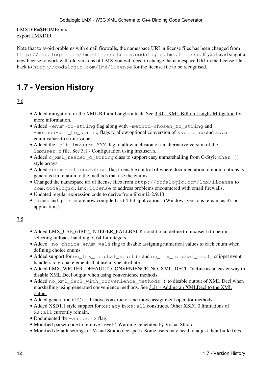#### LMXDIR=\$HOME/lmx export LMXDIR

Note that to avoid problems with email firewalls, the namespace URI in license files has been changed from http://codalogic.com/lmx/license to com.codalogic.lmx.license. If you have bought a new license to work with old versions of LMX you will need to change the namespace URI in the license file back to http://codalogic.com/lmx/license for the license file to be recognised.

## <span id="page-17-1"></span><span id="page-17-0"></span>**1.7 - Version History**

#### 7.6

- Added mitigation for the XML Billion Laughs attack. See [3.31 XML Billion Laughs Mitigation](#page-121-3) for more information.
- Added -enum-to-string flag along with -method-chosen\_to\_string and -method-all\_to\_string flags to allow optional conversion of xs: choice and xs: all enum values to string values.
- Added the -alt-lmxuser YYY flag to allow inclusion of an alternative version of the lmxuser.h file. See [3.1 - Configuration using lmxuser.h.](#page-58-3)
- Added c\_xml\_reader\_c\_string class to support easy unmarshalling from C-Style char [] style arrays.
- Added -enum-options-above flag to enable control of where documentation of enum options is generated in relation to the methods that use the enums.
- Changed the namespace uri of license files from http://codalogic.com/lmx/license to com.codalogic.lmx.license to address problems encountered with email firewalls.
- Updated regular expression code to derive from libxml2-2.9.13.
- linmx and glinmx are now compiled as 64-bit applications. (Windows versions remain as 32-bit application.)

- Added LMX\_USE\_64BIT\_INTEGER\_FALLBACK conditional define to lmxuser.h to permit selecting fallback handling of 64-bit integers.
- Added -no-choice-enum-vals flag to disable assigning numerical values to each enum when defining choice enums.
- Added support for on\_lmx\_marshal\_start() and on\_lmx\_marshal\_end() snippet event handlers to global elements that use a type attribute.
- Added LMX\_WRITER\_DEFAULT\_CONVENIENCE\_NO\_XML\_DECL #define as an easier way to disable XML Decl output when using convenience methods.
- Added no\_xml\_decl\_with\_convenience\_methods() to disable output of XML Decl when marshalling using generated convenience methods. See [3.21 - Adding an XMLDecl to the XML](#page-110-2) [output](#page-110-2).
- Added generation of C++11 move constructor and move assignment operator methods.
- Added XSD1.1 style support for xs: any in xs: all constructs. Other XSD1.0 limitations of xs:all currently remain.
- Documented the -autover2 flag.
- Modified parser code to remove Level 4 Warning generated by Visual Studio.
- Modified default settings of Visual Studio declspecs. Some users may need to adjust their build files.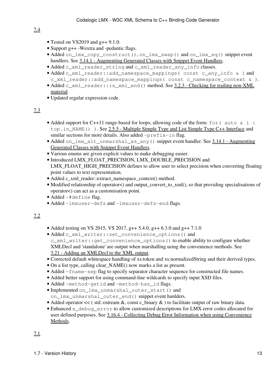- 7.4
- Tested on VS2019 and  $g++9.1.0$ .
- Support g++ -Wextra and -pedantic flags.
- Added on\_lmx\_copy\_construct(), on\_lmx\_swap() and on\_lmx\_eq() snippet event handlers. See [3.14.1 - Augmenting Generated Classes with Snippet Event Handlers](#page-99-3).
- Added c\_xml\_reader\_string and c\_xml\_reader\_any\_info classes.
- Added c\_xml\_reader::add\_namespace\_mappings( const c\_any\_info & ) and c\_xml\_reader::add\_namespace\_mappings( const c\_namespace\_context & ).
- Added c\_xml\_reader::is\_xml\_end() method. See <u>[3.2.3 Checking for trailing non-XML](#page-61-3)</u> [material](#page-61-3).
- Updated regular expression code.

#### 7.3

- Added support for C++11 range-based for loops, allowing code of the form: for ( auto & i : top.in\_NAME()). See [2.5.5 - Multiple Simple Type and List Simple Type C++ Interface](#page-42-0) and similar sections for more details. Also added -prefix-in flag.
- Added on\_lmx\_alt\_unmarshal\_xs\_any() snippet event handler. See [3.14.1 Augmenting](#page-99-3) [Generated Classes with Snippet Event Handlers](#page-99-3).
- Various enums are given explicit values to make debugging easier.
- Introduced LMX\_FLOAT\_PRECISION, LMX\_DOUBLE\_PRECISION and LMX\_FLOAT\_HIGH\_PRECISION defines to allow user to select precision when converting floating point values to text representation.
- Added c\_xml\_reader::extract\_namespace\_context() method.
- Modified relationship of operator<) and output\_convert\_to\_xml(), so that providing specialisations of operator<) can act as a customisation point.
- Added -#define flag.
- Added -lmxuser-defs and -lmxuser-defs-end flags.

- Added testing on VS 2015, VS 2017,  $g++ 5.4.0$ ,  $g++ 6.3.0$  and  $g++ 7.1.0$
- Added c\_xml\_writer::set\_convenience\_options() and c\_xml\_writer::get\_convenience\_options() to enable ability to configure whether XMLDecl and 'standalone' are output when marshalling using the convenience methods. See [3.21 - Adding an XMLDecl to the XML output](#page-110-2).
- Corrected default whitespace handling of xs:token and xs:normalizedString and their derived types.
- On a list type, calling clear\_NAME() now marks a list as present.
- Added -fname-sep flag to specify separator character sequence for constructed file names.
- Added better support for using command-line wildcards to specify input XSD files.
- Added -method-getid and -method-has\_id flags.
- Implemented on\_lmx\_unmarshal\_outer\_start() and on\_lmx\_unmarshal\_outer\_end() snippet event hanlders.
- Added operator  $<<$  ( std::ostream &, const c\_binary & ) to facilitate output of raw binary data.
- Enhanced s\_debug\_error to allow customized descriptions for LMX error codes allocated for user defined purposes. See [3.16.4 - Collecting Debug Error Information when using Convenience](#page-105-2) [Methods](#page-105-2).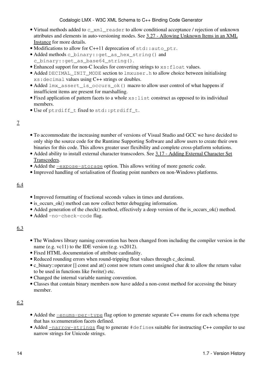- Virtual methods added to c\_xml\_reader to allow conditional acceptance / rejection of unknown attributes and elements in auto-versioning modes. See [3.27 - Allowing Unknown Items in an XML](#page-118-1) [Instance](#page-118-1) for more details.
- Modifications to allow for C++11 deprecation of std::auto ptr.
- Added methods c\_binary::get\_as\_hex\_string() and c\_binary::get\_as\_base64\_string().
- Enhanced support for non-C locales for converting strings to  $xs:float$  values.
- Added DECIMAL\_INIT\_MODE section to lmxuser.h to allow choice between initialising xs:decimal values using C++ strings or doubles.
- Added lmx\_assert\_is\_occurs\_ok() macro to allow user control of what happens if insufficient items are present for marshalling.
- Fixed application of pattern facets to a whole  $xs$ : list construct as opposed to its individual members.
- Use of ptrdiff\_t fixed to std::ptrdiff\_t.

#### 7

- To accommodate the increasing number of versions of Visual Studio and GCC we have decided to only ship the source code for the Runtime Supporting Software and allow users to create their own binaries for this code. This allows greater user flexibility and complete cross-platform solutions.
- Added ability to install external character transcoders. See [3.17 Adding External Character Set](#page-107-2) [Transcoders.](#page-107-2)
- Added the  $\frac{-\exp$  ose-storage option. This allows writing of more generic code.
- Improved handling of serialisation of floating point numbers on non-Windows platforms.

#### 6.4

- Improved formatting of fractional seconds values in times and durations.
- is occurs ok() method can now collect better debugging information.
- Added generation of the check() method, effectively a deep version of the is\_occurs\_ok() method.
- Added -no-check-code flag.

#### 6.3

- The Windows library naming convention has been changed from including the compiler version in the name (e.g. vc11) to the IDE version (e.g. vs2012).
- Fixed HTML documentation of attribute cardinality.
- Reduced rounding errors when round-tripping float values through c\_decimal.
- c\_binary::operator [] const and at() const now return const unsigned char & to allow the return value to be used in functions like fwrite() etc.
- Changed the internal variable naming convention.
- Classes that contain binary members now have added a non-const method for accessing the binary member.

- Added the <u>[-enums-per-type](#page-74-0)</u> flag option to generate separate C++ enums for each schema type that has xs:enumeration facets defined.
- Added <u>[-narrow-strings](#page-80-0)</u> flag to generate #defines suitable for instructing C++ compiler to use narrow strings for Unicode strings.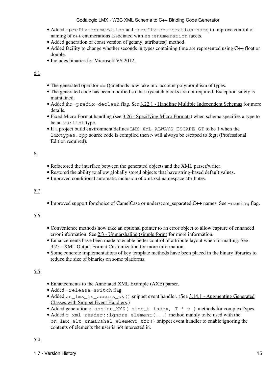- Added [-prefix-enumeration](#page-81-0) and [-prefix-enumeration-name](#page-81-1) to improve control of naming of c++ enumerations associated with  $xs:$  enumeration facets.
- Added generation of const version of getany\_attributes() method.
- Added facility to change whether seconds in types containing time are represented using C++ float or double.
- Includes binaries for Microsoft VS 2012.

#### 6.1

- The generated operator == () methods now take into account polymorphism of types.
- The generated code has been modified so that try/catch blocks are not required. Exception safety is maintained.
- Added the -prefix-declash flag. See [3.22.1 Handling Multiple Independent Schemas](#page-111-3) for more details.
- Fixed Micro Format handling (see [3.26 Specifying Micro Formats](#page-117-1)) when schema specifies a type to be an xs:list type.
- If a project build environment defines LMX\_XML\_ALWAYS\_ESCAPE\_GT to be 1 when the  $lmxtypes.cpp$  source code is compiled then  $>$  will always be escaped to > (Professional Edition required).

#### 6

- Refactored the interface between the generated objects and the XML parser/writer.
- Restored the ability to allow globally stored objects that have string-based default values.
- Improved conditional automatic inclusion of xml.xsd namespace attributes.

#### 5.7

• Improved support for choice of CamelCase or underscore separated C++ names. See -naming flag.

#### 5.6

- Convenience methods now take an optional pointer to an error object to allow capture of enhanced error information. See [2.3 - Unmarshaling \(simple form\)](#page-35-1) for more information.
- Enhancements have been made to enable better control of attribute layout when formatting. See [3.25 - XML Output Format Customization](#page-115-2) for more information.
- Some concrete implementations of key template methods have been placed in the binary libraries to reduce the size of binaries on some platforms.

- Enhancements to the Annotated XML Example (AXE) parser.
- Added -release-switch flag.
- Added on\_lmx\_is\_occurs\_ok() snippet event handler. (See [3.14.1 Augmenting Generated](#page-99-3) [Classes with Snippet Event Handlers](#page-99-3).)
- Added generation of assign\_XYZ( size\_t index,  $T \times p$ ) methods for complexTypes.
- Added c\_xml\_reader::ignore\_element (...) method mainly to be used with the on\_lmx\_alt\_unmarshal\_element\_XYZ() snippet event handler to enable ignoring the contents of elements the user is not interested in.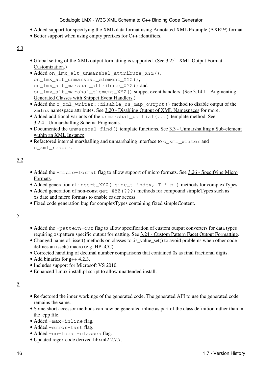- Added support for specifying the XML data format using [Annotated XML Example \(AXE™\)](http://codalogic.com/axe) format.
- Better support when using empty prefixes for C++ identifiers.

#### 5.3

- Global setting of the XML output formatting is supported. (See [3.25 XML Output Format](#page-115-2) [Customization](#page-115-2).)
- Added on\_lmx\_alt\_unmarshal\_attribute\_XYZ(), on lmx alt unmarshal element XYZ(), on\_lmx\_alt\_marshal\_attribute\_XYZ() and on lmx alt\_marshal\_element\_XYZ() snippet event handlers. (See [3.14.1 - Augmenting](#page-99-3) [Generated Classes with Snippet Event Handlers](#page-99-3).)
- Added the c\_xml\_writer::disable\_ns\_map\_output() method to disable output of the xmlns namespace attributes. See [3.20 - Disabling Output of XML Namespaces](#page-110-3) for more.
- Added additional variants of the unmarshal\_partial (...) template method. See [3.2.4 - Unmarshalling Schema Fragments](#page-61-4).
- Documented the unmarshal\_find() template functions. See [3.3 Unmarshalling a Sub-element](#page-63-1) [within an XML Instance.](#page-63-1)
- Refactored internal marshalling and unmarshaling interface to c\_xml\_writer and c\_xml\_reader.

#### 5.2

- Added the -micro-format flag to allow support of micro formats. See [3.26 Specifying Micro](#page-117-1) [Formats](#page-117-1).
- Added generation of insert\_XYZ( size\_t index,  $T * p$ ) methods for complexTypes.
- Added generation of non-const get\_XYZ(???) methods for compound simpleTypes such as xs:date and micro formats to enable easier access.
- Fixed code generation bug for complexTypes containing fixed simpleContent.

#### 5.1

- Added the -pattern-out flag to allow specification of custom output converters for data types requiring xs:pattern specific output formatting. See [3.24 - Custom Pattern Facet Output Formatting.](#page-115-3)
- Changed name of .isset() methods on classes to .is\_value\_set() to avoid problems when other code defines an isset() macro (e.g. HP aCC).
- Corrected handling of decimal number comparisons that contained 0s as final fractional digits.
- Add binaries for g++ 4.2.3.
- Includes support for Microsoft VS 2010.
- Enhanced Linux install.pl script to allow unattended install.

#### 5

- Re-factored the inner workings of the generated code. The generated API to use the generated code remains the same.
- Some short accessor methods can now be generated inline as part of the class definition rather than in the .cpp file.
- Added -max-inline flag.
- Added -error-fast flag.
- Added -no-local-classes flag.
- Updated regex code derived libxml2 2.7.7.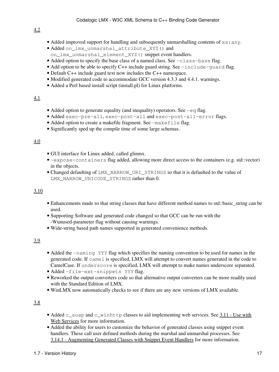- Added improved support for handling and subsequently unmarshalling contents of  $xs:any$ .
- Added on\_lmx\_unmarshal\_attribute\_XYZ() and on\_lmx\_unmarshal\_element\_XYZ() snippet event handlers.
- Added option to specify the base class of a named class. See -class-base flag.
- Add option to be able to specify C++ include guard string. See -include-quard flag.
- Default C++ include guard text now includes the C++ namespace.
- Modified generated code to accommodate GCC version 4.3.3 and 4.4.1. warnings.
- Added a Perl based install script (install.pl) for Linux platforms.

#### 4.1

- Added option to generate equality (and inequality) operators. See  $-eq$  flag.
- Added exec-pre-all, exec-post-all and exec-post-all-error flags.
- Added option to create a makefile fragment. See -makefile flag.
- Significantly sped up the compile time of some large schemas.

#### 4.0

- GUI interface for Linux added, called glinmx.
- -expose-containers flag added, allowing more direct access to the containers (e.g. std::vector) in the objects.
- Changed defaulting of LMX\_NARROW\_URI\_STRINGS so that it is defaulted to the value of LMX\_NARROW\_UNICODE\_STRINGS rather than 0.

#### 3.10

- Enhancements made so that string classes that have different method names to std::basic\_string can be used.
- Supporting Software and generated code changed so that GCC can be run with the -Wunused-parameter flag without causing warnings.
- Wide-string based path names supported in generated convenience methods.

#### 3.9

- Added the -naming YYY flag which specifies the naming convention to be used for names in the generated code. If camel is specified, LMX will attempt to convert names generated in the code to CamelCase. If underscore is specified, LMX will attempt to make names underscore separated.
- Added -file-ext-snippets YYY flag.
- Reworked the output converters code so that alternative output converters can be more readily used with the Standard Edition of LMX.
- WinLMX now automatically checks to see if there are any new versions of LMX available.

- Added c\_soap and c\_winhttp classes to aid implementing web services. See [3.11 Use with](#page-89-2) [Web Services](#page-89-2) for more information.
- Added the ability for users to customize the behavior of generated classes using snippet event handlers. These call user defined methods during the marshal and unmarshal processes. See [3.14.1 - Augmenting Generated Classes with Snippet Event Handlers](#page-99-3) for more information.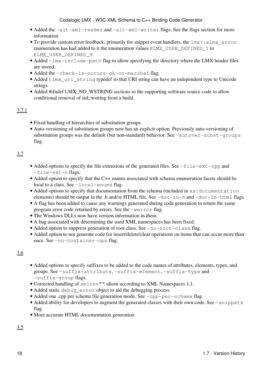- Added the -alt-xml-reader and -alt-xml-writer flags. See the flags section for more information.
- To provide custom error feedback, primarily for snippet event handlers, the  $lmx$ : : elmx\_error enumeration has had added to it the enumeration values ELMX\_USER\_DEFINED\_1 to ELMX\_USER\_DEFINED\_9.
- Added -lmx-include-path flag to allow specifying the directory where the LMX header files are stored.
- Added the -check-is-occurs-ok-on-marshal flag.
- Added tlmx\_uri\_string typedef so that URI string can have an independent type to Unicode strings.
- Added #ifndef LMX\_NO\_WSTRING sections to the supporting software source code to allow conditional removal of std::wstring from a build.

#### 3.7.1

- Fixed handling of hierarchies of substitution groups.
- Auto-versioning of substitution groups now has an explicit option. Previously auto-versioning of substitution groups was the default (but non-standard) behavior. See  $-$ autover-subst-groups flag.

#### 3.7

- Added options to specify the file extensions of the generated files. See -file-ext-cpp and -file-ext-h flags.
- Added option to specify that the C++ enums associated with schema enumeration facets should be local to a class. See -local-enums flag.
- Added options to specify that documentation from the schema (included in xs: documentation elements) should be output in the .h and/or HTML file. See  $-doc-in-h$  and  $-doc-in-h$ tml flags.
- A flag has been added to cause any warnings generated during code generation to return the same program error code returned by errors. See the -werror flag.
- The Windows DLLs now have version information in them.
- A bug associated with determining the used XML namespaces has been fixed.
- Added option to suppress generation of root class. See -no-root-class flag.
- Added option to not generate code for insert/delete/clear operations on items that can occur more than once. See -no-container-ops flag.

#### 3.6

- Added options to specify suffixes to be added to the code names of attributes, elements, types, and groups. See -suffix-attribute, -suffix-element, -suffix-type and -suffix-group flags.
- Corrected handling of xmlns="" idiom according to XML Namespaces 1.1.
- Added static debug\_error object to aid the debugging process.
- Added one .cpp per schema file generation mode. See -cpp-per-schema flag.
- Added ability for developers to augment the generated classes with their own code. See -snippets flag.
- More accurate HTML documentation generation.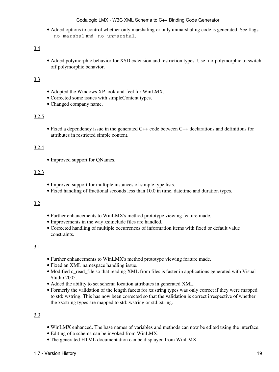• Added options to control whether only marshaling or only unmarshaling code is generated. See flags -no-marshal and -no-unmarshal.

#### 3.4

• Added polymorphic behavior for XSD extension and restriction types. Use -no-polymorphic to switch off polymorphic behavior.

#### 3.3

- Adopted the Windows XP look-and-feel for WinLMX.
- Corrected some issues with simpleContent types.
- Changed company name.

#### 3.2.5

• Fixed a dependency issue in the generated C++ code between C++ declarations and definitions for attributes in restricted simple content.

#### 3.2.4

• Improved support for QNames.

#### 3.2.3

- Improved support for multiple instances of simple type lists.
- Fixed handling of fractional seconds less than 10.0 in time, datetime and duration types.

#### 3.2

- Further enhancements to WinLMX's method prototype viewing feature made.
- Improvements in the way xs:include files are handled.
- Corrected handling of multiple occurrences of information items with fixed or default value constraints.

#### 3.1

- Further enhancements to WinLMX's method prototype viewing feature made.
- Fixed an XML namespace handling issue.
- Modified c\_read\_file so that reading XML from files is faster in applications generated with Visual Studio 2005.
- Added the ability to set schema location attributes in generated XML.
- Formerly the validation of the length facets for xs:string types was only correct if they were mapped to std::wstring. This has now been corrected so that the validation is correct irrespective of whether the xs:string types are mapped to std::wstring or std::string.

- WinLMX enhanced. The base names of variables and methods can now be edited using the interface.
- Editing of a schema can be invoked from WinLMX.
- The generated HTML documentation can be displayed from WinLMX.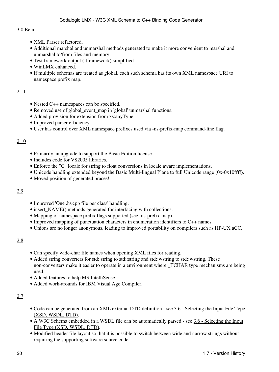#### 3.0 Beta

- XML Parser refactored.
- Additional marshal and unmarshal methods generated to make it more convenient to marshal and unmarshal to/from files and memory.
- Test framework output (-tframework) simplified.
- WinLMX enhanced.
- If multiple schemas are treated as global, each such schema has its own XML namespace URI to namespace prefix map.

#### 2.11

- Nested C++ namespaces can be specified.
- Removed use of global\_event\_map in 'global' unmarshal functions.
- Added provision for extension from xs:anyType.
- Improved parser efficiency.
- User has control over XML namespace prefixes used via -ns-prefix-map command-line flag.

#### 2.10

- Primarily an upgrade to support the Basic Edition license.
- Includes code for VS2005 libraries.
- Enforce the "C" locale for string to float conversions in locale aware implementations.
- Unicode handling extended beyond the Basic Multi-lingual Plane to full Unicode range (0x-0x10ffff).
- Moved position of generated braces!

#### 2.9

- Improved 'One .h/.cpp file per class' handling.
- insert\_NAME() methods generated for interfacing with collections.
- Mapping of namespace prefix flags supported (see -ns-prefix-map).
- Improved mapping of punctuation characters in enumeration identifiers to C++ names.
- Unions are no longer anonymous, leading to improved portability on compilers such as HP-UX aCC.

#### 2.8

- Can specify wide-char file names when opening XML files for reading.
- Added string converters for std::string to std::string and std::wstring to std::wstring. These non-converters make it easier to operate in a environment where \_TCHAR type mechanisms are being used.
- Added features to help MS IntelliSense.
- Added work-arounds for IBM Visual Age Compiler.

- Code can be generated from an XML external DTD definition see [3.6 Selecting the Input File Type](#page-71-0) [\(XSD, WSDL, DTD\)](#page-71-0).
- A W3C Schema embedded in a WSDL file can be automatically parsed see [3.6 Selecting the Input](#page-71-0) [File Type \(XSD, WSDL, DTD\)](#page-71-0).
- Modified header file layout so that it is possible to switch between wide and narrow strings without requiring the supporting software source code.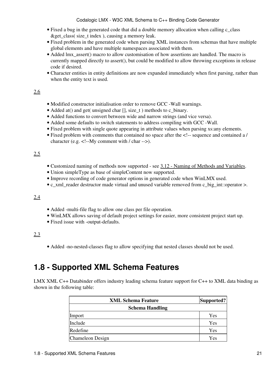- Fixed a bug in the generated code that did a double memory allocation when calling c\_class &get\_class( size\_t index ), causing a memory leak.
- Fixed problem in the generated code when parsing XML instances from schemas that have multiple global elements and have multiple namespaces associated with them.
- Added Imx\_assert() macro to allow customisation of how assertions are handled. The macro is currently mapped directly to assert(), but could be modified to allow throwing exceptions in release code if desired.
- Character entities in entity definitions are now expanded immediately when first parsing, rather than when the entity text is used.

#### 2.6

- Modified constructor initialisation order to remove GCC -Wall warnings.
- Added at() and get( unsigned char [], size\_t ) methods to c\_binary.
- Added functions to convert between wide and narrow strings (and vice versa).
- Added some defaults to switch statements to address compiling with GCC -Wall.
- Fixed problem with single quote appearing in attribute values when parsing xs:any elements.
- Fixed problem with comments that contained no space after the <!-- sequence and contained a / character (e.g. <!--My comment with / char -->).

#### 2.5

- Customized naming of methods now supported see [3.12 Naming of Methods and Variables.](#page-93-2)
- Union simpleType as base of simpleContent now supported.
- Improve recording of code generator options in generated code when WinLMX used.
- c\_xml\_reader destructor made virtual and unused variable removed from c\_big\_int::operator >.

#### 2.4

- Added -multi-file flag to allow one class per file operation.
- WinLMX allows saving of default project settings for easier, more consistent project start up.
- Fixed issue with -output-defaults.

#### 2.3

• Added -no-nested-classes flag to allow specifying that nested classes should not be used.

## <span id="page-26-0"></span>**1.8 - Supported XML Schema Features**

LMX XML C++ Databinder offers industry leading schema feature support for C++ to XML data binding as shown in the following table:

| <b>XML Schema Feature</b> | Supported? |
|---------------------------|------------|
| <b>Schema Handling</b>    |            |
| Import                    | Yes        |
| Include                   | Yes        |
| Redefine                  | Yes        |
| <b>Chameleon Design</b>   | Yes        |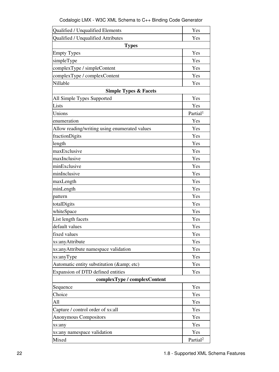| Codalogic LMX - W3C XML Schema to C++ Binding Code Generator |  |  |
|--------------------------------------------------------------|--|--|
|--------------------------------------------------------------|--|--|

| Qualified / Unqualified Elements              | Yes                  |
|-----------------------------------------------|----------------------|
| Qualified / Unqualified Attributes            | Yes                  |
| <b>Types</b>                                  |                      |
| <b>Empty Types</b>                            | Yes                  |
| simpleType                                    | Yes                  |
| complexType / simpleContent                   | Yes                  |
| complexType / complexContent                  | Yes                  |
| Nillable                                      | Yes                  |
| <b>Simple Types &amp; Facets</b>              |                      |
| All Simple Types Supported                    | Yes                  |
| Lists                                         | Yes                  |
| Unions                                        | Partial <sup>1</sup> |
| enumeration                                   | Yes                  |
| Allow reading/writing using enumerated values | Yes                  |
| fractionDigits                                | Yes                  |
| length                                        | Yes                  |
| maxExclusive                                  | Yes                  |
| maxInclusive                                  | Yes                  |
| minExclusive                                  | Yes                  |
| minInclusive                                  | Yes                  |
| maxLength                                     | Yes                  |
| minLength                                     | Yes                  |
| pattern                                       | Yes                  |
| totalDigits                                   | Yes                  |
| whiteSpace                                    | Yes                  |
| List length facets                            | Yes                  |
| default values                                | Yes                  |
| fixed values                                  | Yes                  |
| xs:anyAttribute                               | Yes                  |
| xs: any Attribute namespace validation        | Yes                  |
| xs:anyType                                    | Yes                  |
| Automatic entity substitution (& etc)         | Yes                  |
| Expansion of DTD defined entities             | Yes                  |
| complexType / complexContent                  |                      |
| Sequence                                      | Yes                  |
| Choice                                        | Yes                  |
| All                                           | Yes                  |
| Capture / control order of xs:all             | Yes                  |
| Anonymous Compositors                         | Yes                  |
| xs:any                                        | Yes                  |
| xs:any namespace validation                   | Yes                  |
| Mixed                                         | Partial <sup>2</sup> |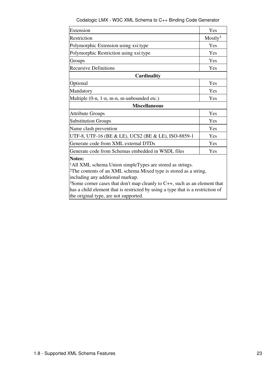| Codalogic LMX - W3C XML Schema to C++ Binding Code Generator |  |  |  |
|--------------------------------------------------------------|--|--|--|
|                                                              |  |  |  |

<span id="page-28-0"></span>

| Extension                                                                             | Yes                 |
|---------------------------------------------------------------------------------------|---------------------|
| Restriction                                                                           | Mostly <sup>3</sup> |
| Polymorphic Extension using xsi:type                                                  | Yes                 |
| Polymorphic Restriction using xsi:type                                                | Yes                 |
| Groups                                                                                | Yes                 |
| <b>Recursive Definitions</b>                                                          | Yes                 |
| Cardinality                                                                           |                     |
| Optional                                                                              | Yes                 |
| Mandatory                                                                             | Yes                 |
| Multiple (0-n, 1-n, m-n, m-unbounded etc.)                                            | Yes                 |
| <b>Miscellaneous</b>                                                                  |                     |
| <b>Attribute Groups</b>                                                               | Yes                 |
| <b>Substitution Groups</b>                                                            | Yes                 |
| Name clash prevention                                                                 | Yes                 |
| UTF-8, UTF-16 (BE & LE), UCS2 (BE & LE), ISO-8859-1                                   | Yes                 |
| Generate code from XML external DTDs                                                  | Yes                 |
| Generate code from Schemas embedded in WSDL files                                     | Yes                 |
| <b>Notes:</b>                                                                         |                     |
| <sup>1</sup> All XML schema Union simpleTypes are stored as strings.                  |                     |
| <sup>2</sup> The contents of an XML schema Mixed type is stored as a string,          |                     |
| including any additional markup.                                                      |                     |
| <sup>3</sup> Some corner cases that don't map cleanly to C++, such as an element that |                     |
| has a child element that is restricted by using a type that is a restriction of       |                     |
| the original type, are not supported.                                                 |                     |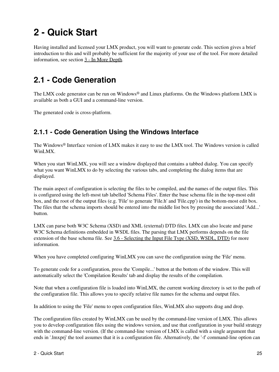# <span id="page-30-0"></span>**2 - Quick Start**

Having installed and licensed your LMX product, you will want to generate code. This section gives a brief introduction to this and will probably be sufficient for the majority of your use of the tool. For more detailed information, see section [3 - In More Depth](#page-56-0).

## <span id="page-30-3"></span><span id="page-30-1"></span>**2.1 - Code Generation**

The LMX code generator can be run on Windows® and Linux platforms. On the Windows platform LMX is available as both a GUI and a command-line version.

The generated code is cross-platform.

## <span id="page-30-2"></span>**2.1.1 - Code Generation Using the Windows Interface**

The Windows® Interface version of LMX makes it easy to use the LMX tool. The Windows version is called WinLMX.

When you start WinLMX, you will see a window displayed that contains a tabbed dialog. You can specify what you want WinLMX to do by selecting the various tabs, and completing the dialog items that are displayed.

The main aspect of configuration is selecting the files to be compiled, and the names of the output files. This is configured using the left-most tab labelled 'Schema Files'. Enter the base schema file in the top-most edit box, and the root of the output files (e.g. 'File' to generate 'File.h' and 'File.cpp') in the bottom-most edit box. The files that the schema imports should be entered into the middle list box by pressing the associated 'Add...' button.

LMX can parse both W3C Schema (XSD) and XML (external) DTD files. LMX can also locate and parse W3C Schema definitions embedded in WSDL files. The parsing that LMX performs depends on the file extension of the base schema file. See [3.6 - Selecting the Input File Type \(XSD, WSDL, DTD\)](#page-71-0) for more information.

When you have completed configuring WinLMX you can save the configuration using the 'File' menu.

To generate code for a configuration, press the 'Compile...' button at the bottom of the window. This will automatically select the 'Compilation Results' tab and display the results of the compilation.

Note that when a configuration file is loaded into WinLMX, the current working directory is set to the path of the configuration file. This allows you to specify relative file names for the schema and output files.

In addition to using the 'File' menu to open configuration files, WinLMX also supports drag and drop.

The configuration files created by WinLMX can be used by the command-line version of LMX. This allows you to develop configuration files using the windows version, and use that configuration in your build strategy with the command-line version. (If the command-line version of LMX is called with a single argument that ends in '.lmxprj' the tool assumes that it is a configuration file. Alternatively, the '-f' command-line option can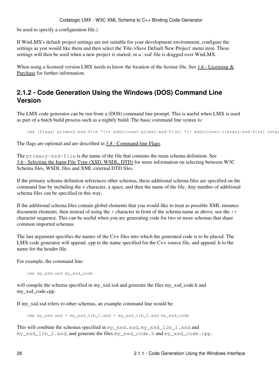be used to specify a configuration file.)

If WinLMX's default project settings are not suitable for your development environment, configure the settings as you would like them and then select the 'File->Save Default New Project' menu item. These settings will then be used when a new project is started, or a '.xsd' file is dragged over WinLMX.

When using a licensed version LMX needs to know the location of the license file. See [1.6 - Licensing &](#page-16-2) [Purchase](#page-16-2) for further information.

### <span id="page-31-1"></span><span id="page-31-0"></span>**2.1.2 - Code Generation Using the Windows (DOS) Command Line Version**

The LMX code generator can be run from a (DOS) command line prompt. This is useful when LMX is used as part of a batch build process such as a nightly build. The basic command line syntax is:

```
lmx [flags] primary-xsd-file *[++ additional-global-xsd-file] *[+ additional-library-xsd-file] outpu
```
The flags are optional and are described in  $3.8$  - Command-line Flags.

The primary-xsd-file is the name of the file that contains the main schema definition. See [3.6 - Selecting the Input File Type \(XSD, WSDL, DTD\)](#page-71-0) for more information on selecting between W3C Schema files, WSDL files and XML external DTD files.

If the primary schema definition references other schemas, these additional schema files are specified on the command line by including the + character, a space, and then the name of the file. Any number of additional schema files can be specified in this way.

If the additional schema files contain global elements that you would like to treat as possible XML instance document elements, then instead of using the + character in front of the schema name as above, use the ++ character sequence. This can be useful when you are generating code for two or more schemas that share common imported schemas.

The last argument specifies the names of the C++ files into which the generated code is to be placed. The LMX code generator will append .cpp to the name specified for the C++ source file, and append .h to the name for the header file.

For example, the command line:

lmx my\_xsd.xsd my\_xsd\_code

will compile the schema specified in my\_xsd.xsd and generate the files my\_xsd\_code.h and my\_xsd\_code.cpp.

If my\_xsd.xsd refers to other schemas, an example command line would be:

lmx my\_xsd.xsd + my\_xsd\_lib\_1.xsd + my\_xsd\_lib\_2.xsd my\_xsd\_code

This will combine the schemas specified in my\_xsd.xsd, my\_xsd\_lib\_1.xsd and my\_xsd\_lib\_2.xsd, and generate the files my\_xsd\_code.h and my\_xsd\_code.cpp.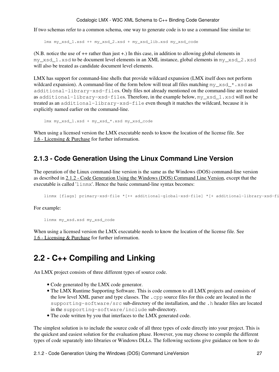If two schemas refer to a common schema, one way to generate code is to use a command line similar to:

lmx my\_xsd\_1.xsd ++ my\_xsd\_2.xsd + my\_xsd\_lib.xsd my\_xsd\_code

(N.B. notice the use of ++ rather than just +.) In this case, in addition to allowing global elements in my\_xsd\_1.xsd to be document level elements in an XML instance, global elements in my\_xsd\_2.xsd will also be treated as candidate document level elements.

LMX has support for command-line shells that provide wildcard expansion (LMX itself does not perform wildcard expansion). A command-line of the form below will treat all files matching  $my\_xsd.*$ . xsd as additional-library-xsd-files. Only files not already mentioned on the command-line are treated as additional-library-xsd-files. Therefore, in the example below, my\_xsd\_1.xsd will not be treated as an additional-library-xsd-file even though it matches the wildcard, because it is explicitly named earlier on the command-line.

```
 lmx my_xsd_1.xsd + my_xsd_*.xsd my_xsd_code
```
When using a licensed version the LMX executable needs to know the location of the license file. See [1.6 - Licensing & Purchase](#page-16-2) for further information.

#### <span id="page-32-0"></span>**2.1.3 - Code Generation Using the Linux Command Line Version**

The operation of the Linux command-line version is the same as the Windows (DOS) command-line version as described in [2.1.2 - Code Generation Using the Windows \(DOS\) Command Line Version](#page-31-1), except that the executable is called 'linmx'. Hence the basic command-line syntax becomes:

linmx [flags] primary-xsd-file \*[++ additional-qlobal-xsd-file] \*[+ additional-library-xsd-fi

For example:

linmx my\_xsd.xsd my\_xsd\_code

When using a licensed version the LMX executable needs to know the location of the license file. See [1.6 - Licensing & Purchase](#page-16-2) for further information.

## <span id="page-32-2"></span><span id="page-32-1"></span>**2.2 - C++ Compiling and Linking**

An LMX project consists of three different types of source code.

- Code generated by the LMX code generator.
- The LMX Runtime Supporting Software. This is code common to all LMX projects and consists of the low level XML parser and type classes. The .cpp source files for this code are located in the supporting-software/src sub-directory of the installation, and the .h header files are located in the supporting-software/include sub-directory.
- The code written by you that interfaces to the LMX generated code.

The simplest solution is to include the source code of all three types of code directly into your project. This is the quickest and easiest solution for the evaluation phase. However, you may choose to compile the different types of code separately into libraries or Windows DLLs. The following sections give guidance on how to do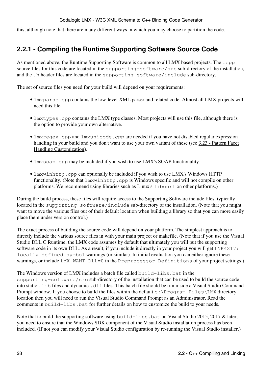this, although note that there are many different ways in which you may choose to partition the code.

## <span id="page-33-0"></span>**2.2.1 - Compiling the Runtime Supporting Software Source Code**

As mentioned above, the Runtime Supporting Software is common to all LMX based projects. The .cpp source files for this code are located in the supporting-software/src sub-directory of the installation, and the .h header files are located in the supporting-software/include sub-directory.

The set of source files you need for your build will depend on your requirements:

- Imxparse.cpp contains the low-level XML parser and related code. Almost all LMX projects will need this file.
- lmxtypes.cpp contains the LMX type classes. Most projects will use this file, although there is the option to provide your own alternative.
- lmxregex.cpp and lmxunicode.cpp are needed if you have not disabled regular expression handling in your build and you don't want to use your own variant of these (see [3.23 - Pattern Facet](#page-112-1) [Handling Customization\)](#page-112-1).
- lmxsoap.cpp may be included if you wish to use LMX's SOAP functionality.
- lmxwinhttp.cpp can optionally be included if you wish to use LMX's Windows HTTP functionality. (Note that  $lmx\text{winhttp.cpp}$  is Windows specific and will not compile on other platforms. We recommend using libraries such as Linux's libcurl on other platforms.)

During the build process, these files will require access to the Supporting Software include files, typically located in the supporting-software/include sub-directory of the installation. (Note that you might want to move the various files out of their default location when building a library so that you can more easily place them under version control.)

The exact process of building the source code will depend on your platform. The simplest approach is to directly include the various source files in with your main project or makefile. (Note that if you use the Visual Studio DLL C Runtime, the LMX code assumes by default that ultimately you will put the supporting software code in its own DLL. As a result, if you include it directly in your project you will get LNK4217: locally defined symbol warnings (or similar). In initial evaluation you can either ignore these warnings, or include LMX\_WANT\_DLL=0 in the Preprocessor Definitions of your project settings.)

The Windows version of LMX includes a batch file called build-libs.bat in the supporting-software/src sub-directory of the installation that can be used to build the source code into static .lib files and dynamic .dll files. This batch file should be run inside a Visual Studio Command Prompt window. If you choose to build the files within the default  $c:\Per{\circ}$  Files LMX directory location then you will need to run the Visual Studio Command Prompt as an Administrator. Read the comments in build-libs.bat for further details on how to customize the build to your needs.

Note that to build the supporting software using  $build-1ibs$ . bat on Visual Studio 2015, 2017 & later, you need to ensure that the Windows SDK component of the Visual Studio installation process has been included. (If not you can modify your Visual Studio configuration by re-running the Visual Studio installer.)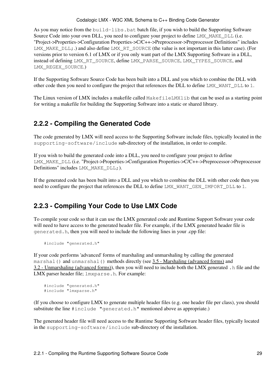As you may notice from the build-libs. bat batch file, if you wish to build the Supporting Software Source Code into your own DLL, you need to configure your project to define LMX\_MAKE\_DLL (i.e. "Project->Properties->Configuration Properties->C/C++->Preprocessor->Preprocessor Definitions" includes LMX MAKE  $DLL$ ;.) and also define LMX RT SOURCE (the value is not important in this latter case). (For versions prior to version 6.1 of LMX or if you only want part of the LMX Supporting Software in a DLL, instead of defining LMX\_RT\_SOURCE, define LMX\_PARSE\_SOURCE, LMX\_TYPES\_SOURCE, and LMX\_REGEX\_SOURCE.)

If the Supporting Software Source Code has been built into a DLL and you which to combine the DLL with other code then you need to configure the project that references the DLL to define LMX\_WANT\_DLL to 1.

The Linux version of LMX includes a makefile called MakefileLMXlib that can be used as a starting point for writing a makefile for building the Supporting Software into a static or shared library.

## <span id="page-34-0"></span>**2.2.2 - Compiling the Generated Code**

The code generated by LMX will need access to the Supporting Software include files, typically located in the supporting-software/include sub-directory of the installation, in order to compile.

If you wish to build the generated code into a DLL, you need to configure your project to define LMX\_MAKE\_DLL (i.e. "Project->Properties->Configuration Properties->C/C++->Preprocessor->Preprocessor Definitions" includes LMX\_MAKE\_DLL;).

If the generated code has been built into a DLL and you which to combine the DLL with other code then you need to configure the project that references the DLL to define LMX\_WANT\_GEN\_IMPORT\_DLL to 1.

## <span id="page-34-1"></span>**2.2.3 - Compiling Your Code to Use LMX Code**

To compile your code so that it can use the LMX generated code and Runtime Support Software your code will need to have access to the generated header file. For example, if the LMX generated header file is generated.h, then you will need to include the following lines in your .cpp file:

#include "generated.h"

If your code performs 'advanced' forms of marshaling and unmarshaling by calling the generated marshal() and unmarshal() methods directly (see [3.5 - Marshaling \(advanced forms\)](#page-69-1) and [3.2 - Unmarshaling \(advanced forms\)](#page-58-4)), then you will need to include both the LMX generated .h file and the LMX parser header file;  $l$ mxparse.h. For example:

```
 #include "generated.h"
 #include "lmxparse.h"
```
(If you choose to configure LMX to generate multiple header files (e.g. one header file per class), you should substitute the line #include "generated.h" mentioned above as appropriate.)

The generated header file will need access to the Runtime Supporting Software header files, typically located in the supporting-software/include sub-directory of the installation.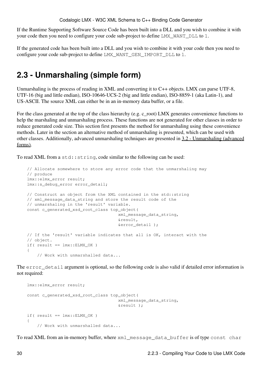If the Runtime Supporting Software Source Code has been built into a DLL and you wish to combine it with your code then you need to configure your code sub-project to define LMX\_WANT\_DLL to 1.

If the generated code has been built into a DLL and you wish to combine it with your code then you need to configure your code sub-project to define LMX\_WANT\_GEN\_IMPORT\_DLL to 1.

## <span id="page-35-1"></span><span id="page-35-0"></span>**2.3 - Unmarshaling (simple form)**

Unmarshaling is the process of reading in XML and converting it to C++ objects. LMX can parse UTF-8, UTF-16 (big and little endian), ISO-10646-UCS-2 (big and little endian), ISO-8859-1 (aka Latin-1), and US-ASCII. The source XML can either be in an in-memory data buffer, or a file.

For the class generated at the top of the class hierarchy (e.g. c\_root) LMX generates convenience functions to help the marshaling and unmarshaling process. These functions are not generated for other classes in order to reduce generated code size. This section first presents the method for unmarshaling using these convenience methods. Later in the section an alternative method of unmarshaling is presented, which can be used with other classes. Additionally, advanced unmarshaling techniques are presented in [3.2 - Unmarshaling \(advanced](#page-58-4) [forms\)](#page-58-4).

To read XML from a std:: string, code similar to the following can be used:

```
// Allocate somewhere to store any error code that the unmarshaling may 
// produce
 lmx::elmx_error result;
 lmx::s_debug_error error_detail;
// Construct an object from the XML contained in the std::string 
// xml_message_data_string and store the result code of the 
// unmarshaling in the 'result' variable.
const c_generated_xsd_root_class top_object(
                                     xml_message_data_string, 
                                     &result,
                                     &error_detail );
// If the 'result' variable indicates that all is OK, interact with the
// object.
if('result == lmx::ELMX_OK') {
    // Work with unmarshalled data...
```
The error detail argument is optional, so the following code is also valid if detailed error information is not required:

```
 lmx::elmx_error result;
const c_generated_xsd_root_class top_object(
                                    xml_message_data_string, 
                                     &result );
if( result == lmx::ELMX OK )
 {
    // Work with unmarshalled data...
```
To read XML from an in-memory buffer, where xml\_message\_data\_buffer is of type const char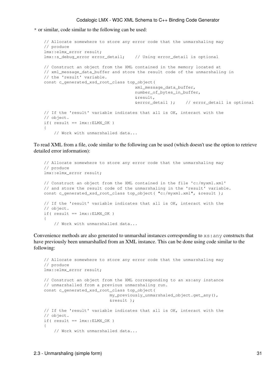\* or similar, code similar to the following can be used:

```
// Allocate somewhere to store any error code that the unmarshaling may 
// produce
 lmx::elmx_error result;
 lmx::s_debug_error error_detail; // Using error_detail is optional
// Construct an object from the XML contained in the memory located at 
// xml_message_data_buffer and store the result code of the unmarshaling in 
// the 'result' variable.
const c_generated_xsd_root_class top_object(
                                     xml_message_data_buffer, 
                                     number_of_bytes_in_buffer,
                                     &result,
                                     &error_detail ); // error_detail is optional
// If the 'result' variable indicates that all is OK, interact with the
// object.
if( result == lmx::ELMX OK )
 {
    // Work with unmarshalled data...
```
To read XML from a file, code similar to the following can be used (which doesn't use the option to retrieve detailed error information):

```
// Allocate somewhere to store any error code that the unmarshaling may 
// produce
 lmx::elmx_error result;
// Construct an object from the XML contained in the file 'c:/myxml.xml'
// and store the result code of the unmarshaling in the 'result' variable.
const c_generated_xsd_root_class top_object( "c:/myxml.xml", &result );
// If the 'result' variable indicates that all is OK, interact with the
// object.
if('result == lmx::ELMX OK) {
    // Work with unmarshalled data...
```
Convenience methods are also generated to unmarshal instances corresponding to  $x_s$ : any constructs that have previously been unmarshalled from an XML instance. This can be done using code similar to the following:

```
// Allocate somewhere to store any error code that the unmarshaling may 
// produce
 lmx::elmx_error result;
// Construct an object from the XML corresponding to an xs:any instance
// unmarshalled from a previous unmarshaling run.
const c generated xsd root class top object(
                           my_previously_unmarshaled_object.get_any(), 
                           &result );
// If the 'result' variable indicates that all is OK, interact with the
// object.
if( result == lmx::ELMX_OK )
 {
    // Work with unmarshalled data...
```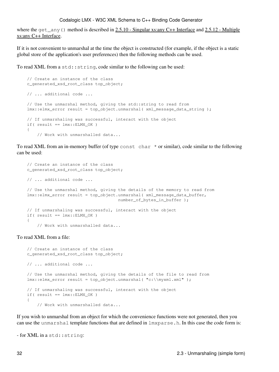where the get any () method is described in [2.5.10 - Singular xs:any C++ Interface](#page-49-0) and [2.5.12 - Multiple](#page-51-0) [xs:any C++ Interface](#page-51-0).

If it is not convenient to unmarshal at the time the object is constructed (for example, if the object is a static global store of the application's user preferences) then the following methods can be used.

To read XML from a std:: string, code similar to the following can be used:

```
// Create an instance of the class
 c_generated_xsd_root_class top_object;
// ... additional code ...
// Use the unmarshal method, giving the std::string to read from
lmx:relmx_error result = top_object.unmarshal( xml_message_data_string );
// If unmarshaling was successful, interact with the object
if( result == lmx::ELMX_OK )
 {
    // Work with unmarshalled data...
```
To read XML from an in-memory buffer (of type const char \* or similar), code similar to the following can be used:

```
// Create an instance of the class
 c_generated_xsd_root_class top_object;
// ... additional code ...
// Use the unmarshal method, giving the details of the memory to read from
 lmx::elmx_error result = top_object.unmarshal( xml_message_data_buffer, 
                                    number of bytes in buffer );
// If unmarshaling was successful, interact with the object
if('result == lmx::ELMX_OK') {
    // Work with unmarshalled data...
```
#### To read XML from a file:

```
// Create an instance of the class
 c_generated_xsd_root_class top_object;
// ... additional code ...
// Use the unmarshal method, giving the details of the file to read from
 lmx::elmx_error result = top_object.unmarshal( "c:\\myxml.xml" );
// If unmarshaling was successful, interact with the object
if('result == lmx::ELMX_OK') {
    // Work with unmarshalled data...
```
If you wish to unmarshal from an object for which the convenience functions were not generated, then you can use the unmarshal template functions that are defined in lmxparse.h. In this case the code form is:

```
- for XML in a std::string:
```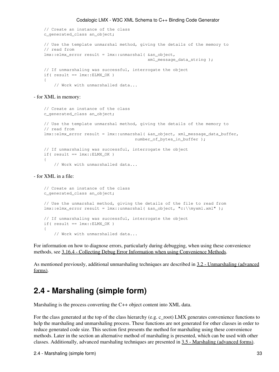```
// Create an instance of the class
 c_generated_class an_object;
// Use the template unmarshal method, giving the details of the memory to
// read from
 lmx::elmx_error result = lmx::unmarshal( &an_object, 
                                           xml_message_data_string );
// If unmarshaling was successful, interrogate the object
if( result == lmx::ELMX OK )
 {
    // Work with unmarshalled data...
```
- for XML in memory:

```
// Create an instance of the class
 c_generated_class an_object;
// Use the template unmarshal method, giving the details of the memory to
// read from
 lmx::elmx_error result = lmx::unmarshal( &an_object, xml_message_data_buffer, 
                                     number_of_bytes_in_buffer );
// If unmarshaling was successful, interrogate the object
if( result == lmx::ELMX_OK )
 {
    // Work with unmarshalled data...
```
- for XML in a file:

```
// Create an instance of the class
 c_generated_class an_object;
// Use the unmarshal method, giving the details of the file to read from
lmx:elmx error result = lmx::unmarshal( &an object, "c:\\myxml.xml" );
// If unmarshaling was successful, interrogate the object
if('result == lmx::ELMX_OK') {
    // Work with unmarshalled data...
```
For information on how to diagnose errors, particularly during debugging, when using these convenience methods, see [3.16.4 - Collecting Debug Error Information when using Convenience Methods](#page-105-0).

As mentioned previously, additional unmarshaling techniques are described in [3.2 - Unmarshaling \(advanced](#page-58-0) [forms\)](#page-58-0).

## <span id="page-38-0"></span>**2.4 - Marshaling (simple form)**

Marshaling is the process converting the C++ object content into XML data.

For the class generated at the top of the class hierarchy (e.g. c\_root) LMX generates convenience functions to help the marshaling and unmarshaling process. These functions are not generated for other classes in order to reduce generated code size. This section first presents the method for marshaling using these convenience methods. Later in the section an alternative method of marshaling is presented, which can be used with other classes. Additionally, advanced marshaling techniques are presented in [3.5 - Marshaling \(advanced forms\)](#page-69-0).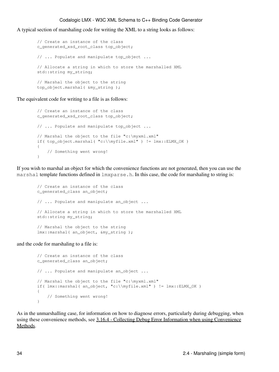A typical section of marshaling code for writing the XML to a string looks as follows:

```
// Create an instance of the class
 c_generated_xsd_root_class top_object;
// ... Populate and manipulate top_object ... 
// Allocate a string in which to store the marshalled XML
std::string my_string;
// Marshal the object to the string
 top_object.marshal( &my_string );
```
The equivalent code for writing to a file is as follows:

```
// Create an instance of the class
        c_generated_xsd_root_class top_object;
       // ... Populate and manipulate top_object ... 
       // Marshal the object to the file "c:\myxml.xml"
       if( top_object.marshal(C:\\inftyfile.xml" ) != lmx::ELMX_OK )
        {
           // Something went wrong!
 }
```
If you wish to marshal an object for which the convenience functions are not generated, then you can use the marshal template functions defined in  $lmxparse.h$ . In this case, the code for marshaling to string is:

```
// Create an instance of the class
 c_generated_class an_object;
// ... Populate and manipulate an_object ... 
// Allocate a string in which to store the marshalled XML
 std::string my_string;
// Marshal the object to the string
 lmx::marshal( an_object, &my_string );
```
and the code for marshaling to a file is:

```
// Create an instance of the class
        c_generated_class an_object;
       // ... Populate and manipulate an_object ... 
       // Marshal the object to the file "c:\myxml.xml"
       if( lmx::marshal( an_object, "c:\\myfile.xml" ) != lmx::ELMX_OK )
        {
           // Something went wrong!
 }
```
As in the unmarshalling case, for information on how to diagnose errors, particularly during debugging, when using these convenience methods, see [3.16.4 - Collecting Debug Error Information when using Convenience](#page-105-0) [Methods](#page-105-0).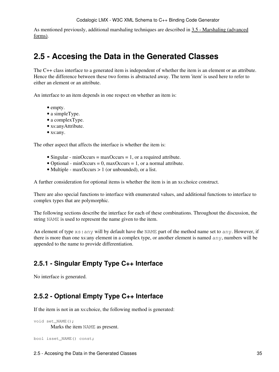As mentioned previously, additional marshaling techniques are described in [3.5 - Marshaling \(advanced](#page-69-0) [forms\)](#page-69-0).

## <span id="page-40-0"></span>**2.5 - Accesing the Data in the Generated Classes**

The C++ class interface to a generated item is independent of whether the item is an element or an attribute. Hence the difference between these two forms is abstracted away. The term 'item' is used here to refer to either an element or an attribute.

An interface to an item depends in one respect on whether an item is:

- empty.
- a simpleType.
- a complexType.
- xs:anyAttribute.
- xs:any.

The other aspect that affects the interface is whether the item is:

- Singular minOccurs = maxOccurs = 1, or a required attribute.
- Optional minOccurs = 0, maxOccurs = 1, or a normal attribute.
- Multiple maxOccurs > 1 (or unbounded), or a list.

A further consideration for optional items is whether the item is in an xs:choice construct.

There are also special functions to interface with enumerated values, and additional functions to interface to complex types that are polymorphic.

The following sections describe the interface for each of these combinations. Throughout the discussion, the string NAME is used to represent the name given to the item.

An element of type xs:any will by default have the NAME part of the method name set to any. However, if there is more than one xs:any element in a complex type, or another element is named any, numbers will be appended to the name to provide differentiation.

## **2.5.1 - Singular Empty Type C++ Interface**

No interface is generated.

## **2.5.2 - Optional Empty Type C++ Interface**

If the item is not in an xs:choice, the following method is generated:

```
void set NAME();
       Marks the item NAME as present.
```

```
bool isset_NAME() const;
```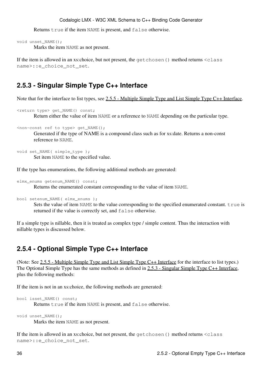Returns true if the item NAME is present, and false otherwise.

```
void unset_NAME();
```
Marks the item NAME as not present.

If the item is allowed in an xs:choice, but not present, the getchosen() method returns <class name>::e\_choice\_not\_set.

## <span id="page-41-0"></span>**2.5.3 - Singular Simple Type C++ Interface**

Note that for the interface to list types, see [2.5.5 - Multiple Simple Type and List Simple Type C++ Interface.](#page-42-0)

```
<return type> get_NAME() const;
```
Return either the value of item NAME or a reference to NAME depending on the particular type.

```
<non-const ref to type> get_NAME();
```
Generated if the type of NAME is a compound class such as for xs:date. Returns a non-const reference to NAME.

```
void set_NAME( simple_type );
       Set item NAME to the specified value.
```
If the type has enumerations, the following additional methods are generated:

```
elmx_enums getenum_NAME() const;
       Returns the enumerated constant corresponding to the value of item NAME.
```

```
bool setenum_NAME( elmx_enums );
```
Sets the value of item NAME to the value corresponding to the specified enumerated constant. true is returned if the value is correctly set, and false otherwise.

If a simple type is nillable, then it is treated as complex type / simple content. Thus the interaction with nillable types is discussed below.

### <span id="page-41-1"></span>**2.5.4 - Optional Simple Type C++ Interface**

(Note: See [2.5.5 - Multiple Simple Type and List Simple Type C++ Interface](#page-42-0) for the interface to list types.) The Optional Simple Type has the same methods as defined in [2.5.3 - Singular Simple Type C++ Interface](#page-41-0), plus the following methods:

If the item is not in an xs:choice, the following methods are generated:

```
bool isset_NAME() const;
```
Returns true if the item NAME is present, and false otherwise.

```
void unset_NAME();
```
Marks the item NAME as not present.

If the item is allowed in an xs:choice, but not present, the getchosen () method returns <class name>::e\_choice\_not\_set.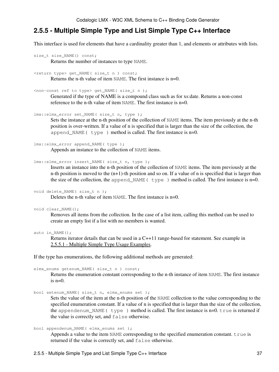## <span id="page-42-0"></span>**2.5.5 - Multiple Simple Type and List Simple Type C++ Interface**

This interface is used for elements that have a cardinality greater than 1, and elements or attributes with lists.

```
size_t size_NAME() const;
       Returns the number of instances to type NAME.
```
<return type> get\_NAME( size\_t n ) const;

Returns the n-th value of item NAME. The first instance is n=0.

```
<non-const ref to type> get_NAME( size_t n );
```
Generated if the type of NAME is a compound class such as for xs:date. Returns a non-const reference to the n-th value of item NAME. The first instance is n=0.

lmx::elmx\_error set\_NAME( size\_t n, type );

Sets the instance at the n-th position of the collection of NAME items. The item previously at the n-th position is over-written. If a value of n is specified that is larger than the size of the collection, the append\_NAME( type) method is called. The first instance is n=0.

lmx::elmx\_error append\_NAME( type );

Appends an instance to the collection of NAME items.

lmx::elmx\_error insert\_NAME( size\_t n, type );

Inserts an instance into the n-th position of the collection of NAME items. The item previously at the n-th position is moved to the  $(n+1)$ -th position and so on. If a value of n is specified that is larger than the size of the collection, the append  $NAME($  type ) method is called. The first instance is n=0.

```
void delete_NAME( size_t n );
```
Deletes the n-th value of item NAME. The first instance is  $n=0$ .

void clear\_NAME();

Removes all items from the collection. In the case of a list item, calling this method can be used to create an empty list if a list with no members is wanted.

auto in\_NAME();

Returns iterator details that can be used in a C++11 range-based for statement. See example in [2.5.5.1 - Multiple Simple Type Usage Examples.](#page-43-0)

If the type has enumerations, the following additional methods are generated:

```
elmx_enums getenum_NAME( size_t n ) const;
```
Returns the enumeration constant corresponding to the n-th instance of item NAME. The first instance is  $n=0$ .

bool setenum\_NAME( size\_t n, elmx\_enums set );

Sets the value of the item at the n-th position of the NAME collection to the value corresponding to the specified enumeration constant. If a value of n is specified that is larger than the size of the collection, the appendenum\_NAME( type ) method is called. The first instance is n=0. true is returned if the value is correctly set, and false otherwise.

```
bool appendenum_NAME( elmx_enums set );
```
Appends a value to the item NAME corresponding to the specified enumeration constant. true is returned if the value is correctly set, and false otherwise.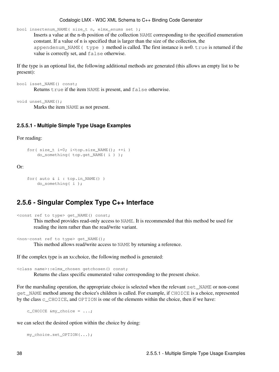bool insertenum\_NAME( size\_t n, elmx\_enums set );

Inserts a value at the n-th position of the collection NAME corresponding to the specified enumeration constant. If a value of n is specified that is larger than the size of the collection, the appendenum NAME ( $type$ ) method is called. The first instance is n=0. true is returned if the value is correctly set, and false otherwise.

If the type is an optional list, the following additional methods are generated (this allows an empty list to be present):

```
bool isset_NAME() const;
       Returns true if the item NAME is present, and false otherwise.
```
void unset\_NAME();

Marks the item NAME as not present.

#### <span id="page-43-0"></span>**2.5.5.1 - Multiple Simple Type Usage Examples**

For reading:

```
for( size_t i=0; i<top.size_NAME(); ++i )
    do_something( top.get_NAME( i ) );
```
#### Or:

```
for( auto & i : top.in_NAME() )
    do_something( i );
```
### <span id="page-43-1"></span>**2.5.6 - Singular Complex Type C++ Interface**

<const ref to type> get\_NAME() const;

This method provides read-only access to NAME. It is recommended that this method be used for reading the item rather than the read/write variant.

<non-const ref to type> get\_NAME(); This method allows read/write access to NAME by returning a reference.

If the complex type is an xs:choice, the following method is generated:

<class name>::elmx\_chosen getchosen() const;

Returns the class specific enumerated value corresponding to the present choice.

For the marshaling operation, the appropriate choice is selected when the relevant set\_NAME or non-const get\_NAME method among the choice's children is called. For example, if CHOICE is a choice, represented by the class c\_CHOICE, and OPTION is one of the elements within the choice, then if we have:

c\_CHOICE  $\text{kmy}_\text{choice} = \ldots;$ 

we can select the desired option within the choice by doing:

my\_choice.set\_OPTION(...);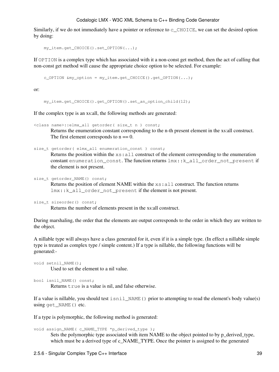Similarly, if we do not immediately have a pointer or reference to  $\subset$  CHOICE, we can set the desired option by doing:

```
 my_item.get_CHOICE().set_OPTION(...);
```
If OPTION is a complex type which has associated with it a non-const get method, then the act of calling that non-const get method will cause the appropriate choice option to be selected. For example:

 $c$ \_OPTION &my\_option = my\_item.get\_CHOICE().get\_OPTION(...);

or:

my\_item.get\_CHOICE().get\_OPTION().set\_an\_option\_child(12);

If the complex type is an xs:all, the following methods are generated:

```
<class name>::elmx_all getorder( size_t n ) const;
       Returns the enumeration constant corresponding to the n-th present element in the xs:all construct.
       The first element corresponds to n == 0.
```

```
size_t getorder( elmx_all enumeration_const ) const;
```
Returns the position within the  $x s : a l l$  construct of the element corresponding to the enumeration constant enumeration\_const. The function returns  $lmx::k$ \_all\_order\_not\_present if the element is not present.

```
size_t getorder_NAME() const;
       Returns the position of element NAME within the xs: all construct. The function returns
       lmx::k_all_order_not_present if the element is not present.
```

```
size_t sizeorder() const;
```
Returns the number of elements present in the xs:all construct.

During marshaling, the order that the elements are output corresponds to the order in which they are written to the object.

A nillable type will always have a class generated for it, even if it is a simple type. (In effect a nillable simple type is treated as complex type / simple content.) If a type is nillable, the following functions will be generated:-

```
void setnil_NAME();
       Used to set the element to a nil value.
```
bool isnil\_NAME() const; Returns true is a value is nil, and false otherwise.

If a value is nillable, you should test isnil\_NAME() prior to attempting to read the element's body value(s) using get\_NAME() etc.

If a type is polymorphic, the following method is generated:

```
void assign_NAME( c_NAME_TYPE *p_derived_type );
```
Sets the polymorphic type associated with item NAME to the object pointed to by p\_derived\_type, which must be a derived type of c\_NAME\_TYPE. Once the pointer is assigned to the generated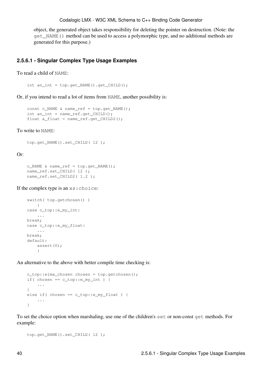object, the generated object takes responsibility for deleting the pointer on destruction. (Note: the get\_NAME() method can be used to access a polymorphic type, and no additional methods are generated for this purpose.)

#### **2.5.6.1 - Singular Complex Type Usage Examples**

To read a child of NAME:

int an\_int = top.get\_NAME().get\_CHILD();

Or, if you intend to read a lot of items from NAME, another possibility is:

```
const c_NAME & name_ref = top.get_NAME();
int an_int = name_ref.get_CHILD();
float a_float = name_ref.get_CHILD2();
```
To write to NAME:

```
 top.get_NAME().set_CHILD( 12 );
```
Or:

```
c_NAME & name_ref = top.get_NAME();
name_ref.set_CHILD( 12 );
name_ref.set_CHILD2(1.2);
```
If the complex type is an xs:choice:

```
switch(top.getchosen())
   \{case c_top::e_my_int:
    ...
break;
case c_top::e_my_float:
    ...
break;
default:
     assert(0);
     }
```
An alternative to the above with better compile time checking is:

```
 c_top::elmx_chosen chosen = top.getchosen();
if( chosen == c_top::e_my_int ) {
     ...
 }
else if( chosen == c_top::e_my_float ) {
     ...
 }
```
To set the choice option when marshaling, use one of the children's set or non-const get methods. For example:

```
 top.get_NAME().set_CHILD( 12 );
```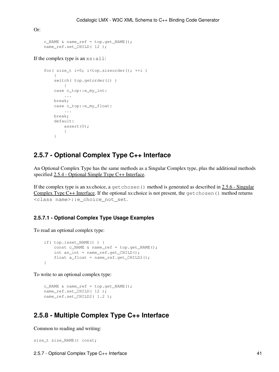```
 c_NAME & name_ref = top.get_NAME();
 name_ref.set_CHILD( 12 );
```
If the complex type is an xs:all:

Or:

```
for( size_t i=0; i<top.sizeorder(); ++i)
       \{switch( top.getorder(i) )
           \left\{ \right.case c_top::e_my_int:
            ...
       break;
        case c_top::e_my_float:
            ...
       break;
        default:
            assert(0);
 }
         }
```
### **2.5.7 - Optional Complex Type C++ Interface**

An Optional Complex Type has the same methods as a Singular Complex type, plus the additional methods specified [2.5.4 - Optional Simple Type C++ Interface.](#page-41-1)

If the complex type is an xs:choice, a get chosen () method is generated as described in  $2.5.6$  - Singular Complex Type  $C++$  Interface. If the optional xs: choice is not present, the get chosen() method returns <class name>::e\_choice\_not\_set.

### **2.5.7.1 - Optional Complex Type Usage Examples**

To read an optional complex type:

```
if( top.isset_NAME() ) {
   const c_NAME & name_ref = top.get_NAME();
   int an_int = name_ref.get_CHILD();
   float a_float = name_ref.get_CHILD2();
 }
```
To write to an optional complex type:

 c\_NAME & name\_ref = top.get\_NAME(); name\_ref.set\_CHILD( 12 ); name\_ref.set\_CHILD2( 1.2 );

### **2.5.8 - Multiple Complex Type C++ Interface**

Common to reading and writing:

```
size_t size_NAME() const;
```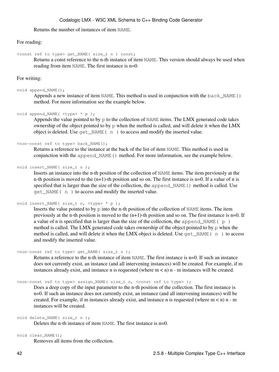Returns the number of instances of item NAME.

#### For reading:

<const ref to type> get\_NAME( size\_t n ) const;

Returns a const reference to the n-th instance of item NAME. This version should always be used when reading from item NAME. The first instance is  $n=0$ .

#### For writing:

#### void append\_NAME();

Appends a new instance of item NAME. This method is used in conjunction with the back\_NAME() method. For more information see the example below.

```
void append_NAME( <type> * p );
```
Appends the value pointed to by  $p$  to the collection of NAME items. The LMX generated code takes ownership of the object pointed to by  $p$  when the method is called, and will delete it when the LMX object is deleted. Use get\_NAME( n ) to access and modify the inserted value.

#### <non-const ref to type> back\_NAME();

Returns a reference to the instance at the back of the list of item NAME. This method is used in conjunction with the append\_NAME() method. For more information, see the example below.

void insert\_NAME( size\_t n );

Inserts an instance into the n-th position of the collection of NAME items. The item previously at the n-th position is moved to the  $(n+1)$ -th position and so on. The first instance is  $n=0$ . If a value of n is specified that is larger than the size of the collection, the append\_NAME() method is called. Use get\_NAME( n ) to access and modify the inserted value.

void insert\_NAME( size\_t n, <type> \* p );

Inserts the value pointed to by p into the n-th position of the collection of NAME items. The item previously at the n-th position is moved to the  $(n+1)$ -th position and so on. The first instance is n=0. If a value of n is specified that is larger than the size of the collection, the append NAME ( $p$ ) method is called. The LMX generated code takes ownership of the object pointed to by p when the method is called, and will delete it when the LMX object is deleted. Use  $qet_MMSE(n)$  to access and modify the inserted value.

```
<non-const ref to type> get_NAME( size_t n );
```
Returns a reference to the n-th instance of item NAME. The first instance is n=0. If such an instance does not currently exist, an instance (and all intervening instances) will be created. For example, if m instances already exist, and instance n is requested (where  $m < n$ ) n - m instances will be created.

<non-const ref to type> assign\_NAME( size\_t n, <const ref to type> );

Does a deep copy of the input parameter to the n-th position of the collection. The first instance is n=0. If such an instance does not currently exist, an instance (and all intervening instances) will be created. For example, if m instances already exist, and instance n is requested (where  $m < n$ ) n - m instances will be created.

```
void delete_NAME( size_t n );
```
Deletes the n-th instance of item NAME. The first instance is  $n=0$ .

```
void clear NAME();
```
Removes all items from the collection.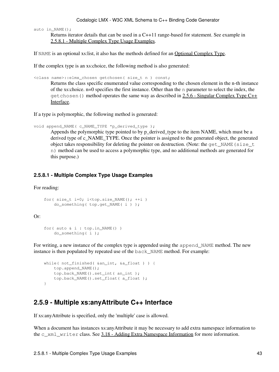auto in\_NAME();

Returns iterator details that can be used in a C++11 range-based for statement. See example in [2.5.8.1 - Multiple Complex Type Usage Examples](#page-48-0).

If NAME is an optional xs:list, it also has the methods defined for an Optional Complex Type.

If the complex type is an xs:choice, the following method is also generated:

<class name>::elmx\_chosen getchosen( size\_t n ) const;

Returns the class specific enumerated value corresponding to the chosen element in the n-th instance of the xs:choice. n=0 specifies the first instance. Other than the n parameter to select the index, the  $q$ etchosen() method operates the same way as described in [2.5.6 - Singular Complex Type C++](#page-43-1) [Interface](#page-43-1).

If a type is polymorphic, the following method is generated:

```
void append_NAME( c_NAME_TYPE *p_derived_type );
```
Appends the polymorphic type pointed to by p\_derived\_type to the item NAME, which must be a derived type of c\_NAME\_TYPE. Once the pointer is assigned to the generated object, the generated object takes responsibility for deleting the pointer on destruction. (Note: the get\_NAME(size\_t n) method can be used to access a polymorphic type, and no additional methods are generated for this purpose.)

#### <span id="page-48-0"></span>**2.5.8.1 - Multiple Complex Type Usage Examples**

For reading:

```
for( size_t i=0; i<top.size_NAME(); ++i )
     do_something( top.get_NAME( i ) );
```
Or:

```
for( auto \&i : top. in NAME() )
    do_something( i );
```
For writing, a new instance of the complex type is appended using the append\_NAME method. The new instance is then populated by repeated use of the back NAME method. For example:

```
while( not_finished( &an_int, &a_float ) ) {
   top.append_NAME();
     top.back_NAME().set_int( an_int );
     top.back_NAME().set_float( a_float );
 }
```
## **2.5.9 - Multiple xs:anyAttribute C++ Interface**

If xs:anyAttribute is specified, only the 'multiple' case is allowed.

When a document has instances xs:anyAttribute it may be necessary to add extra namespace information to the c\_xml\_writer class. See [3.18 - Adding Extra Namespace Information](#page-108-0) for more information.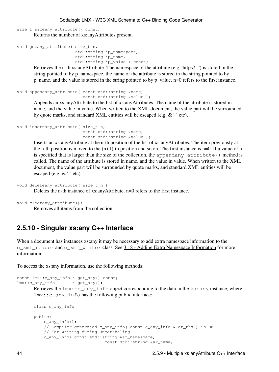size\_t sizeany\_attribute() const; Returns the number of xs:anyAttributes present.

```
void getany_attribute( size_t n,
                         std::string *p_namespace,
                         std::string *p_name,
                         std::string *p_value ) const;
```
Retrieves the n-th xs:anyAttribute. The namespace of the attribute (e.g. 'http://...') is stored in the string pointed to by p\_namespace, the name of the attribute is stored in the string pointed to by p\_name, and the value is stored in the string pointed to by p\_value. n=0 refers to the first instance.

```
void appendany attribute( const std::string &name,
                          const std::string &value );
```
Appends an xs:anyAttribute to the list of xs:anyAttributes. The name of the attribute is stored in name, and the value in value. When written to the XML document, the value part will be surrounded by quote marks, and standard XML entities will be escaped (e.g. & ' " etc).

```
void insertany_attribute( size_t n,
                          const std::string &name,
                          const std::string &value );
```
Inserts an xs:anyAttribute at the n-th position of the list of xs:anyAttributes. The item previously at the n-th position is moved to the  $(n+1)$ -th position and so on. The first instance is  $n=0$ . If a value of n is specified that is larger than the size of the collection, the appendany\_attribute() method is called. The name of the attribute is stored in name, and the value in value. When written to the XML document, the value part will be surrounded by quote marks, and standard XML entities will be escaped (e.g.  $&$  '" etc).

```
void deleteany_attribute( size_t n );
```
Deletes the n-th instance of xs:anyAttribute. n=0 refers to the first instance.

```
void clearany_attribute();
```
Removes all items from the collection.

### <span id="page-49-0"></span>**2.5.10 - Singular xs:any C++ Interface**

When a document has instances xs:any it may be necessary to add extra namespace information to the c\_xml\_reader and c\_xml\_writer class. See [3.18 - Adding Extra Namespace Information](#page-108-0) for more information.

To access the xs:any information, use the following methods:

```
const lmx:: c any info & get any() const;
lmx::c_any_info & get_any();
       Retrieves the lmx::c_{any\_info} object corresponding to the data in the xs: any instance, where
       lmx::c_any_info has the following public interface:
```

```
class c_any_info
{
public:
     c_any_info();
    // Compiler generated c_any_info( const c_any_info & ar_rhs ) is OK
    // For writing during unmarshaling
     c_any_info( const std::string &ar_namespace,
                            const std::string &ar_name,
```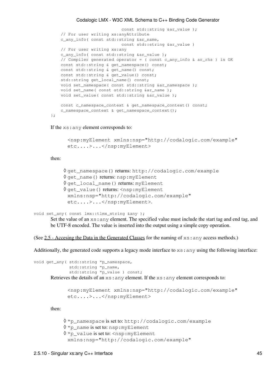```
const std::string &ar_value );
// For user writing xs:anyAttribute
 c_any_info( const std::string &ar_name,
                       const std::string &ar_value )
// For user writing xs:any
 c_any_info( const std::string &ar_value );
// Compiler generated operator = ( const c_any_info & ar_rhs ) is OK
const std::string & get_namespace() const;
const std::string & get_name() const;
const std::string & get_value() const;
 std::string get_local_name() const;
void set_namespace( const std::string &ar_namespace );
void set_name( const std::string &ar_name );
void set_value( const std::string &ar_value );
const c_namespace_context & get_namespace_context() const;
 c_namespace_context & get_namespace_context();
```
#### If the xs:any element corresponds to:

```
<nsp:myElement xmlns:nsp="http://codalogic.com/example"
etc....>...</nsp:myElement>
```
#### then:

};

```
◊ get_namespace() returns: http://codalogic.com/example
◊ get_name() returns: nsp:myElement
◊ get_local_name() returns: myElement
<code>\lozenge get_value()</code> returns: <nsp:myElement
 xmlns:nsp="http://codalogic.com/example"
 etc....>...</nsp:myElement>.
```

```
void set_any( const lmx::tlmx_string &any );
```
Set the value of an  $xs:$  any element. The specified value must include the start tag and end tag, and be UTF-8 encoded. The value is inserted into the output using a simple copy operation.

(See  $2.5$  - Accesing the Data in the Generated Classes for the naming of  $xs:$  any access methods.)

Additionally, the generated code supports a legacy mode interface to  $xs:any$  using the following interface:

void get\_any( std::string \*p\_namespace, std::string \*p\_name, std::string \*p\_value ) const; Retrieves the details of an xs:any element. If the xs:any element corresponds to:

```
<nsp:myElement xmlns:nsp="http://codalogic.com/example"
etc....>...</nsp:myElement>
```
then:

◊ \*p\_namespace is set to: http://codalogic.com/example ◊ \*p\_name is set to: nsp:myElement \*p\_value is set to: <nsp:myElement ◊ xmlns:nsp="http://codalogic.com/example"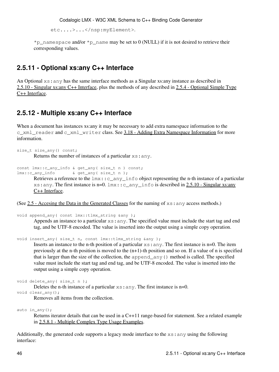etc....>...</nsp:myElement>.

 $\gamma_{\text{p\_name}}$  mamespace and/or  $\gamma_{\text{p\_name}}$  mame may be set to 0 (NULL) if it is not desired to retrieve their corresponding values.

### **2.5.11 - Optional xs:any C++ Interface**

An Optional xs:any has the same interface methods as a Singular xs:any instance as described in [2.5.10 - Singular xs:any C++ Interface,](#page-49-0) plus the methods of any described in [2.5.4 - Optional Simple Type](#page-41-1) [C++ Interface.](#page-41-1)

### <span id="page-51-0"></span>**2.5.12 - Multiple xs:any C++ Interface**

When a document has instances xs:any it may be necessary to add extra namespace information to the c\_xml\_reader and c\_xml\_writer class. See [3.18 - Adding Extra Namespace Information](#page-108-0) for more information.

```
size_t size_any() const;
       Returns the number of instances of a particular xs:any.
```

```
const lmx::c_any_info & get_any( size_t n ) const;
lmx::c_any_info & get_any( size_t n );
```
Retrieves a reference to the  $lmx$ ::  $c$  any info object representing the n-th instance of a particular xs:any. The first instance is  $n=0$ .  $lmx$ :  $\nc$  any  $\int$ info is described in [2.5.10 - Singular xs:any](#page-49-0) [C++ Interface.](#page-49-0)

(See  $2.5$  - Accesing the Data in the Generated Classes for the naming of  $x s :$ any access methods.)

```
void append_any( const lmx::tlmx_string &any );
```
Appends an instance to a particular xs:any. The specified value must include the start tag and end tag, and be UTF-8 encoded. The value is inserted into the output using a simple copy operation.

void insert\_any( size\_t n, const lmx::tlmx\_string &any );

Inserts an instance to the n-th position of a particular  $xs:any$ . The first instance is n=0. The item previously at the n-th position is moved to the  $(n+1)$ -th position and so on. If a value of n is specified that is larger than the size of the collection, the append\_any() method is called. The specified value must include the start tag and end tag, and be UTF-8 encoded. The value is inserted into the output using a simple copy operation.

```
void delete_any( size_t n );
```
Deletes the n-th instance of a particular  $xs:$  any. The first instance is  $n=0$ .

void clear\_any(); Removes all items from the collection.

auto in any();

Returns iterator details that can be used in a C++11 range-based for statement. See a related example in [2.5.8.1 - Multiple Complex Type Usage Examples](#page-48-0).

Additionally, the generated code supports a legacy mode interface to the xs:any using the following interface: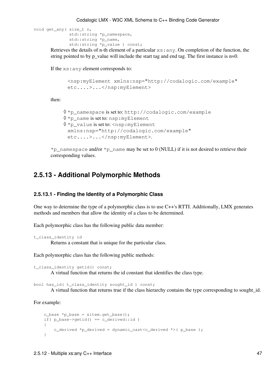```
void get_any( size_t n,
               std::string *p_namespace, 
               std::string *p_name,
                std::string *p_value ) const;
```
Retrieves the details of n-th element of a particular  $xs:any$ . On completion of the function, the string pointed to by  $p$ -value will include the start tag and end tag. The first instance is  $n=0$ .

If the xs:any element corresponds to:

```
<nsp:myElement xmlns:nsp="http://codalogic.com/example"
etc....>...</nsp:myElement>
```
then:

```
◊ *p_namespace is set to: http://codalogic.com/example
◊ *p_name is set to: nsp:myElement
*p_value is set to: <nsp:myElement
◊ 
 xmlns:nsp="http://codalogic.com/example"
 etc....>...</nsp:myElement>.
```
\*p\_namespace and/or  $\text{*p\_name}$  may be set to 0 (NULL) if it is not desired to retrieve their corresponding values.

### **2.5.13 - Additional Polymorphic Methods**

#### **2.5.13.1 - Finding the Identity of a Polymorphic Class**

One way to determine the type of a polymorphic class is to use C++'s RTTI. Additionally, LMX generates methods and members that allow the identity of a class to be determined.

Each polymorphic class has the following public data member:

```
t_class_identity id
```
Returns a constant that is unique for the particular class.

Each polymorphic class has the following public methods:

```
t_class_identity getid() const;
```
A virtual function that returns the id constant that identifies the class type.

bool has\_id( t\_class\_identity sought\_id ) const;

A virtual function that returns true if the class hierarchy contains the type corresponding to sought\_id.

For example:

```
c_base *p_base = &item.get_base();
if( p\_base \rightarrow qetid() == c\_derived::id) {
     c_derived *p_derived = dynamic_cast<c_derived *>( p_base );
 }
```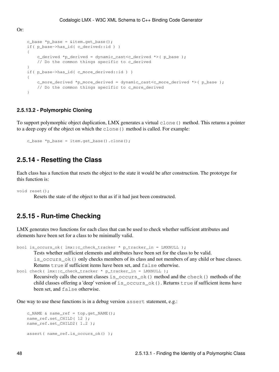```
c_{\text{base}} * p_{\text{base}} = \text{aitem.get\_base}if( p_base->has_id( c_derived::id ) )
     {
         c_derived *p_derived = dynamic_cast<c_derived *>( p_base );
        // Do the common things specific to c_derived
 }
    if( p base->has id( c more derived::id ) )
     {
         c_more_derived *p_more_derived = dynamic_cast<c_more_derived *>( p_base );
        // Do the common things specific to c_more_derived
     }
```
#### **2.5.13.2 - Polymorphic Cloning**

To support polymorphic object duplication, LMX generates a virtual clone() method. This returns a pointer to a deep copy of the object on which the clone() method is called. For example:

```
c_base *p_base = item.get_base().clone();
```
### **2.5.14 - Resetting the Class**

Each class has a function that resets the object to the state it would be after construction. The prototype for this function is:

```
void reset();
```
Or:

Resets the state of the object to that as if it had just been constructed.

### **2.5.15 - Run-time Checking**

LMX generates two functions for each class that can be used to check whether sufficient attributes and elements have been set for a class to be minimally valid.

bool is\_occurs\_ok( lmx::c\_check\_tracker \* p\_tracker\_in = LMXNULL );

Tests whether sufficient elements and attributes have been set for the class to be valid.

is\_occurs\_ok() only checks members of its class and not members of any child or base classes. Returns true if sufficient items have been set, and false otherwise.

```
bool check( lmx::c_check_tracker * p_tracker_in = LMXNULL );
```
Recursively calls the current classes is\_occurs\_ok() method and the check() methods of the child classes offering a 'deep' version of is\_occurs\_ok(). Returns true if sufficient items have been set, and false otherwise.

One way to use these functions is in a debug version assert statement, e.g.:

```
c_NAME & name_ref = top.get_NAME();
 name_ref.set_CHILD( 12 );
 name_ref.set_CHILD2( 1.2 );
 assert( name_ref.is_occurs_ok() );
```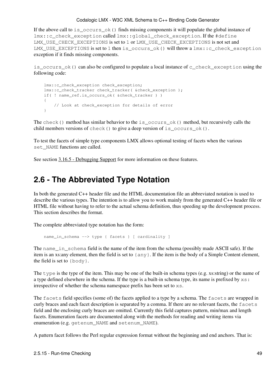If the above call to is  $\circ$ occurs  $\circ$ k() finds missing components it will populate the global instance of lmx::c\_check\_exception called lmx::global\_check\_exception. If the #define LMX\_USE\_CHECK\_EXCEPTIONS is set to 1 or LMX\_USE\_CHECK\_EXCEPTIONS is not set and LMX\_USE\_EXCEPTIONS is set to 1 then is\_occurs\_ok() will throw a lmx::c\_check\_exception exception if it finds missing components.

is\_occurs\_ok() can also be configured to populate a local instance of c\_check\_exception using the following code:

```
 lmx::c_check_exception check_exception;
 lmx::c_check_tracker check_tracker( &check_exception );
if( ! name_ref.is_occurs_ok( &check_tracker ) )
 {
    // Look at check_exception for details of error
 }
```
The check () method has similar behavior to the is\_occurs\_ok() method, but recursively calls the child members versions of check() to give a deep version of is\_occurs\_ok().

To test the facets of simple type components LMX allows optional testing of facets when the various set NAME functions are called.

See section [3.16.5 - Debugging Support](#page-107-0) for more information on these features.

## **2.6 - The Abbreviated Type Notation**

In both the generated C++ header file and the HTML documentation file an abbreviated notation is used to describe the various types. The intention is to allow you to work mainly from the generated C++ header file or HTML file without having to refer to the actual schema definition, thus speeding up the development process. This section describes the format.

The complete abbreviated type notation has the form:

```
 name_in_schema --> type { facets } [ cardinality ]
```
The name in schema field is the name of the item from the schema (possibly made ASCII safe). If the item is an xs:any element, then the field is set to {any}. If the item is the body of a Simple Content element, the field is set to  $\{body\}$ .

The type is the type of the item. This may be one of the built-in schema types (e.g. xs:string) or the name of a type defined elsewhere in the schema. If the type is a built-in schema type, its name is prefixed by  $x s$ : irrespective of whether the schema namespace prefix has been set to xs.

The facets field specifies (some of) the facets applied to a type by a schema. The facets are wrapped in curly braces and each facet description is separated by a comma. If there are no relevant facets, the facets field and the enclosing curly braces are omitted. Currently this field captures pattern, min/max and length facets. Enumeration facets are documented along with the methods for reading and writing items via enumeration (e.g. getenum\_NAME and setenum\_NAME).

A pattern facet follows the Perl regular expression format without the beginning and end anchors. That is: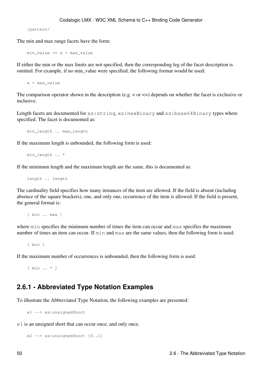/pattern/

The min and max range facets have the form:

min\_value <= x < max\_value

If either the min or the max limits are not specified, then the corresponding leg of the facet description is omitted. For example, if no min\_value were specified, the following format would be used:

x < max\_value

The comparison operator shown in the description (e.g.  $\lt$  or  $\lt$ =) depends on whether the facet is exclusive or inclusive.

Length facets are documented for  $xs:string, xs:hexBinary and xs:base64Binary types where$ specified. The facet is documented as:

min\_length .. max\_length

If the maximum length is unbounded, the following form is used:

min\_length .. \*

If the minimum length and the maximum length are the same, this is documented as:

length .. length

The cardinality field specifies how many instances of the item are allowed. If the field is absent (including absence of the square brackets), one, and only one, occurrence of the item is allowed. If the field is present, the general format is:

[ min .. max ]

where min specifies the minimum number of times the item can occur and max specifies the maximum number of times an item can occur. If min and max are the same values, then the following form is used:

[ min ]

If the maximum number of occurrences is unbounded, then the following form is used:

[ min .. \* ]

### **2.6.1 - Abbreviated Type Notation Examples**

To illustrate the Abbreviated Type Notation, the following examples are presented:

e1 --> xs:unsignedShort

e1 is an unsigned short that can occur once, and only once.

```
 e2 --> xs:unsignedShort [0..1]
```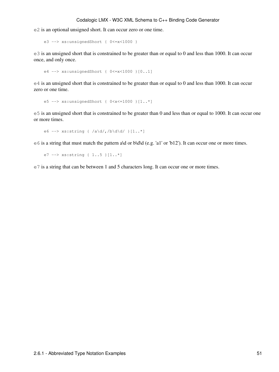e2 is an optional unsigned short. It can occur zero or one time.

e3 --> xs:unsignedShort { 0<=x<1000 }

e3 is an unsigned short that is constrained to be greater than or equal to 0 and less than 1000. It can occur once, and only once.

```
 e4 --> xs:unsignedShort { 0<=x<1000 }[0..1]
```
e4 is an unsigned short that is constrained to be greater than or equal to 0 and less than 1000. It can occur zero or one time.

```
 e5 --> xs:unsignedShort { 0<x<=1000 }[1..*]
```
e5 is an unsigned short that is constrained to be greater than 0 and less than or equal to 1000. It can occur one or more times.

```
e6 --> xs:string { /a\ddot{/}d/d, /b\ddot{/}d\ddot{/}l..*]
```
e6 is a string that must match the pattern a\d or b\d\d (e.g. 'a1' or 'b12'). It can occur one or more times.

```
 e7 --> xs:string { 1..5 }[1..*]
```
e7 is a string that can be between 1 and 5 characters long. It can occur one or more times.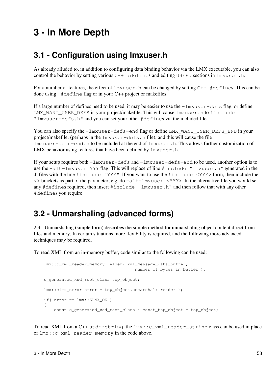# **3 - In More Depth**

# **3.1 - Configuration using lmxuser.h**

As already alluded to, in addition to configuring data binding behavior via the LMX executable, you can also control the behavior by setting various  $C++$  #defines and editing USER: sections in  $lmxuser.h$ .

For a number of features, the effect of  $lmxuser.h$  can be changed by setting  $C++$  #defines. This can be done using -#define flag or in your C++ project or makefiles.

If a large number of defines need to be used, it may be easier to use the  $-\frac{1}{m}x^{-1}$  and  $\frac{1}{m}$  and  $\frac{1}{m}$  and  $\frac{1}{m}$  and  $\frac{1}{m}$  and  $\frac{1}{m}$  and  $\frac{1}{m}$  and  $\frac{1}{m}$  and  $\frac{1}{m}$  and  $\frac{1}{m}$  and  $\frac$ LMX\_WANT\_USER\_DEFS in your project/makefile. This will cause lmxuser.h to #include "lmxuser-defs.h" and you can set your other #defines via the included file.

You can also specify the  $-l$ mxuser-defs-end flag or define LMX\_WANT\_USER\_DEFS\_END in your project/makefile, (perhaps in the lmxuser-defs.h file), and this will cause the file lmxuser-defs-end.h to be included at the end of lmxuser.h. This allows further customization of LMX behavior using features that have been defined by  $lmxuser.h$ .

If your setup requires both -lmxuser-defs and -lmxuser-defs-end to be used, another option is to use the -alt-lmxuser YYY flag. This will replace of line #include "lmxuser.h" generated in the .h files with the line #include "YYY". If you want to use the #include <YYY> form, then include the  $\langle \rangle$  brackets as part of the parameter, e.g. do  $-\text{alt-1mxuser} \langle \rangle$  Ty and the alternative file you would set any #defines required, then insert #include "lmxuser.h" and then follow that with any other #defines you require.

# <span id="page-58-0"></span>**3.2 - Unmarshaling (advanced forms)**

[2.3 - Unmarshaling \(simple form\)](#page-35-0) describes the simple method for unmarshaling object content direct from files and memory. In certain situations more flexibility is required, and the following more advanced techniques may be required.

To read XML from an in-memory buffer, code similar to the following can be used:

```
 lmx::c_xml_reader_memory reader( xml_message_data_buffer, 
                                      number_of_bytes_in_buffer );
 c_generated_xsd_root_class top_object;
 lmx::elmx_error error = top_object.unmarshal( reader );
if( error == lmx::ELMX_OK )
 {
    const c_generated_xsd_root_class & const_top_object = top_object;
     ...
```
To read XML from a C++ std::string, the lmx::c\_xml\_reader\_string class can be used in place of lmx::c\_xml\_reader\_memory in the code above.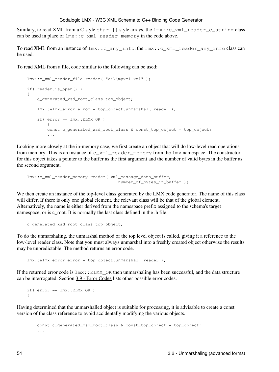Similary, to read XML from a C-style char  $[]$  style arrays, the  $lmx::c\_xml\_reader_c_string$  class can be used in place of lmx::c\_xml\_reader\_memory in the code above.

To read XML from an instance of lmx::c\_any\_info, the lmx::c\_xml\_reader\_any\_info class can be used.

To read XML from a file, code similar to the following can be used:

```
lmx::c_xml_reader_file_reader( "c:\\myxml.xml" );
        if( reader.is_open() )
         {
                 c_generated_xsd_root_class top_object;
                 lmx::elmx_error error = top_object.unmarshal( reader );
                if( error == lmx::ELMX_OK )\left\{ \begin{array}{cc} 0 & 0 & 0 \\ 0 & 0 & 0 \\ 0 & 0 & 0 \\ 0 & 0 & 0 \\ 0 & 0 & 0 \\ 0 & 0 & 0 \\ 0 & 0 & 0 \\ 0 & 0 & 0 \\ 0 & 0 & 0 \\ 0 & 0 & 0 \\ 0 & 0 & 0 \\ 0 & 0 & 0 & 0 \\ 0 & 0 & 0 & 0 \\ 0 & 0 & 0 & 0 \\ 0 & 0 & 0 & 0 & 0 \\ 0 & 0 & 0 & 0 & 0 \\ 0 & 0 & 0 & 0 & 0 \\ 0 & 0 & 0 & 0 & 0 & 0 \\ 0 & 0 & 0 & 0const c_generated_xsd_root_class & const_top_object = top_object;
                          ...
```
Looking more closely at the in-memory case, we first create an object that will do low-level read operations from memory. This is an instance of  $c\_xml\_reader\_memory$  from the  $lmx$  namespace. The constructor for this object takes a pointer to the buffer as the first argument and the number of valid bytes in the buffer as the second argument.

```
 lmx::c_xml_reader_memory reader( xml_message_data_buffer, 
                                  number of bytes in buffer );
```
We then create an instance of the top-level class generated by the LMX code generator. The name of this class will differ. If there is only one global element, the relevant class will be that of the global element. Alternatively, the name is either derived from the namespace prefix assigned to the schema's target namespace, or is c\_root. It is normally the last class defined in the .h file.

c\_generated\_xsd\_root\_class top\_object;

To do the unmarshaling, the unmarshal method of the top level object is called, giving it a reference to the low-level reader class. Note that you must always unmarshal into a freshly created object otherwise the results may be unpredictable. The method returns an error code.

lmx::elmx\_error error = top\_object.unmarshal( reader );

If the returned error code is  $lmx$ : ELMX OK then unmarshaling has been successful, and the data structure can be interrogated. Section [3.9 - Error Codes](#page-85-0) lists other possible error codes.

```
if(error == lmx::ELMX OK) {
```
Having determined that the unmarshalled object is suitable for processing, it is advisable to create a const version of the class reference to avoid accidentally modifying the various objects.

```
const c_generated_xsd_root_class & const_top_object = top_object;
 ...
```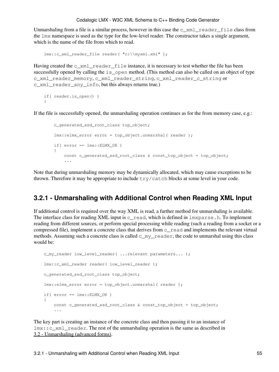Unmarshaling from a file is a similar process, however in this case the  $\alpha$  xml reader file class from the lmx namespace is used as the type for the low-level reader. The constructor takes a single argument, which is the name of the file from which to read.

```
 lmx::c_xml_reader_file reader( "c:\\myxml.xml" );
```
Having created the  $c_{x}$ ml<sub>reader</sub> file instance, it is necessary to test whether the file has been successfully opened by calling the is\_open method. (This method can also be called on an object of type c\_xml\_reader\_memory, c\_xml\_reader\_string, c\_xml\_reader\_c\_string or c\_xml\_reader\_any\_info, but this always returns true.)

```
if( reader.is_open() )
 {
```
If the file is successfully opened, the unmarshaling operation continues as for the from memory case, e.g.:

```
 c_generated_xsd_root_class top_object;
        lmx::elmx error error = top object.unmarshal( reader );
        if( error == \text{lmx::ELMX OK} )
\overline{\mathcal{L}}const c_generated_xsd_root_class & const_top_object = top_object;
              ...
```
Note that during unmarshaling memory may be dynamically allocated, which may cause exceptions to be thrown. Therefore it may be appropriate to include  $try/catch$  blocks at some level in your code.

### **3.2.1 - Unmarshaling with Additional Control when Reading XML Input**

If additional control is required over the way XML is read, a further method for unmarshaling is available. The interface class for reading XML input is  $c_{\text{read}}$ , which is defined in lmxparse.h. To implement reading from different sources, or perform special processing while reading (such a reading from a socket or a compressed file), implement a concrete class that derives from c\_read and implements the relevant virtual methods. Assuming such a concrete class is called  $\subset \mathbb{m}$  reader, the code to unmarshal using this class would be:

```
c_my_reader low_level_reader( ...relevant parameters... );
 lmx::c_xml_reader reader( low_level_reader );
 c_generated_xsd_root_class top_object;
 lmx::elmx_error error = top_object.unmarshal( reader );
if( error == lmx::ELMX_OK ) {
    const c_generated_xsd_root_class & const_top_object = top_object;
     ...
```
The key part is creating an instance of the concrete class and then passing it to an instance of lmx::c\_xml\_reader. The rest of the unmarshaling operation is the same as described in [3.2 - Unmarshaling \(advanced forms\)](#page-58-0).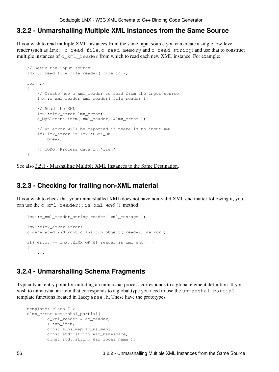### <span id="page-61-0"></span>**3.2.2 - Unmarshalling Multiple XML Instances from the Same Source**

If you wish to read multiple XML instances from the same input source you can create a single low-level reader (such as lmx::c\_read\_file, c\_read\_memory and c\_read\_string) and use that to construct multiple instances of  $c$ \_xml\_reader from which to read each new XML instance. For example:

```
// Setup the input source
lmx::c_read_file_file_reader( file in );
for(j; {
    // Create new c_xml_reader to read from the input source
    lmx::c_xml_reader xml_reader( file_reader );
   // Read the XML
    lmx::elmx_error lmx_error;
    c_MyElement item( xml_reader, &lmx_error );
   // An error will be reported if there is no input XML
   if( lmx_error != lmx::ELMX_OK )
       break;
   // TODO: Process data in 'item'
 }
```
See also [3.5.1 - Marshalling Multiple XML Instances to the Same Destination](#page-70-0).

### **3.2.3 - Checking for trailing non-XML material**

If you wish to check that your unmarshalled XML does not have non-valid XML end matter following it, you can use the c\_xml\_reader::is\_xml\_end() method.

```
 lmx::c_xml_reader_string reader( xml_message );
    lmx::elmx_error error;
    c_generated_xsd_root_class top_object( reader, &error );
   if( error == lmx::ELMX_OK && reader.is_xml_end() )
    {
 ...
```
### **3.2.4 - Unmarshalling Schema Fragments**

Typically an entry point for initiating an unmarshal process corresponds to a global element definition. If you wish to unmarshal an item that corresponds to a global type you need to use the unmarshal partial template functions located in lmxparse.h. These have the prototypes:

```
template< class T >
 elmx_error unmarshal_partial(
        c_xml_reader & ar_reader,
        T *ap_item,
       const s_ns_map ac_ns_map[],
        const std::string &ar_namespace,
        const std::string &ar_local_name );
```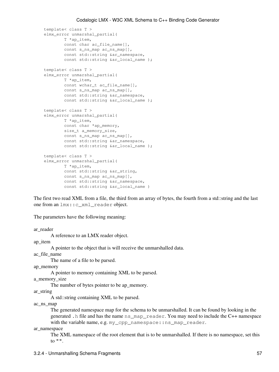```
template< class T >
 elmx_error unmarshal_partial(
        T *ap_item,
        const char ac_file_name[],
        const s_ns_map ac_ns_map[],
       const std::string &ar_namespace,
        const std::string &ar_local_name );
template< class T >
 elmx_error unmarshal_partial(
        T *ap_item,
       const wchar_t ac_file_name[],
       const s_ns_map ac_ns_map[],
       const std::string &ar_namespace,
        const std::string &ar_local_name );
template< class T >
 elmx_error unmarshal_partial(
        T *ap_item,
       const char *ap_memory,
        size_t a_memory_size,
       const s_ns_map ac_ns_map[],
       const std::string &ar_namespace,
       const std::string &ar_local_name );
template< class T >
 elmx_error unmarshal_partial(
         T *ap_item,
        const std::string &ar_string,
       const s_ns_map ac_ns_map[],
        const std::string &ar_namespace,
        const std::string &ar_local_name )
```
The first two read XML from a file, the third from an array of bytes, the fourth from a std::string and the last one from an lmx::c\_xml\_reader object.

The parameters have the following meaning:

ar\_reader

A reference to an LMX reader object.

ap\_item

A pointer to the object that is will receive the unmarshalled data.

ac\_file\_name

The name of a file to be parsed.

ap\_memory

A pointer to memory containing XML to be parsed.

a\_memory\_size

The number of bytes pointer to be ap memory.

ar\_string

A std::string containing XML to be parsed.

ac\_ns\_map

The generated namespace map for the schema to be unmarshalled. It can be found by looking in the generated .h file and has the name ns\_map\_reader. You may need to include the C++ namespace with the variable name, e.g. my\_cpp\_namespace:: ns\_map\_reader.

#### ar\_namespace

The XML namespace of the root element that is to be unmarshalled. If there is no namespace, set this to  $"$ .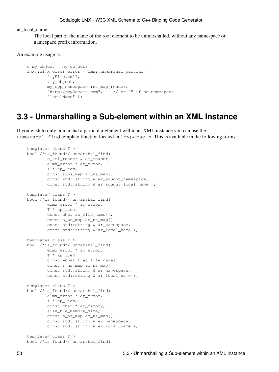ar\_local\_name

The local part of the name of the root element to be unmarshalled, without any namespace or namespace prefix information.

An example usage is:

```
 c_my_object my_object;
 lmx::elmx_error error = lmx::unmarshal_partial(
        "myFile.xml",
         &my_object,
        my_cpp_namespace::ns_map_reader,
         "http://myDomain.com", // or "" if no namespace
         "localName" );
```
## **3.3 - Unmarshalling a Sub-element within an XML Instance**

If you wish to only unmarshal a particular element within an XML instance you can use the unmarshal\_find template function located in  $lmxparse.h$ . This is available in the following forms:

```
template< class T >
bool /*is_found*/ unmarshal_find(
        c_xml_reader & ar_reader,
         elmx_error * ap_error,
         T * ap_item,
        const s_ns_map ac_ns_map[],
        const std::string & ar_sought_namespace,
        const std::string & ar_sought_local_name );
template< class T >
bool /*is_found*/ unmarshal_find(
        elmx_error * ap_error,
         T * ap_item,
       const char ac_file_name[],
        const s_ns_map ac_ns_map[],
        const std::string & ar_namespace,
        const std::string & ar_local_name );
template< class T >
bool /*is_found*/ unmarshal_find(
         elmx_error * ap_error,
         T * ap_item,
        const wchar_t ac_file_name[],
        const s_ns_map ac_ns_map[],
        const std:: string & ar namespace,
        const std::string & ar_local_name );
template< class T >
bool /*is_found*/ unmarshal_find(
         elmx_error * ap_error,
         T * ap_item,
        const char * ap_memory,
         size_t a_memory_size,
        const s_ns_map ac_ns_map[],
        const std:: string & ar namespace,
        const std::string & ar_local_name );
template< class T >
bool /*is_found*/ unmarshal_find(
```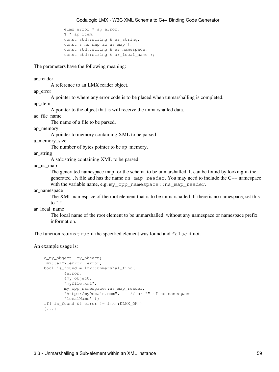```
 elmx_error * ap_error,
 T * ap_item,
const std::string & ar_string,
const s_ns_map ac_ns_map[],
const std::string & ar_namespace,
const std::string & ar_local_name );
```
The parameters have the following meaning:

ar\_reader

A reference to an LMX reader object.

ap\_error

A pointer to where any error code is to be placed when unmarshalling is completed.

ap\_item

A pointer to the object that is will receive the unmarshalled data.

ac\_file\_name

The name of a file to be parsed.

ap\_memory

A pointer to memory containing XML to be parsed.

a\_memory\_size

The number of bytes pointer to be ap\_memory.

ar\_string

A std::string containing XML to be parsed.

ac\_ns\_map

The generated namespace map for the schema to be unmarshalled. It can be found by looking in the generated .h file and has the name ns\_map\_reader. You may need to include the C++ namespace with the variable name, e.g. my\_cpp\_namespace::ns\_map\_reader.

ar\_namespace

The XML namespace of the root element that is to be unmarshalled. If there is no namespace, set this to "".

ar local name

The local name of the root element to be unmarshalled, without any namespace or namespace prefix information.

The function returns  $true$  if the specified element was found and  $false$  if not.

An example usage is:

```
 c_my_object my_object;
 lmx::elmx_error error;
bool is_found = lmx::unmarshal_find(
         &error,
         &my_object,
         "myfile.xml",
         my_cpp_namespace::ns_map_reader,
         "http://myDomain.com", // or "" if no namespace
         "localName" );
if( is_found && error != lmx::ELMX_OK )
 {...}
```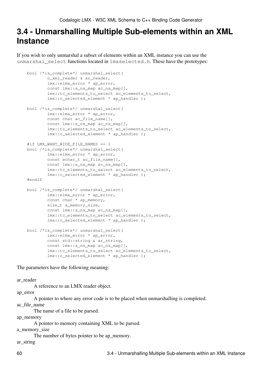## **3.4 - Unmarshalling Multiple Sub-elements within an XML Instance**

If you wish to only unmarshal a subset of elements within an XML instance you can use the unmarshal\_select functions located in lmxselected.h. These have the prototypes:

```
bool /*is_complete*/ unmarshal_select(
         c_xml_reader & ar_reader,
        lmx::elmx_error * ap_error,
        const lmx::s_ns_map ac_ns_map[],
         lmx::tc_elements_to_select ac_elements_to_select,
         lmx::c_selected_element * ap_handler );
bool /*is_complete*/ unmarshal_select(
         lmx::elmx_error * ap_error,
        const char ac_file_name[],
        const lmx::s_ns_map ac_ns_map[],
         lmx::tc_elements_to_select ac_elements_to_select,
         lmx::c_selected_element * ap_handler );
 #if LMX_WANT_WIDE_FILE_NAMES == 1
bool /*is_complete*/ unmarshal_select(
        lmx::elmx_error * ap_error,
        const wchar_t ac_file_name[],
        const lmx::s_ns_map ac_ns_map[],
         lmx::tc_elements_to_select ac_elements_to_select,
         lmx::c_selected_element * ap_handler );
 #endif
bool /*is_complete*/ unmarshal_select(
         lmx::elmx_error * ap_error,
       const char * ap_memory,
         size_t a_memory_size,
        const lmx::s_ns_map ac_ns_map[],
         lmx::tc_elements_to_select ac_elements_to_select,
        lmx::c_selected_element * ap_handler );
bool /*is_complete*/ unmarshal_select(
         lmx::elmx_error * ap_error,
        const std::string & ar_string,
        const lmx::s_ns_map ac_ns_map[],
         lmx::tc_elements_to_select ac_elements_to_select,
         lmx::c_selected_element * ap_handler );
```
The parameters have the following meaning:

ar\_reader

A reference to an LMX reader object.

ap\_error

A pointer to where any error code is to be placed when unmarshalling is completed.

ac\_file\_name

The name of a file to be parsed.

ap\_memory

A pointer to memory containing XML to be parsed.

```
a_memory_size
```
The number of bytes pointer to be ap\_memory.

ar\_string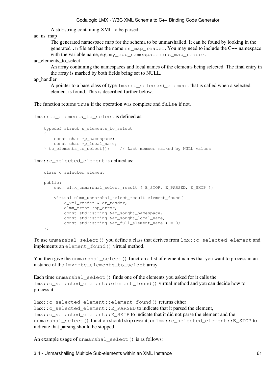A std::string containing XML to be parsed.

ac\_ns\_map

The generated namespace map for the schema to be unmarshalled. It can be found by looking in the generated .h file and has the name ns\_map\_reader. You may need to include the C++ namespace with the variable name, e.g. my\_cpp\_namespace::ns\_map\_reader.

ac elements to select

An array containing the namespaces and local names of the elements being selected. The final entry in the array is marked by both fields being set to NULL.

ap\_handler

A pointer to a base class of type lmx::c\_selected\_element that is called when a selected element is found. This is described further below.

The function returns  $true$  if the operation was complete and false if not.

lmx::tc\_elements\_to\_select is defined as:

```
typedef struct s_elements_to_select
\left\{\begin{array}{ccc} \end{array}\right\}const char *p_namespace;
        const char *p_local_name;
     } tc_elements_to_select[]; // Last member marked by NULL values
```
lmx::c\_selected\_element is defined as:

```
class c_selected_element
 {
public:
    enum elmx_unmarshal_select_result { E_STOP, E_PARSED, E_SKIP };
     virtual elmx_unmarshal_select_result element_found(
        c_xml_reader & ar_reader,
         elmx_error *ap_error,
        const std:: string &ar sought namespace,
       const std::string &ar_sought_local_name,
        const std::string \&ar full element name ) = 0; };
```
To use unmarshal\_select() you define a class that derives from  $\text{lmx}$ ::c\_selected\_element and implements an element\_found() virtual method.

You then give the unmarshal select() function a list of element names that you want to process in an instance of the lmx::tc\_elements\_to\_select array.

Each time unmarshal\_select() finds one of the elements you asked for it calls the lmx::c\_selected\_element::element\_found() virtual method and you can decide how to process it.

```
lmx::c_selected_element::element_found() returns either
lmx::c_selected_element::E_PARSED to indicate that it parsed the element,
lmx::c_selected_element::E_SKIP to indicate that it did not parse the element and the
unmarshal select() function should skip over it, or lmx::c selected element::E_STOP to
indicate that parsing should be stopped.
```
An example usage of unmarshal\_select() is as follows: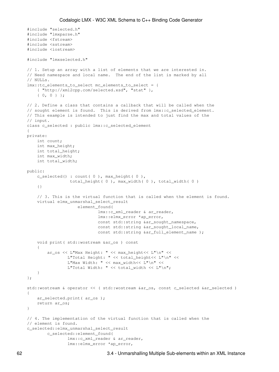```
 #include "selected.h"
     #include "lmxparse.h"
     #include <fstream>
     #include <sstream>
     #include <iostream>
     #include "lmxselected.h"
   // 1. Setup an array with a list of elements that we are interested in.
   // Need namespace and local name. The end of the list is marked by all
    // NULLs.
    lmx::tc_elements_to_select mc_elements_to_select = {
        { "http://xml2cpp.com/selected.xsd", "stat" },
         { 0, 0 } };
   // 2. Define a class that contains a callback that will be called when the
    // sought element is found. This is derived from lmx::c_selected_element.
   // This example is intended to just find the max and total values of the
   // input.
   class c_selected : public lmx::c_selected_element
    {
   private:
       int count;
       int max_height;
       int total height;
       int max_width;
       int total_width;
   public:
        c_selected() : count( 0 ), max_height( 0 ), 
                      total_height( 0 ), max_width( 0 ), total_width( 0 )
        {}
        // 3. This is the virtual function that is called when the element is found.
         virtual elmx_unmarshal_select_result
                         element_found(
                                 lmx::c_xml_reader & ar_reader,
                                 lmx::elmx_error *ap_error,
                                const std::string &ar_sought_namespace,
                                 const std:: string &ar sought local name,
                                 const std::string &ar_full_element_name );
       void print( std::wostream &ar_os ) const
\overline{\mathcal{L}} ar_os << L"Max Height: " << max_height<< L"\n" <<
                    L"Total Height: " << total_height<< L"\n" <<
                    L"Max Width: " << max_width<< L"\n" <<
                     L"Total Width: " << total_width << L"\n";
         }
    };
    std::wostream & operator << ( std::wostream &ar_os, const c_selected &ar_selected )
     {
        ar_selected.print( ar_os );
       return ar_os;
    }
   // 4. The implementation of the virtual function that is called when the
   // element is found.
    c_selected::elmx_unmarshal_select_result
             c_selected::element_found(
                     lmx::c_xml_reader & ar_reader,
                     lmx::elmx_error *ap_error,
```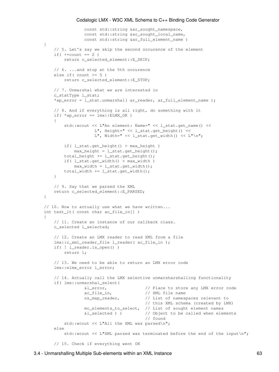```
const std::string &ar_sought_namespace,
                const std::string &ar_sought_local_name,
                const std::string &ar_full_element_name )
 {
    // 5. Let's say we skip the second occurence of the element
   if (++count == 2)
       return c_selected_element::E_SKIP;
    // 6. ...and stop at the 5th occurence
    else if( count >= 5)
       return c_selected_element::E_STOP;
    // 7. Unmarshal what we are interested in
     c_statType l_stat;
    *ap_error = l_stat.unmarshal( ar_reader, ar_full_element_name);
    // 8. And if everything is all right, do something with it
    if( *ap error == lmx::ELMX OK )
     {
        std::wcout << L"An element: Name=" << l_stat.get_name() <<
                     L", Height=" << l_stat.get_height() <<
                    L", Width=" << l_stat.get_width() << L"\n";
       if( l_stat.get_height() > max_height )
           max\_height = 1\_stat.get\_height();
         total_height += l_stat.get_height();
        if( l_stat.get_width() > max_width )
            max width = 1 stat.get width();
        total_width += l_stat.get_width();
     }
   // 9. Say that we parsed the XML
   return c_selected_element::E_PARSED;
 }
// 10. Now to actually use what we have written...
int test_it( const char ac_file_in[] )
 {
    // 11. Create an instance of our callback class.
    c_selected l_selected;
    // 12. Create an LMX reader to read XML from a file
     lmx::c_xml_reader_file l_reader( ac_file_in );
    if( ! l_reader.is_open() )
       return 1;
    // 13. We need to be able to return an LMX error code
     lmx::elmx_error l_error;
    // 14. Actually call the LMX selective unmarsharshalling functionality
    if( lmx::unmarshal_select(
                &l_error, // Place to store any LMX error code
               ac file in, \frac{1}{2} // XML file name
                ns_map_reader, // List of namespaces relevant to 
                                       // this XML schema (created by LMX)
                mc_elements_to_select, // List of sought element names
                &l_selected ) ) // Object to be called when elements 
                                        // found
        std::wcout << L"All the XML was parsed\n";
    else
         std::wcout << L"XML parsed was terminated before the end of the input\n";
    // 15. Check if everything went OK
```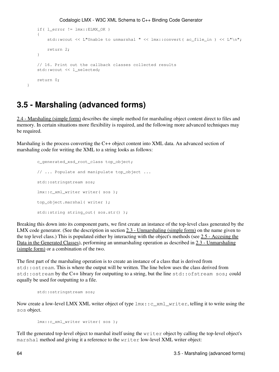```
if( l_error != lmx::ELMX_OK )
\overline{\mathcal{L}}std::wcout << L"Unable to unmarshal " << lmx::convert( ac_file_in ) << L"\n";
            return 2;
         }
        // 16. Print out the callback classes collected results
         std::wcout << l_selected;
        return 0;
```
## <span id="page-69-0"></span>**3.5 - Marshaling (advanced forms)**

}

[2.4 - Marshaling \(simple form\)](#page-38-0) describes the simple method for marshaling object content direct to files and memory. In certain situations more flexibility is required, and the following more advanced techniques may be required.

Marshaling is the process converting the C++ object content into XML data. An advanced section of marshaling code for writing the XML to a string looks as follows:

```
 c_generated_xsd_root_class top_object;
// ... Populate and manipulate top_object ... 
 std::ostringstream sos;
 lmx::c_xml_writer writer( sos );
 top_object.marshal( writer );
 std::string string_out( sos.str() );
```
Breaking this down into its component parts, we first create an instance of the top-level class generated by the LMX code generator. (See the description in section [2.3 - Unmarshaling \(simple form\)](#page-35-0) on the name given to the top level class.) This is populated either by interacting with the object's methods (see [2.5 - Accesing the](#page-40-0) [Data in the Generated Classes\)](#page-40-0), performing an unmarshaling operation as described in [2.3 - Unmarshaling](#page-35-0) [\(simple form\)](#page-35-0) or a combination of the two.

The first part of the marshaling operation is to create an instance of a class that is derived from std::ostream. This is where the output will be written. The line below uses the class derived from std::ostream by the C++ library for outputting to a string, but the line std::ofstream sos; could equally be used for outputting to a file.

```
 std::ostringstream sos;
```
Now create a low-level LMX XML writer object of type lmx::c\_xml\_writer, telling it to write using the sos object.

lmx::c\_xml\_writer writer( sos );

Tell the generated top-level object to marshal itself using the writer object by calling the top-level object's marshal method and giving it a reference to the writer low-level XML writer object: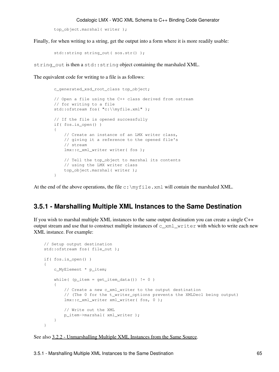```
 top_object.marshal( writer );
```
Finally, for when writing to a string, get the output into a form where it is more readily usable:

```
 std::string string_out( sos.str() );
```
string\_out is then a std::string object containing the marshaled XML.

The equivalent code for writing to a file is as follows:

```
c_generated_xsd_root_class_top_object;
        // Open a file using the C++ class derived from ostream
        // for writing to a file
         std::ofstream fos( "c:\\myfile.xml" );
        // If the file is opened successfully
        if( fos.is_open() )
\overline{\mathcal{L}}// Create an instance of an LMX writer class,
            // giving it a reference to the opened file's
            // stream
             lmx::c_xml_writer writer( fos );
            // Tell the top_object to marshal its contents
            // using the LMX writer class
             top_object.marshal( writer );
         }
```
At the end of the above operations, the file c:  $\my{mfile}$ . xml will contain the marshaled XML.

### <span id="page-70-0"></span>**3.5.1 - Marshalling Multiple XML Instances to the Same Destination**

If you wish to marshal multiple XML instances to the same output destination you can create a single C++ output stream and use that to construct multiple instances of  $c\_xml\_write$  with which to write each new XML instance. For example:

```
// Setup output destination
     std::ofstream fos( file_out );
    if( fos.is_open() )
     {
         c_MyElement * p_item;
        while( (p_iitem = get_item_data()) != 0 )
\overline{\mathcal{L}}// Create a new c_xml_writer to the output destination
            // (The 0 for the t_writer_options prevents the XMLDecl being output)
             lmx::c_xml_writer xml_writer( fos, 0 );
            // Write out the XML
             p_item->marshal( xml_writer );
         }
     }
```
See also [3.2.2 - Unmarshalling Multiple XML Instances from the Same Source.](#page-61-0)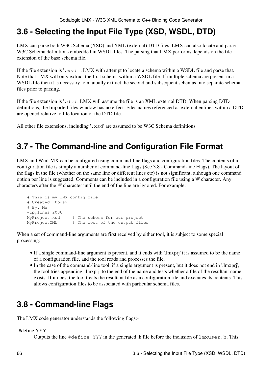# **3.6 - Selecting the Input File Type (XSD, WSDL, DTD)**

LMX can parse both W3C Schema (XSD) and XML (external) DTD files. LMX can also locate and parse W3C Schema definitions embedded in WSDL files. The parsing that LMX performs depends on the file extension of the base schema file.

If the file extension is '.wsdl', LMX with attempt to locate a schema within a WSDL file and parse that. Note that LMX will only extract the first schema within a WSDL file. If multiple schema are present in a WSDL file then it is necessary to manually extract the second and subsequent schemas into separate schema files prior to parsing.

If the file extension is '.dtd', LMX will assume the file is an XML external DTD. When parsing DTD definitions, the Imported files window has no effect. Files names referenced as external entities within a DTD are opened relative to file location of the DTD file.

All other file extensions, including '. xsd' are assumed to be W3C Schema definitions.

# **3.7 - The Command-line and Configuration File Format**

LMX and WinLMX can be configured using command-line flags and configuration files. The contents of a configuration file is simply a number of command-line flags (See [3.8 - Command-line Flags](#page-71-0)). The layout of the flags in the file (whether on the same line or different lines etc) is not significant, although one command option per line is suggested. Comments can be included in a configuration file using a '#' character. Any characters after the '#' character until the end of the line are ignored. For example:

```
 # This is my LMX config file
    # Created: today
    # By: Me
    -cpplines 2000
 MyProject.xsd # The schema for our project
 MyProjectXML # The root of the output files
```
When a set of command-line arguments are first received by either tool, it is subject to some special processing:

- If a single command-line argument is present, and it ends with '.lmxprj' it is assumed to be the name of a configuration file, and the tool reads and processes the file.
- In the case of the command-line tool, if a single argument is present, but it does not end in '.lmxprj', the tool tries appending '.lmxprj' to the end of the name and tests whether a file of the resultant name exists. If it does, the tool treats the resultant file as a configuration file and executes its contents. This allows configuration files to be associated with particular schema files.

# <span id="page-71-0"></span>**3.8 - Command-line Flags**

The LMX code generator understands the following flags:-

### -#define YYY

Outputs the line  $\#$ define YYY in the generated .h file before the inclusion of  $lmxuser.h$ . This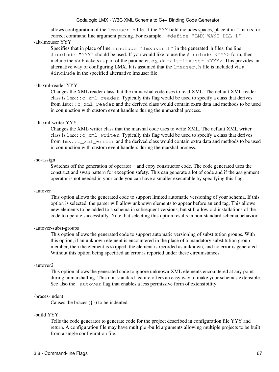allows configuration of the lmxuser.h file. If the YYY field includes spaces, place it in " marks for correct command line argument parsing. For example, -#define "LMX\_WANT\_DLL 1"

## -alt-lmxuser YYY

Specifies that in place of line  $\#$ include "lmxuser.h" in the generated .h files, the line #include "YYY" should be used. If you would like to use the #include <YYY> form, then include the  $\leq$  brackets as part of the parameter, e.g. do  $-\text{alt-lmxuser} \leq \text{YYY}$ . This provides an alternative way of configuring LMX. It is assumed that the lmxuser.h file is included via a #include in the specified alternative lmxuser file.

## -alt-xml-reader YYY

Changes the XML reader class that the unmarshal code uses to read XML. The default XML reader class is lmx::c\_xml\_reader. Typically this flag would be used to specify a class that derives from  $lmx: c$  xml reader and the derived class would contain extra data and methods to be used in conjunction with custom event handlers during the unmarshal process.

## -alt-xml-writer YYY

Changes the XML writer class that the marshal code uses to write XML. The default XML writer class is  $lmx: c\_xml\_writer$ . Typically this flag would be used to specify a class that derives from lmx::c\_xml\_writer and the derived class would contain extra data and methods to be used in conjunction with custom event handlers during the marshal process.

### -no-assign

Switches off the generation of operator = and copy constructor code. The code generated uses the construct and swap pattern for exception safety. This can generate a lot of code and if the assignment operator is not needed in your code you can have a smaller executable by specifying this flag.

#### -autover

This option allows the generated code to support limited automatic versioning of your schema. If this option is selected, the parser will allow unknown elements to appear before an end tag. This allows new elements to be added to a schema in subsequent versions, but still allow old installations of the code to operate successfully. Note that selecting this option results in non-standard schema behavior.

## -autover-subst-groups

This option allows the generated code to support automatic versioning of substitution groups. With this option, if an unknown element is encountered in the place of a mandatory substitution group member, then the element is skipped, the element is recorded as unknown, and no error is generated. Without this option being specified an error is reported under these circumstances.

#### -autover2

This option allows the generated code to ignore unknown XML elements encountered at any point during unmarshalling. This non-standard feature offers an easy way to make your schemas extensible. See also the -autover flag that enables a less permissive form of extensibility.

#### -braces-indent

Causes the braces ({}) to be indented.

## -build YYY

Tells the code generator to generate code for the project described in configuration file YYY and return. A configuration file may have multiple -build arguments allowing multiple projects to be built from a single configuration file.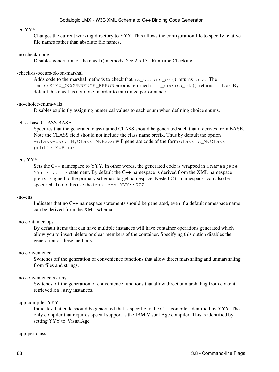#### -cd YYY

Changes the current working directory to YYY. This allows the configuration file to specify relative file names rather than absolute file names.

#### -no-check-code

Disables generation of the check() methods. See [2.5.15 - Run-time Checking](#page-53-0).

#### -check-is-occurs-ok-on-marshal

Adds code to the marshal methods to check that is\_occurs\_ok() returns true. The lmx::ELMX\_OCCURRENCE\_ERROR error is returned if is\_occurs\_ok() returns false. By default this check is not done in order to maximize performance.

#### -no-choice-enum-vals

Disables explicitly assigning numerical values to each enum when defining choice enums.

## -class-base CLASS BASE

Specifies that the generated class named CLASS should be generated such that it derives from BASE. Note the CLASS field should not include the class name prefix. Thus by default the option -class-base MyClass MyBase will generate code of the form class c\_MyClass : public MyBase.

### -cns YYY

Sets the C++ namespace to YYY. In other words, the generated code is wrapped in a namespace YYY  $\{ \ldots \}$  statement. By default the C++ namespace is derived from the XML namespace prefix assigned to the primary schema's target namespace. Nested C++ namespaces can also be specified. To do this use the form  $-\text{cns } YYY: :ZZZ.$ 

#### -no-cns

Indicates that no C++ namespace statements should be generated, even if a default namespace name can be derived from the XML schema.

#### -no-container-ops

By default items that can have multiple instances will have container operations generated which allow you to insert, delete or clear members of the container. Specifying this option disables the generation of these methods.

#### -no-convenience

Switches off the generation of convenience functions that allow direct marshaling and unmarshaling from files and strings.

#### -no-convenience-xs-any

Switches off the generation of convenience functions that allow direct unmarshaling from content retrieved xs:any instances.

#### -cpp-compiler YYY

Indicates that code should be generated that is specific to the C++ compiler identified by YYY. The only compiler that requires special support is the IBM Visual Age compiler. This is identified by setting YYY to 'VisualAge'.

### -cpp-per-class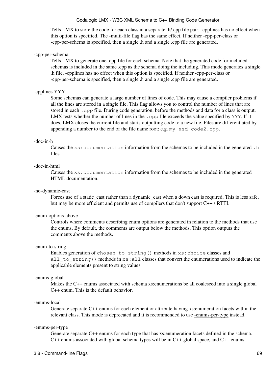Tells LMX to store the code for each class in a separate .h/.cpp file pair. -cpplines has no effect when this option is specified. The -multi-file flag has the same effect. If neither -cpp-per-class or -cpp-per-schema is specified, then a single .h and a single .cpp file are generated.

#### -cpp-per-schema

Tells LMX to generate one .cpp file for each schema. Note that the generated code for included schemas is included in the same .cpp as the schema doing the including. This mode generates a single .h file. -cpplines has no effect when this option is specified. If neither -cpp-per-class or -cpp-per-schema is specified, then a single .h and a single .cpp file are generated.

#### -cpplines YYY

Some schemas can generate a large number of lines of code. This may cause a compiler problems if all the lines are stored in a single file. This flag allows you to control the number of lines that are stored in each .cpp file. During code generation, before the methods and data for a class is output, LMX tests whether the number of lines in the .cpp file exceeds the value specified by YYY. If it does, LMX closes the current file and starts outputting code to a new file. Files are differentiated by appending a number to the end of the file name root; e.g. my\_xsd\_code2.cpp.

#### -doc-in-h

Causes the xs:documentation information from the schemas to be included in the generated .h files.

#### -doc-in-html

Causes the xs:documentation information from the schemas to be included in the generated HTML documentation.

#### -no-dynamic-cast

Forces use of a static\_cast rather than a dynamic\_cast when a down cast is required. This is less safe, but may be more efficient and permits use of compilers that don't support C++'s RTTI.

#### -enum-options-above

Controls where comments describing enum options are generated in relation to the methods that use the enums. By default, the comments are output below the methods. This option outputs the comments above the methods.

#### -enum-to-string

Enables generation of chosen\_to\_string() methods in xs:choice classes and all\_to\_string() methods in  $xs:$  all classes that convert the enumerations used to indicate the applicable elements present to string values.

#### <span id="page-74-2"></span>-enums-global

Makes the C++ enums associated with schema xs:enumerations be all coalesced into a single global C++ enum. This is the default behavior.

#### <span id="page-74-1"></span>-enums-local

Generate separate C++ enums for each element or attribute having xs:enumeration facets within the relevant class. This mode is deprecated and it is recommended to use [-enums-per-type](#page-74-0) instead.

#### <span id="page-74-0"></span>-enums-per-type

Generate separate C++ enums for each type that has xs:enumeration facets defined in the schema. C++ enums associated with global schema types will be in C++ global space, and C++ enums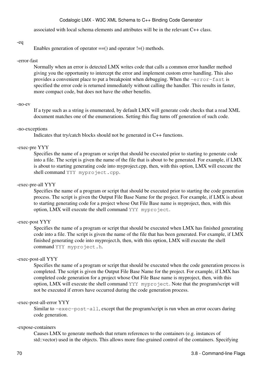associated with local schema elements and attributes will be in the relevant C++ class.

#### -eq

Enables generation of operator  $==()$  and operator  $!=()$  methods.

#### -error-fast

Normally when an error is detected LMX writes code that calls a common error handler method giving you the opportunity to intercept the error and implement custom error handling. This also provides a convenient place to put a breakpoint when debugging. When the -error-fast is specified the error code is returned immediately without calling the handler. This results in faster, more compact code, but does not have the other benefits.

#### -no-ev

If a type such as a string is enumerated, by default LMX will generate code checks that a read XML document matches one of the enumerations. Setting this flag turns off generation of such code.

#### -no-exceptions

Indicates that try/catch blocks should not be generated in C++ functions.

#### -exec-pre YYY

Specifies the name of a program or script that should be executed prior to starting to generate code into a file. The script is given the name of the file that is about to be generated. For example, if LMX is about to starting generating code into myproject.cpp, then, with this option, LMX will execute the shell command YYY myproject.cpp.

## -exec-pre-all YYY

Specifies the name of a program or script that should be executed prior to starting the code generation process. The script is given the Output File Base Name for the project. For example, if LMX is about to starting generating code for a project whose Out File Base name is myproject, then, with this option, LMX will execute the shell command YYY myproject.

#### -exec-post YYY

Specifies the name of a program or script that should be executed when LMX has finished generating code into a file. The script is given the name of the file that has been generated. For example, if LMX finished generating code into myproject.h, then, with this option, LMX will execute the shell command YYY myproject.h.

#### -exec-post-all YYY

Specifies the name of a program or script that should be executed when the code generation process is completed. The script is given the Output File Base Name for the project. For example, if LMX has completed code generation for a project whose Out File Base name is myproject, then, with this option, LMX will execute the shell command YYY myproject. Note that the program/script will not be executed if errors have occurred during the code generation process.

#### -exec-post-all-error YYY

Similar to  $-$ exec-post-all, except that the program/script is run when an error occurs during code generation.

#### -expose-containers

Causes LMX to generate methods that return references to the containers (e.g. instances of std::vector) used in the objects. This allows more fine-grained control of the containers. Specifying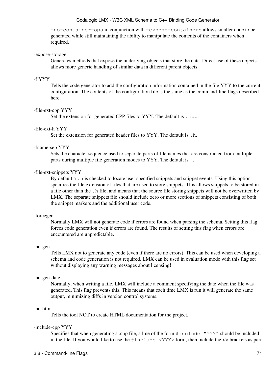-no-container-ops in conjunction with -expose-containers allows smaller code to be generated while still maintaining the ability to manipulate the contents of the containers when required.

#### -expose-storage

Generates methods that expose the underlying objects that store the data. Direct use of these objects allows more generic handling of similar data in different parent objects.

#### -f YYY

Tells the code generator to add the configuration information contained in the file YYY to the current configuration. The contents of the configuration file is the same as the command-line flags described here.

#### -file-ext-cpp YYY

Set the extension for generated CPP files to YYY. The default is . cpp.

### -file-ext-h YYY

Set the extension for generated header files to YYY. The default is .h.

#### -fname-sep YYY

Sets the character sequence used to separate parts of file names that are constructed from multiple parts during multiple file generation modes to YYY. The default is -.

#### -file-ext-snippets YYY

By default a .h is checked to locate user specified snippets and snippet events. Using this option specifies the file extension of files that are used to store snippets. This allows snippets to be stored in a file other than the .h file, and means that the source file storing snippets will not be overwritten by LMX. The separate snippets file should include zero or more sections of snippets consisting of both the snippet markers and the additional user code.

#### -forcegen

Normally LMX will not generate code if errors are found when parsing the schema. Setting this flag forces code generation even if errors are found. The results of setting this flag when errors are encountered are unpredictable.

#### -no-gen

Tells LMX not to generate any code (even if there are no errors). This can be used when developing a schema and code generation is not required. LMX can be used in evaluation mode with this flag set without displaying any warning messages about licensing!

#### -no-gen-date

Normally, when writing a file, LMX will include a comment specifying the date when the file was generated. This flag prevents this. This means that each time LMX is run it will generate the same output, minimizing diffs in version control systems.

#### -no-html

Tells the tool NOT to create HTML documentation for the project.

#### -include-cpp YYY

Specifies that when generating a .cpp file, a line of the form #include "YYY" should be included in the file. If you would like to use the  $\#$ include  $\langle$ YYY> form, then include the  $\langle$ > brackets as part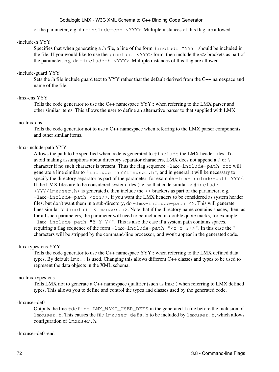of the parameter, e.g. do -include-cpp <YYY>. Multiple instances of this flag are allowed.

## -include-h YYY

Specifies that when generating a .h file, a line of the form #include "YYY" should be included in the file. If you would like to use the  $\#$ include  $\langle$  YYY> form, then include the  $\langle$ > brackets as part of the parameter, e.g. do  $-i$ nclude-h  $\langle$ YYY>. Multiple instances of this flag are allowed.

## -include-guard YYY

Sets the .h file include guard text to YYY rather that the default derived from the C++ namespace and name of the file.

## -lmx-cns YYY

Tells the code generator to use the C++ namespace YYY:: when referring to the LMX parser and other similar items. This allows the user to define an alternative parser to that supplied with LMX.

## -no-lmx-cns

Tells the code generator not to use a C++ namespace when referring to the LMX parser components and other similar items.

## -lmx-include-path YYY

Allows the path to be specified when code is generated to #include the LMX header files. To avoid making assumptions about directory separator characters, LMX does not append a / or \ character if no such character is present. Thus the flag sequence  $-\text{lmx}-\text{include}-\text{path}$  YYY will generate a line similar to #include "YYYlmxuser.h", and in general it will be necessary to specify the directory separator as part of the parameter; for example -lmx-include-path YYY/. If the LMX files are to be considered system files (i.e. so that code similar to  $\#$ include  $\langle$ YYY/lmxuser.h> is generated), then include the  $\langle$ > brackets as part of the parameter, e.g.  $-lmx$ -include-path <YYY/>. If you want the LMX headers to be considered as system header files, but don't want them in a sub-directory, do  $-\text{lmx}-\text{include}-\text{path}$   $\langle \rangle$ . This will generate lines similar to  $\#$ include <lmxuser.h>. Note that if the directory name contains spaces, then, as for all such parameters, the parameter will need to be included in double quote marks, for example  $-lmx$ -include-path "Y Y Y/". This is also the case if a system path contains spaces,requiring a flag sequence of the form  $-\text{lmx}-\text{include}-\text{path}$  "<Y Y Y/>". In this case the " characters will be stripped by the command-line processor, and won't appear in the generated code.

## -lmx-types-cns YYY

Tells the code generator to use the C++ namespace YYY:: when referring to the LMX defined data types. By default  $lmx$ : is used. Changing this allows different C++ classes and types to be used to represent the data objects in the XML schema.

## -no-lmx-types-cns

Tells LMX not to generate a C++ namespace qualifier (such as lmx::) when referring to LMX defined types. This allows you to define and control the types and classes used by the generated code.

## -lmxuser-defs

Outputs the line #define LMX\_WANT\_USER\_DEFS in the generated .h file before the inclusion of lmxuser.h. This causes the file lmxuser-defs.h to be included by lmxuser.h, which allows configuration of lmxuser.h.

## -lmxuser-defs-end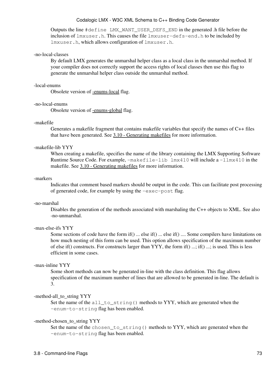Outputs the line #define LMX\_WANT\_USER\_DEFS\_END in the generated .h file before the inclusion of lmxuser.h. This causes the file lmxuser-defs-end.h to be included by lmxuser.h, which allows configuration of lmxuser.h.

### -no-local-classes

By default LMX generates the unmarshal helper class as a local class in the unmarshal method. If your compiler does not correctly support the access rights of local classes then use this flag to generate the unmarshal helper class outside the unmarshal method.

#### -local-enums

Obsolete version of [-enums-local](#page-74-1) flag.

#### -no-local-enums

Obsolete version of [-enums-global](#page-74-2) flag.

### -makefile

Generates a makefile fragment that contains makefile variables that specify the names of C++ files that have been generated. See [3.10 - Generating makefiles](#page-88-0) for more information.

### -makefile-lib YYY

When creating a makefile, specifies the name of the library containing the LMX Supporting Software Runtime Source Code. For example, -makefile-lib lmx410 will include a -llmx410 in the makefile. See [3.10 - Generating makefiles](#page-88-0) for more information.

#### -markers

Indicates that comment based markers should be output in the code. This can facilitate post processing of generated code, for example by using the -exec-post flag.

#### -no-marshal

Disables the generation of the methods associated with marshaling the C++ objects to XML. See also -no-unmarshal.

## -max-else-ifs YYY

Some sections of code have the form if() ... else if() ... else if() .... Some compilers have limitations on how much nesting of this form can be used. This option allows specification of the maximum number of else if() constructs. For constructs larger than YYY, the form if() ...; if() ...; is used. This is less efficient in some cases.

## -max-inline YYY

Some short methods can now be generated in-line with the class definition. This flag allows specification of the maximum number of lines that are allowed to be generated in-line. The default is 3.

### -method-all\_to\_string YYY

Set the name of the  $all_to_string()$  methods to YYY, which are generated when the -enum-to-string flag has been enabled.

#### -method-chosen\_to\_string YYY

Set the name of the chosen\_to\_string() methods to YYY, which are generated when the -enum-to-string flag has been enabled.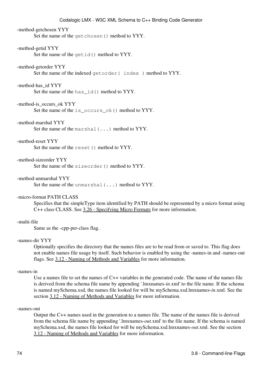### -method-getchosen YYY

Set the name of the getchosen() method to YYY.

#### -method-getid YYY

Set the name of the getid() method to YYY.

#### -method-getorder YYY

Set the name of the indexed getorder (index ) method to YYY.

#### -method-has\_id YYY

Set the name of the has id() method to YYY.

#### -method-is\_occurs\_ok YYY

Set the name of the is\_occurs\_ok() method to YYY.

#### -method-marshal YYY

Set the name of the marshal(...) method to YYY.

#### -method-reset YYY

Set the name of the reset () method to YYY.

#### -method-sizeorder YYY

Set the name of the sizeorder() method to YYY.

#### -method-unmarshal YYY

Set the name of the unmarshal(...) method to YYY.

#### -micro-format PATH CLASS

Specifies that the simpleType item identified by PATH should be represented by a micro format using C++ class CLASS. See [3.26 - Specifying Micro Formats](#page-117-0) for more information.

## -multi-file

Same as the -cpp-per-class flag.

### -names-dir YYY

Optionally specifies the directory that the names files are to be read from or saved to. This flag does not enable names file usage by itself. Such behavior is enabled by using the -names-in and -names-out flags. See [3.12 - Naming of Methods and Variables](#page-93-0) for more information.

#### -names-in

Use a names file to set the names of C++ variables in the generated code. The name of the names file is derived from the schema file name by appending '.lmxnames-*in*.xml' to the file name. If the schema is named mySchema.xsd, the names file looked for will be mySchema.xsd.lmxnames-*in*.xml. See the section [3.12 - Naming of Methods and Variables](#page-93-0) for more information.

#### -names-out

Output the C++ names used in the generation to a names file. The name of the names file is derived from the schema file name by appending '.lmxnames-*out*.xml' to the file name. If the schema is named mySchema.xsd, the names file looked for will be mySchema.xsd.lmxnames-*out*.xml. See the section [3.12 - Naming of Methods and Variables](#page-93-0) for more information.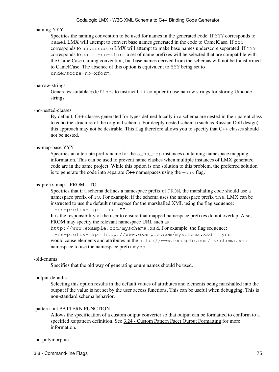### -naming YYY

Specifies the naming convention to be used for names in the generated code. If YYY corresponds to camel LMX will attempt to convert base names generated in the code to CamelCase. If YYY corresponds to underscore LMX will attempt to make base names underscore separated. If YYY corresponds to camel-no-xform a set of name prefixes will be selected that are compatible with the CamelCase naming convention, but base names derived from the schemas will not be transformed to CamelCase. The absence of this option is equivalent to YYY being set to underscore-no-xform.

#### -narrow-strings

Generates suitable #defines to instruct C++ compiler to use narrow strings for storing Unicode strings.

### -no-nested-classes

By default, C++ classes generated for types defined locally in a schema are nested in their parent class to echo the structure of the original schema. For deeply nested schema (such as Russian Doll design) this approach may not be desirable. This flag therefore allows you to specify that C++ classes should not be nested.

### -ns-map-base YYY

Specifies an alternate prefix name for the s\_ns\_map instances containing namespace mapping information. This can be used to prevent name clashes when multiple instances of LMX generated code are in the same project. While this option is one solution to this problem, the preferred solution is to generate the code into separate  $C++$  namespaces using the  $-\text{cns flag}$ .

### -ns-prefix-map FROM TO

Specifies that if a schema defines a namespace prefix of FROM, the marshaling code should use a namespace prefix of TO. For example, if the schema uses the namespace prefix tns, LMX can be instructed to use the default namespace for the marshalled XML using the flag sequence:

-ns-prefix-map tns ""

It is the responsibility of the user to ensure that mapped namespace prefixes do not overlap. Also, FROM may specify the relevant namespace URI, such as

http://www.example.com/myschema.xsd. For example, the flag sequence:

-ns-prefix-map http://www.example.com/myschema.xsd myns would cause elements and attributes in the http://www.example.com/myschema.xsd namespace to use the namespace prefix myns.

#### -old-enums

Specifies that the old way of generating enum names should be used.

#### -output-defaults

Selecting this option results in the default values of attributes and elements being marshalled into the output if the value is not set by the user access functions. This can be useful when debugging. This is non-standard schema behavior.

#### -pattern-out PATTERN FUNCTION

Allows the specification of a custom output converter so that output can be formatted to conform to a specified xs:pattern definition. See [3.24 - Custom Pattern Facet Output Formatting](#page-115-0) for more information.

#### -no-polymorphic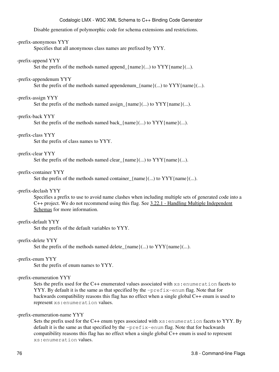Disable generation of polymorphic code for schema extensions and restrictions.

#### -prefix-anonymous YYY

Specifies that all anonymous class names are prefixed by YYY.

## -prefix-append YYY

Set the prefix of the methods named append  ${\text{name}}(\ldots)$  to  $YYY{\text{name}}(\ldots)$ .

#### -prefix-appendenum YYY

Set the prefix of the methods named appendenum\_{name}(...) to  $YYY$ {name}(...).

#### -prefix-assign YYY

Set the prefix of the methods named assign\_{name}(...) to  $YYY$ {name}(...).

#### -prefix-back YYY

Set the prefix of the methods named back\_{name}(...) to YYY{name}(...).

## -prefix-class YYY

Set the prefix of class names to YYY.

#### -prefix-clear YYY

Set the prefix of the methods named clear\_{name}(...) to  $YYY$ {name}(...).

#### -prefix-container YYY

Set the prefix of the methods named container  ${\text{name}}(\ldots)$  to  $YYY{\text{name}}(\ldots)$ .

#### -prefix-declash YYY

Specifies a prefix to use to avoid name clashes when including multiple sets of generated code into a C++ project. We do not recommend using this flag. See [3.22.1 - Handling Multiple Independent](#page-111-0) [Schemas](#page-111-0) for more information.

#### -prefix-default YYY

Set the prefix of the default variables to YYY.

#### -prefix-delete YYY

Set the prefix of the methods named delete  $\{name\}(...)$  to  $YYY\{name\}(...)$ .

#### -prefix-enum YYY

Set the prefix of enum names to YYY.

#### -prefix-enumeration YYY

Sets the prefix used for the C++ enumerated values associated with  $xs:$  enumeration facets to YYY. By default it is the same as that specified by the  $-prefix$ -enum flag. Note that for backwards compatibility reasons this flag has no effect when a single global C++ enum is used to represent xs:enumeration values.

## -prefix-enumeration-name YYY

Sets the prefix used for the C++ enum types associated with  $xs:$  enumeration facets to YYY. By default it is the same as that specified by the -prefix-enum flag. Note that for backwards compatibility reasons this flag has no effect when a single global C++ enum is used to represent xs:enumeration values.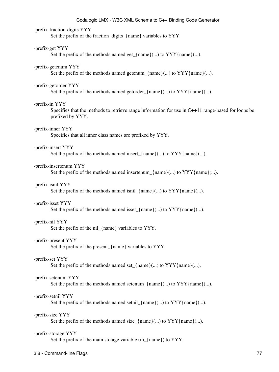#### -prefix-fraction-digits YYY

Set the prefix of the fraction\_digits\_{name} variables to YYY.

#### -prefix-get YYY

Set the prefix of the methods named get\_{name}(...) to  $YYY$ {name}(...).

#### -prefix-getenum YYY

Set the prefix of the methods named getenum\_{name}(...) to  $YYY$ {name}(...).

#### -prefix-getorder YYY

Set the prefix of the methods named getorder  ${\{name\}}(...)$  to  $YYY{\{name\}}...$ .

#### -prefix-in YYY

Specifies that the methods to retrieve range information for use in C++11 range-based for loops be prefixed by YYY.

#### -prefix-inner YYY

Specifies that all inner class names are prefixed by YYY.

#### -prefix-insert YYY

Set the prefix of the methods named insert  $\{\text{name}(\ldots)$  to YYY $\{\text{name}(\ldots)$ .

#### -prefix-insertenum YYY

Set the prefix of the methods named insertenum\_{name}(...) to  $YYY$ {name}(...).

#### -prefix-isnil YYY

Set the prefix of the methods named isnil\_{name}(...) to  $YYY$ {name}(...).

#### -prefix-isset YYY

Set the prefix of the methods named isset\_{name}(...) to  $YYY$ {name}(...).

#### -prefix-nil YYY

Set the prefix of the nil\_{name} variables to YYY.

### -prefix-present YYY

Set the prefix of the present\_{name} variables to YYY.

#### -prefix-set YYY

Set the prefix of the methods named set<sub>-</sub>{name}(...) to  $YYY$ {name}(...).

#### -prefix-setenum YYY

Set the prefix of the methods named setenum\_{name}(...) to  $YYY$ {name}(...).

#### -prefix-setnil YYY

Set the prefix of the methods named setnil\_{name}(...) to  $YYY$ {name}(...).

#### -prefix-size YYY

Set the prefix of the methods named size\_{name}(...) to  $YYY$ {name}(...).

#### -prefix-storage YYY

Set the prefix of the main stotage variable (m {name}) to YYY.

#### 3.8 - Command-line Flags 77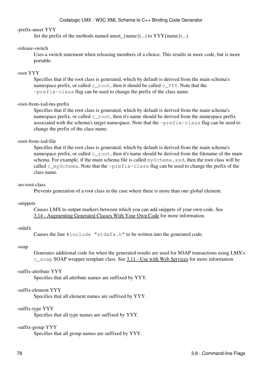#### -prefix-unset YYY

Set the prefix of the methods named unset\_{name}(...) to  $YYY$ {name}(...).

#### -release-switch

Uses a switch statement when releasing members of a choice. This results in more code, but is more portable.

## -root YYY

Specifies that if the root class is generated, which by default is derived from the main schema's namespace prefix, or called  $c$ \_root, then it should be called  $c$ \_YYY. Note that the -prefix-class flag can be used to change the prefix of the class name.

### -root-from-xsd-tns-prefix

Specifies that if the root class is generated, which by default is derived from the main schema's namespace prefix, or called  $c$  root, then it's name should be derived from the namespace prefix associated with the schema's target namespace. Note that the  $-prefix-class$  flag can be used to change the prefix of the class name.

#### -root-from-xsd-file

Specifies that if the root class is generated, which by default is derived from the main schema's namespace prefix, or called  $\epsilon$  root, then it's name should be derived from the filename of the main schema. For example, if the main schema file is called mySchema.xsd, then the root class will be called  $c_{\text{mySchem}}$ . Note that the  $-\text{prefix} - \text{class flag can be used to change the prefix of the$ class name.

#### -no-root-class

Prevents generation of a root class in the case where there is more than one global element.

#### -snippets

Causes LMX to output markers between which you can add snippets of your own code. See [3.14 - Augmenting Generated Classes With Your Own Code](#page-99-0) for more information.

## -stdafx

Causes the line #include "stdafx.h" to be written into the generated code.

#### -soap

Generates additional code for when the generated results are used for SOAP transactions using LMX's  $c$  soap SOAP wrapper template class. See  $3.11$  - Use with Web Services for more information.

#### -suffix-attribute YYY

Specifies that all attribute names are suffixed by YYY.

## -suffix-element YYY

Specifies that all element names are suffixed by YYY.

#### -suffix-type YYY

Specifies that all type names are suffixed by YYY.

#### -suffix-group YYY

Specifies that all group names are suffixed by YYY.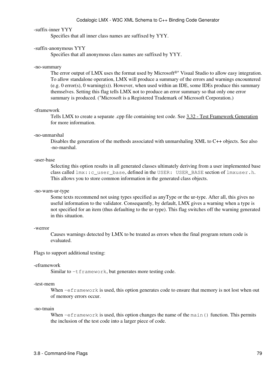#### -suffix-inner YYY

Specifies that all inner class names are suffixed by YYY.

#### -suffix-anonymous YYY

Specifies that all anonymous class names are suffixed by YYY.

#### -no-summary

The error output of LMX uses the format used by Microsoft<sup>®\*</sup> Visual Studio to allow easy integration. To allow standalone operation, LMX will produce a summary of the errors and warnings encountered  $(e.g. 0 \text{ error}(s), 0 \text{ warning}(s))$ . However, when used within an IDE, some IDEs produce this summary themselves. Setting this flag tells LMX not to produce an error summary so that only one error summary is produced. (\*Microsoft is a Registered Trademark of Microsoft Corporation.)

#### -tframework

Tells LMX to create a separate .cpp file containing test code. See [3.32 - Test Framework Generation](#page-121-0) for more information.

#### -no-unmarshal

Disables the generation of the methods associated with unmarshaling XML to C++ objects. See also -no-marshal.

#### -user-base

Selecting this option results in all generated classes ultimately deriving from a user implemented base class called lmx::c\_user\_base, defined in the USER: USER\_BASE section of lmxuser.h. This allows you to store common information in the generated class objects.

#### -no-warn-ur-type

Some texts recommend not using types specified as anyType or the ur-type. After all, this gives no useful information to the validator. Consequently, by default, LMX gives a warning when a type is not specified for an item (thus defaulting to the ur-type). This flag switches off the warning generated in this situation.

#### -werror

Causes warnings detected by LMX to be treated as errors when the final program return code is evaluated.

Flags to support additional testing:

#### -eframework

Similar to  $-t$  framework, but generates more testing code.

#### -test-mem

When  $-\epsilon f$  ramework is used, this option generates code to ensure that memory is not lost when out of memory errors occur.

#### -no-tmain

When  $-$ eframework is used, this option changes the name of the main() function. This permits the inclusion of the test code into a larger piece of code.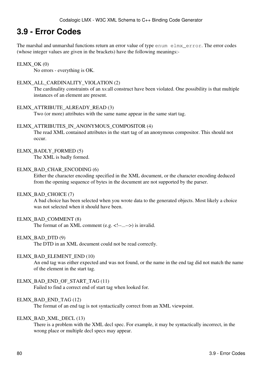# **3.9 - Error Codes**

The marshal and unmarshal functions return an error value of type enum elmx error. The error codes (whose integer values are given in the brackets) have the following meanings:-

## $ELMX$  OK  $(0)$

No errors - everything is OK.

## ELMX\_ALL\_CARDINALITY\_VIOLATION (2)

The cardinality constraints of an xs:all construct have been violated. One possibility is that multiple instances of an element are present.

## ELMX\_ATTRIBUTE\_ALREADY\_READ (3)

Two (or more) attributes with the same name appear in the same start tag.

### ELMX\_ATTRIBUTES\_IN\_ANONYMOUS\_COMPOSITOR (4)

The read XML contained attributes in the start tag of an anonymous compositor. This should not occur.

### ELMX\_BADLY\_FORMED (5)

The XML is badly formed.

### ELMX\_BAD\_CHAR\_ENCODING (6)

Either the character encoding specified in the XML document, or the character encoding deduced from the opening sequence of bytes in the document are not supported by the parser.

#### ELMX\_BAD\_CHOICE (7)

A bad choice has been selected when you wrote data to the generated objects. Most likely a choice was not selected when it should have been.

## ELMX\_BAD\_COMMENT (8)

The format of an XML comment (e.g. <!--...-->) is invalid.

## ELMX\_BAD\_DTD (9)

The DTD in an XML document could not be read correctly.

#### ELMX\_BAD\_ELEMENT\_END (10)

An end tag was either expected and was not found, or the name in the end tag did not match the name of the element in the start tag.

## ELMX\_BAD\_END\_OF\_START\_TAG (11)

Failed to find a correct end of start tag when looked for.

## ELMX\_BAD\_END\_TAG (12)

The format of an end tag is not syntactically correct from an XML viewpoint.

#### ELMX\_BAD\_XML\_DECL (13)

There is a problem with the XML decl spec. For example, it may be syntactically incorrect, in the wrong place or multiple decl specs may appear.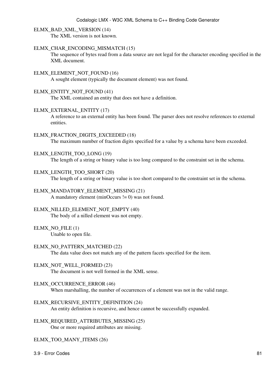## ELMX\_BAD\_XML\_VERSION (14)

The XML version is not known.

## ELMX\_CHAR\_ENCODING\_MISMATCH (15)

The sequence of bytes read from a data source are not legal for the character encoding specified in the XML document.

## ELMX\_ELEMENT\_NOT\_FOUND (16)

A sought element (typically the document element) was not found.

## ELMX\_ENTITY\_NOT\_FOUND (41)

The XML contained an entity that does not have a definition.

## ELMX\_EXTERNAL\_ENTITY (17)

A reference to an external entity has been found. The parser does not resolve references to external entities.

## ELMX\_FRACTION\_DIGITS\_EXCEEDED (18)

The maximum number of fraction digits specified for a value by a schema have been exceeded.

## ELMX\_LENGTH\_TOO\_LONG (19)

The length of a string or binary value is too long compared to the constraint set in the schema.

### ELMX\_LENGTH\_TOO\_SHORT (20)

The length of a string or binary value is too short compared to the constraint set in the schema.

## ELMX\_MANDATORY\_ELEMENT\_MISSING (21)

A mandatory element (minOccurs != 0) was not found.

## ELMX\_NILLED\_ELEMENT\_NOT\_EMPTY (40)

The body of a nilled element was not empty.

#### ELMX\_NO\_FILE (1) Unable to open file.

## ELMX\_NO\_PATTERN\_MATCHED (22)

The data value does not match any of the pattern facets specified for the item.

## ELMX\_NOT\_WELL\_FORMED (23)

The document is not well formed in the XML sense.

## ELMX\_OCCURRENCE\_ERROR (46)

When marshalling, the number of occurrences of a element was not in the valid range.

## ELMX\_RECURSIVE\_ENTITY\_DEFINITION (24)

An entity definition is recursive, and hence cannot be successfully expanded.

## ELMX\_REQUIRED\_ATTRIBUTES\_MISSING (25) One or more required attributes are missing.

## ELMX\_TOO\_MANY\_ITEMS (26)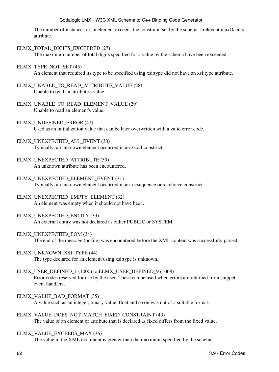The number of instances of an element exceeds the constraint set by the schema's relevant maxOccurs attribute.

## ELMX\_TOTAL\_DIGITS\_EXCEEDED (27)

The maximum number of total digits specified for a value by the schema have been exceeded.

## ELMX\_TYPE\_NOT\_SET (45)

An element that required its type to be specified using xsi:type did not have an xsi:type attribute.

- ELMX\_UNABLE\_TO\_READ\_ATTRIBUTE\_VALUE (28) Unable to read an attribute's value.
- ELMX\_UNABLE\_TO\_READ\_ELEMENT\_VALUE (29) Unable to read an element's value.
- ELMX\_UNDEFINED\_ERROR (42)

Used as an initialization value that can be later overwritten with a valid error code.

## ELMX\_UNEXPECTED\_ALL\_EVENT (30)

Typically, an unknown element occurred in an xs:all construct.

## ELMX\_UNEXPECTED\_ATTRIBUTE (39)

An unknown attribute has been encountered.

## ELMX\_UNEXPECTED\_ELEMENT\_EVENT (31)

Typically, an unknown element occurred in an xs:sequence or xs:choice construct.

## ELMX\_UNEXPECTED\_EMPTY\_ELEMENT (32)

An element was empty when it should not have been.

## ELMX\_UNEXPECTED\_ENTITY (33)

An external entity was not declared as either PUBLIC or SYSTEM.

## ELMX\_UNEXPECTED\_EOM (34)

The end of the message (or file) was encountered before the XML content was successfully parsed.

## ELMX\_UNKNOWN\_XSI\_TYPE (44)

The type declared for an element using xsi:type is unknown.

## ELMX\_USER\_DEFINED\_1 (1000) to ELMX\_USER\_DEFINED\_9 (1008)

Error codes reserved for use by the user. These can be used when errors are returned from snippet event handlers.

## ELMX\_VALUE\_BAD\_FORMAT (35)

A value such as an integer, binary value, float and so on was not of a suitable format.

## ELMX\_VALUE\_DOES\_NOT\_MATCH\_FIXED\_CONSTRAINT (43)

The value of an element or attribute that is declared as fixed differs from the fixed value.

## ELMX\_VALUE\_EXCEEDS\_MAX (36)

The value in the XML document is greater than the maximum specified by the schema.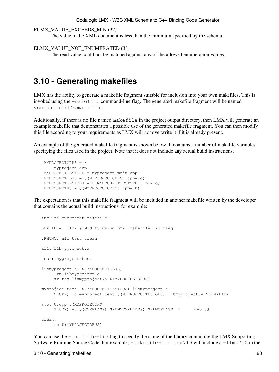```
ELMX_VALUE_EXCEEDS_MIN (37)
```
The value in the XML document is less than the minimum specified by the schema.

```
ELMX_VALUE_NOT_ENUMERATED (38)
```
The read value could not be matched against any of the allowed enumeration values.

## <span id="page-88-0"></span>**3.10 - Generating makefiles**

LMX has the ability to generate a makefile fragment suitable for inclusion into your own makefiles. This is invoked using the -makefile command-line flag. The generated makefile fragment will be named <output root>.makefile.

Additionally, if there is no file named makefile in the project output directory, then LMX will generate an example makefile that demonstrates a possible use of the generated makefile fragment. You can then modify this file according to your requirements as LMX will not overwrite it if it is already present.

An example of the generated makefile fragment is shown below. It contains a number of makefile variables specifying the files used in the project. Note that it does not include any actual build instructions.

```
 MYPROJECTCPPS = \
    myproject.cpp
 MYPROJECTTESTCPP = myproject-main.cpp
 MYPROJECTOBJS = $(MYPROJECTCPPS:.cpp=.o)
 MYPROJECTTESTOBJ = $(MYPROJECTTESTCPP:.cpp=.o)
 MYPROJECTHS = $(MYPROJECTCPPS:.cpp=.h)
```
The expectation is that this makefile fragment will be included in another makefile written by the developer that contains the actual build instructions, for example:

```
 include myproject.makefile
LMXLIB = -llmx # Modify using LMX -makefile-lib flag
 .PHONY: all test clean
 all: libmyproject.a
 test: myproject-test
 libmyproject.a: $(MYPROJECTOBJS)
     -rm libmyproject.a
      ar rcs libmyproject.a $(MYPROJECTOBJS)
 myproject-test: $(MYPROJECTTESTOBJ) libmyproject.a
      $(CXX) -o myproject-test $(MYPROJECTTESTOBJ) libmyproject.a $(LMXLIB)
 %.o: %.cpp $(MYPROJECTHS)
      $(CXX) -c $(CXXFLAGS) $(LMXCXXFLAGS) $(LMXFLAGS) $ <-o $@
 clean:
      rm $(MYPROJECTOBJS)
```
You can use the  $-makefile-lib flag to specify the name of the library containing the LMX Supporting$ Software Runtime Source Code. For example, -makefile-lib lmx710 will include a -llmx710 in the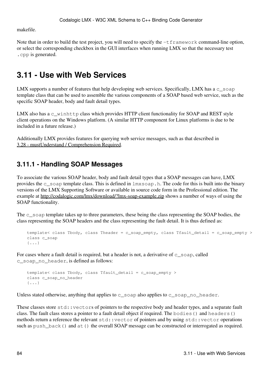makefile.

Note that in order to build the test project, you will need to specify the  $-t$  framework command-line option, or select the corresponding checkbox in the GUI interfaces when running LMX so that the necessary test .cpp is generated.

# <span id="page-89-0"></span>**3.11 - Use with Web Services**

LMX supports a number of features that help developing web services. Specifically, LMX has a c\_soap template class that can be used to assemble the various components of a SOAP based web service, such as the specific SOAP header, body and fault detail types.

LMX also has a  $c$ <sub>-winhttp</sub> class which provides HTTP client functionality for SOAP and REST style client operations on the Windows platform. (A similar HTTP component for Linux platforms is due to be included in a future release.)

Additionally LMX provides features for querying web service messages, such as that described in [3.28 - mustUnderstand / Comprehension Required.](#page-119-0)

## **3.11.1 - Handling SOAP Messages**

To associate the various SOAP header, body and fault detail types that a SOAP messages can have, LMX provides the c\_soap template class. This is defined in  $\text{lmxsoap}$ .h. The code for this is built into the binary versions of the LMX Supporting Software or available in source code form in the Professional edition. The example at <http://codalogic.com/lmx/download/?lmx-soap-example.zip> shows a number of ways of using the SOAP functionality.

The c\_soap template takes up to three parameters, these being the class representing the SOAP bodies, the class representing the SOAP headers and the class representing the fault detail. It is thus defined as:

```
template< class Tbody, class Theader = c_soap_empty, class Tfault_detail = c_soap_empty >
class c_soap
 {...}
```
For cases where a fault detail is required, but a header is not, a derivative of  $c$ \_soap, called c\_soap\_no\_header, is defined as follows:

```
template< class Tbody, class Tfault_detail = c_soap_empty >
class c_soap_no_header
 {...}
```
Unless stated otherwise, anything that applies to  $c$  soap also applies to  $c$  soap no header.

These classes store std::vectors of pointers to the respective body and header types, and a separate fault class. The fault class stores a pointer to a fault detail object if required. The bodies() and headers() methods return a reference the relevant std::vector of pointers and by using std::vector operations such as push\_back() and at() the overall SOAP message can be constructed or interrogated as required.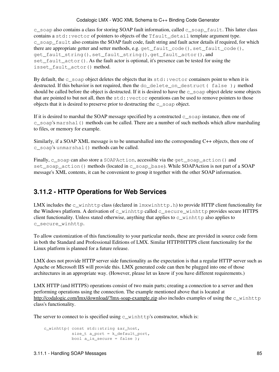c\_soap also contains a class for storing SOAP fault information, called c\_soap\_fault. This latter class contains a std::vector of pointers to objects of the Tfault\_detail template argument type. c\_soap\_fault also contains the SOAP fault code, fault string and fault actor details if required, for which there are appropriate getter and setter methods, e.g. get\_fault\_code(), set\_fault\_code(), get\_fault\_string(), set\_fault\_string(), get\_fault\_actor(), and set\_fault\_actor(). As the fault actor is optional, it's presence can be tested for using the isset\_fault\_actor() method.

By default, the  $c$ <sub>soap</sub> object deletes the objects that its std: vector containers point to when it is destructed. If this behavior is not required, then the do\_delete\_on\_destruct( false ); method should be called before the object is destructed. If it is desired to have the  $\subset$  soap object delete some objects that are pointed to but not all, then the  $std:$ : vector operations can be used to remove pointers to those objects that it is desired to preserve prior to destructing the c\_soap object.

If it is desired to marshal the SOAP message specified by a constructed  $c$  soap instance, then one of c\_soap's marshal() methods can be called. There are a number of such methods which allow marshaling to files, or memory for example.

Similarly, if a SOAP XML message is to be unmarshalled into the corresponding C++ objects, then one of c\_soap's unmarshal() methods can be called.

Finally, c\_soap can also store a SOAPAction, accessible via the get\_soap\_action() and set\_soap\_action() methods (located in c\_soap\_base). While SOAPAction is not part of a SOAP message's XML contents, it can be convenient to group it together with the other SOAP information.

## **3.11.2 - HTTP Operations for Web Services**

LMX includes the  $c_w$  winhttp class (declared in  $lmxwinhttp.h)$  to provide HTTP client functionality for the Windows platform. A derivation of c\_winhttp called c\_secure\_winhttp provides secure HTTPS client functionality. Unless stated otherwise, anything that applies to  $\sigma$  winhttp also applies to c\_secure\_winhttp.

To allow customization of this functionality to your particular needs, these are provided in source code form in both the Standard and Professional Editions of LMX. Similar HTTP/HTTPS client functionality for the Linux platform is planned for a future release.

LMX does not provide HTTP server side functionality as the expectation is that a regular HTTP server such as Apache or Microsoft IIS will provide this. LMX generated code can then be plugged into one of those architectures in an appropriate way. (However, please let us know if you have different requirements.)

LMX HTTP (and HTTPS) operations consist of two main parts; creating a connection to a server and then performing operations using the connection. The example mentioned above that is located at <http://codalogic.com/lmx/download/?lmx-soap-example.zip> also includes examples of using the c\_winhttp class's functionality.

The server to connect to is specified using  $c$ \_winhttp's constructor, which is:

```
 c_winhttp( const std::string &ar_host,
            size_t a_port = k_default_port,
           bool a_is_secure = false );
```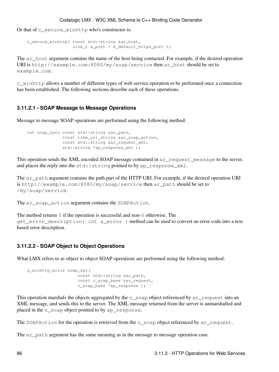Or that of c\_secure\_winhttp who's constructor is:

```
 c_secure_winhttp( const std::string &ar_host,
                  size_t a_port = k_default_https_port );
```
The ar\_host argument contains the name of the host being contacted. For example, if the desired operation URI is http://example.com:8080/my/soap/service then ar\_host should be set to example.com.

c\_winhttp allows a number of different types of web service operation to be performed once a connection has been established. The following sections describe each of these operations.

## **3.11.2.1 - SOAP Message to Message Operations**

Message to message SOAP operations are performed using the following method:

```
int soap_rpc( const std::string &ar_path,
             const tlmx_uri_string &ar_soap_action,
             const std::string &ar_request_xml,
              std::string *ap_response_xml );
```
This operation sends the XML encoded SOAP message contained in argreguest message to the server, and places the reply into the std:: string pointed to by ap\_response\_xml.

The ar\_path argument contains the path part of the HTTP URI. For example, if the desired operation URI is http://example.com:8080/my/soap/service then ar\_path should be set to /my/soap/service.

The ar\_soap\_action argument contains the SOAPAction.

The method returns 0 if the operation is successful and non-0 otherwise. The get\_error\_description( int a\_error ) method can be used to convert an error code into a text based error description.

## **3.11.2.2 - SOAP Object to Object Operations**

What LMX refers to as object to object SOAP operations are performed using the following method:

```
 s_winhttp_error soap_rpc(
                   const std::string &ar_path,
                    const c_soap_base &ar_request,
                     c_soap_base *ap_response );
```
This operation marshals the objects aggregated by the c\_soap object referenced by ar\_request into an XML message, and sends this to the server. The XML message returned from the server is unmarshalled and placed in the c\_soap object pointed to by ap\_response.

The SOAPAction for the operation is retrieved from the c\_soap object referenced by ar\_request.

The ar path argument has the same meaning as in the message to message operation case.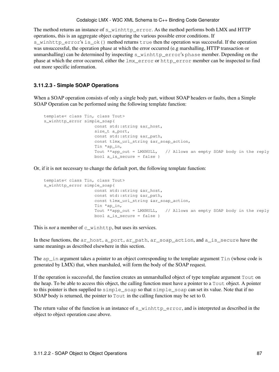The method returns an instance of s\_winhttp\_error. As the method performs both LMX and HTTP operations, this is an aggregate object capturing the various possible error conditions. If s winhttp error's is ok() method returns true then the operation was successful. If the operation was unsuccessful, the operation phase at which the error occurred (e.g marshalling, HTTP transaction or unmarshalling) can be determined by inspecting s\_winhttp\_error's phase member. Depending on the phase at which the error occurred, either the lmx error or http error member can be inspected to find out more specific information.

## **3.11.2.3 - Simple SOAP Operations**

When a SOAP operation consists of only a single body part, without SOAP headers or faults, then a Simple SOAP Operation can be performed using the following template function:

```
template< class Tin, class Tout>
 s_winhttp_error simple_soap(
                   const std::string &ar_host,
                     size_t a_port,
                   const std::string &ar_path,
                    const tlmx_uri_string &ar_soap_action,
                     Tin *ap_in,
                     Tout **app_out = LMXNULL, // Allows an empty SOAP body in the reply
                    bool a is secure = false )
```
Or, if it is not necessary to change the default port, the following template function:

```
template< class Tin, class Tout>
 s_winhttp_error simple_soap(
                   const std::string &ar_host,
                   const std::string &ar_path,
                   const tlmx_uri_string &ar_soap_action,
                    Tin *ap_in,
                   Tout **app_out = LMXNULL, // Allows an empty SOAP body in the reply
                   bool a is secure = false )
```
This is *not* a member of c winhttp, but uses its services.

In these functions, the ar\_host, a\_port, ar\_path, ar\_soap\_action, and a\_is\_secure have the same meanings as described elsewhere in this section.

The ap in argument takes a pointer to an object corresponding to the template argument  $\text{Lin}$  (whose code is generated by LMX) that, when marshaled, will form the body of the SOAP request.

If the operation is successful, the function creates an unmarshalled object of type template argument Tout on the heap. To be able to access this object, the calling function must have a pointer to a Tout object. A pointer to this pointer is then supplied to simple soap so that simple soap can set its value. Note that if no SOAP body is returned, the pointer to Tout in the calling function may be set to 0.

The return value of the function is an instance of s\_winhttp\_error, and is interpreted as described in the object to object operation case above.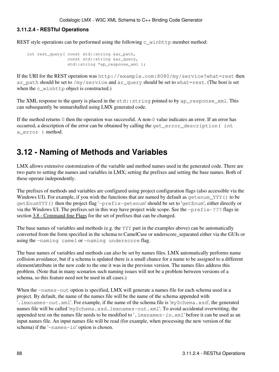## **3.11.2.4 - RESTful Operations**

REST style operations can be performed using the following  $c_w$  winhttp member method:

```
int rest_query( const std::string &ar_path,
                const std::string &ar_query,
                 std::string *ap_response_xml );
```
If the URI for the REST operation was http://example.com:8080/my/service?what=rest then ar\_path should be set to /my/service and ar\_query should be set to what=rest. (The host is set when the  $c_w$ inhttp object is constructed.)

The XML response to the query is placed in the std::string pointed to by ap\_response\_xml. This can subsequently be unmarshalled using LMX generated code.

If the method returns 0 then the operation was successful. A non-0 value indicates an error. If an error has occurred, a description of the error can be obtained by calling the get\_error\_description( int a\_error ) method.

## <span id="page-93-0"></span>**3.12 - Naming of Methods and Variables**

LMX allows extensive customization of the variable and method names used in the generated code. There are two parts to setting the names and variables in LMX; setting the prefixes and setting the base names. Both of these operate independently.

The prefixes of methods and variables are configured using project configuration flags (also accessible via the Windows UI). For example, if you wish the functions that are named by default as getenum\_YYY() to be getEnumYYY() then the project flag '-prefix-getenum' should be set to 'getEnum', either directly or via the Windows UI. The prefixes set in this way have project wide scope. See the -prefix-??? flags in section [3.8 - Command-line Flags](#page-71-0) for the set of prefixes that can be changed.

The base names of variables and methods (e.g. the YYY part in the examples above) can be automatically converted from the form specified in the schema to CamelCase or underscore\_separated either via the GUIs or using the -naming camel or -naming underscore flag.

The base names of variables and methods can also be set by names files. LMX automatically performs name collision avoidance, but if a schema is updated there is a small chance for a name to be assigned to a different element/attribute in the new code to the one it was in the previous version. The names files address this problem. (Note that in many scenarios such naming issues will not be a problem between versions of a schema, so this feature need not be used in all cases.)

When the -names-out option is specified, LMX will generate a names file for each schema used in a project. By default, the name of the names file will be the name of the schema appended with '.lmxnames-*out*.xml'. For example, if the name of the schema file is 'mySchema.xsd', the generated names file will be called 'mySchema.xsd.lmxnames-out.xml'. To avoid accidental overwriting, the appended text on the names file needs to be modified to '.lmxnames-*in*.xml' before it can be used as an input names file. An input names file will be read (for example, when processing the new version of the schema) if the '-names-in' option is chosen.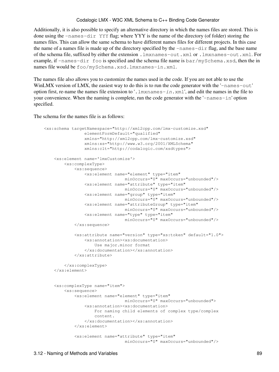Additionally, it is also possible to specify an alternative directory in which the names files are stored. This is done using the -names-dir YYY flag; where YYY is the name of the directory (of folder) storing the names files. This can allow the same schema to have different names files for different projects. In this case the name of a names file is made up of the directory specified by the -names-dir flag, and the base name of the schema file, suffixed by either the extension .lmxnames-out.xml or .lmxnames-out.xml. For example, if -names-dir foo is specified and the schema file name is bar/mySchema.xsd, then the in names file would be foo/mySchema.xsd.lmxnames-in.xml.

The names file also allows you to customize the names used in the code. If you are not able to use the WinLMX version of LMX, the easiest way to do this is to run the code generator with the '-names-out' option first, re-name the names file extension to '.lmxnames-*in*.xml', and edit the names in the file to your convenience. When the naming is complete, run the code generator with the '-names-in' option specified.

The schema for the names file is as follows:

```
 <xs:schema targetNamespace="http://xml2cpp.com/lmx-customize.xsd"
                elementFormDefault="qualified"
                xmlns="http://xml2cpp.com/lmx-customize.xsd"
                xmlns:xs="http://www.w3.org/2001/XMLSchema"
                xmlns:clt="http://codalogic.com/xsdtypes">
     <xs:element name='lmxCustomize'>
        <xs:complexType>
             <xs:sequence>
                 <xs:element name="element" type="item" 
                               minOccurs="0" maxOccurs="unbounded"/>
                 <xs:element name="attribute" type="item" 
                               minOccurs="0" maxOccurs="unbounded"/>
                 <xs:element name="group" type="item" 
                               minOccurs="0" maxOccurs="unbounded"/>
                 <xs:element name="attributeGroup" type="item" 
                        minOccurs="0" maxOccurs="unbounded"/>
                 <xs:element name="type" type="item" 
                               minOccurs="0" maxOccurs="unbounded"/>
             </xs:sequence>
             <xs:attribute name="version" type="xs:token" default="1.0">
                 <xs:annotation><xs:documentation>
                     Use major.minor format
                 </xs:documentation></xs:annotation>
             </xs:attribute>
         </xs:complexType>
     </xs:element>
     <xs:complexType name="item">
        <xs:sequence>
             <xs:element name="element" type="item" 
                               minOccurs="0" maxOccurs="unbounded">
                 <xs:annotation><xs:documentation>
                    For naming child elements of complex type/complex 
                     content.
                 </xs:documentation></xs:annotation>
             </xs:element>
             <xs:element name="attribute" type="item" 
                               minOccurs="0" maxOccurs="unbounded"/>
```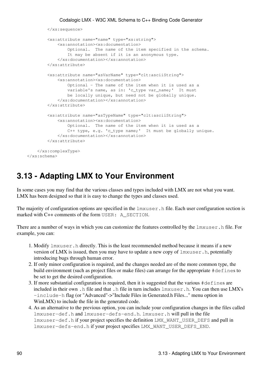```
 </xs:sequence>
         <xs:attribute name="name" type="xs:string">
             <xs:annotation><xs:documentation>
                 Optional. The name of the item specified in the schema. 
                 It may be absent if it is an anonymous type.
             </xs:documentation></xs:annotation>
         </xs:attribute>
         <xs:attribute name="asVarName" type="clt:asciiString">
             <xs:annotation><xs:documentation>
                 Optional - The name of the item when it is used as a 
                 variable's name, as in: 'c_type var_name;' It must 
                 be locally unique, but need not be globally unique.
             </xs:documentation></xs:annotation>
         </xs:attribute>
         <xs:attribute name="asTypeName" type="clt:asciiString">
             <xs:annotation><xs:documentation>
                 Optional. The name of the item when it is used as a 
                 C++ type, e.g. 'c_type name;' It must be globally unique.
             </xs:documentation></xs:annotation>
         </xs:attribute>
     </xs:complexType>
 </xs:schema>
```
## **3.13 - Adapting LMX to Your Environment**

In some cases you may find that the various classes and types included with LMX are not what you want. LMX has been designed so that it is easy to change the types and classes used.

The majority of configuration options are specified in the  $l$ mxuser.h file. Each user configuration section is marked with C++ comments of the form USER: A\_SECTION.

There are a number of ways in which you can customize the features controlled by the  $\text{lawuser}$ .h file. For example, you can:

- 1. Modify  $l$ mxuser. h directly. This is the least recommended method because it means if a new version of LMX is issued, then you may have to update a new copy of lmxuser.h, potentially introducing bugs through human error.
- 2. If only minor configuration is required, and the changes needed are of the more common type, the build environment (such as project files or make files) can arrange for the appropriate #defines to be set to get the desired configuration.
- If more substantial configuration is required, then it is suggested that the various #defines are 3. included in their own .h file and that .h file in turn includes lmxuser.h. You can then use LMX's -include-h flag (or "Advanced"->"Include Files in Generated.h Files..." menu option in WinLMX) to include the file in the generated code.
- As an alternative to the previous option, you can include your configuration changes in the files called 4. lmxuser-def.h and lmxuser-defs-end.h. lmxuser.h will pull in the file lmxuser-def.h if your project specifies the definition LMX\_WANT\_USER\_DEFS and pull in lmxuser-defs-end.h if your project specifies LMX\_WANT\_USER\_DEFS\_END.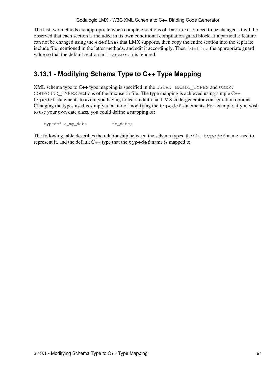The last two methods are appropriate when complete sections of  $lmxuser.h$  need to be changed. It will be observed that each section is included in its own conditional compilation guard block. If a particular feature can not be changed using the #defines that LMX supports, then copy the entire section into the separate include file mentioned in the latter methods, and edit it accordingly. Then #define the appropriate guard value so that the default section in  $lmxuser.h$  is ignored.

## **3.13.1 - Modifying Schema Type to C++ Type Mapping**

XML schema type to C++ type mapping is specified in the USER: BASIC\_TYPES and USER: COMPOUND TYPES sections of the lmxuser.h file. The type mapping is achieved using simple  $C++$ typedef statements to avoid you having to learn additional LMX code-generator configuration options. Changing the types used is simply a matter of modifying the typedef statements. For example, if you wish to use your own date class, you could define a mapping of:

```
typedef c_my_date tc_date;
```
The following table describes the relationship between the schema types, the  $C++$  typedef name used to represent it, and the default C++ type that the typedef name is mapped to.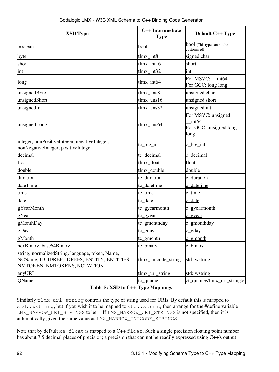| <b>XSD Type</b>                                                                                                                 | C++ Intermediate<br><b>Type</b> | <b>Default C++ Type</b>                                                   |
|---------------------------------------------------------------------------------------------------------------------------------|---------------------------------|---------------------------------------------------------------------------|
| boolean                                                                                                                         | bool                            | bool (This type can not be<br>customized)                                 |
| byte                                                                                                                            | tlmx_int8                       | signed char                                                               |
| short                                                                                                                           | tlmx_int16                      | short                                                                     |
| int                                                                                                                             | tlmx_int32                      | int                                                                       |
| long                                                                                                                            | $tlmx_$ int $64$                | For MSVC: __ int64<br>For GCC: long long                                  |
| unsignedByte                                                                                                                    | tlmx_uns8                       | unsigned char                                                             |
| unsignedShort                                                                                                                   | $tlmx$ _uns $16$                | unsigned short                                                            |
| unsignedInt                                                                                                                     | $tlmx$ _uns $32$                | unsigned int                                                              |
| unsignedLong                                                                                                                    | $tlmx$ _uns $64$                | For MSVC: unsigned<br>int <sub>64</sub><br>For GCC: unsigned long<br>long |
| integer, nonPositiveInteger, negativeInteger,<br>nonNegativeInteger, positiveInteger                                            | $tc\_big\_int$                  | $\frac{\text{c}}{\text{b} \cdot \text{c}}$ int                            |
| decimal                                                                                                                         | tc_decimal                      | c decimal                                                                 |
| float                                                                                                                           | tlmx_float                      | float                                                                     |
| double                                                                                                                          | tlmx_double                     | double                                                                    |
| duration                                                                                                                        | tc_duration                     | c duration                                                                |
| dateTime                                                                                                                        | tc_datetime                     | c datetime                                                                |
| time                                                                                                                            | tc_time                         | c time                                                                    |
| date                                                                                                                            | tc_date                         | c date                                                                    |
| gYearMonth                                                                                                                      | tc_gyearmonth                   | c gyearmonth                                                              |
| gYear                                                                                                                           | tc_gyear                        | c gyear                                                                   |
| gMonthDay                                                                                                                       | tc_gmonthday                    | c gmonthday                                                               |
| gDay                                                                                                                            | tc_gday                         | c gday                                                                    |
| gMonth                                                                                                                          | tc_gmonth                       | c gmonth                                                                  |
| hexBinary, base64Binary                                                                                                         | tc_binary                       | binary                                                                    |
| string, normalizedString, language, token, Name,<br>NCName, ID, IDREF, IDREFS, ENTITY, ENTITIES,<br>NMTOKEN, NMTOKENS, NOTATION | tlmx_unicode_string             | std::wstring                                                              |
| anyURI                                                                                                                          | tlmx_uri_string                 | std::wstring                                                              |
| QName                                                                                                                           | tc_qname                        | ct_qname <tlmx_uri_string></tlmx_uri_string>                              |

## **Table 5: XSD to C++ Type Mappings**

Similarly tlmx\_uri\_string controls the type of string used for URIs. By default this is mapped to std::wstring, but if you wish it to be mapped to std::string then arrange for the #define variable LMX\_NARROW\_URI\_STRINGS to be 1. If LMX\_NARROW\_URI\_STRINGS is not specified, then it is automatically given the same value as LMX\_NARROW\_UNICODE\_STRINGS.

Note that by default  $xs:float$  is mapped to a C++  $float$ . Such a single precision floating point number has about 7.5 decimal places of precision; a precision that can not be readily expressed using C++'s output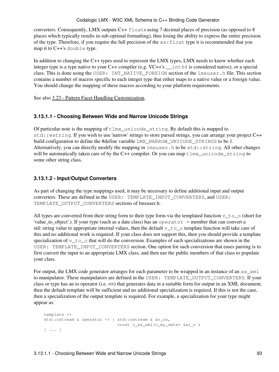converters. Consequently, LMX outputs C++ floats using 7 decimal places of precision (as opposed to 8 places which typically results in sub-optimal formatting), thus losing the ability to express the entire precision of the type. Therefore, if you require the full precision of the  $xs:float$  type it is recommended that you map it to C++'s double type.

In addition to changing the C++ types used to represent the LMX types, LMX needs to know whether each integer type is a type native to your C++ compiler (e.g. VC++'s \_\_int64 is considered native), or a special class. This is done using the USER: INT\_NATIVE\_FOREIGN section of the lmxuser.h file. This section contains a number of macros specific to each integer type that either maps to a native value or a foreign value. You should change the mapping of these macros according to your platform requirements.

See also [3.23 - Pattern Facet Handling Customization.](#page-112-0)

## **3.13.1.1 - Choosing Between Wide and Narrow Unicode Strings**

Of particular note is the mapping of  $tlmx\_unicode\_string$ . By default this is mapped to std::wstring. If you wish to use 'narrow' strings to store parsed strings, you can arrange your project C++ build configuration to define the #define variable LMX\_NARROW\_UNICODE\_STRINGS to be 1. Alternatively, you can directly modify the mapping in lmxuser.h to be std::string. All other changes will be automatically taken care of by the C++ compiler. Or you can map  $tlmx\_unicode\_string$  to some other string class.

## **3.13.1.2 - Input/Output Converters**

As part of changing the type mappings used, it may be necessary to define additional input and output converters. These are defined in the USER: TEMPLATE\_INPUT\_CONVERTERS, and USER: TEMPLATE\_OUTPUT\_CONVERTERS sections of lmxuser.h.

All types are converted from their string form to their type form via the templated function  $v\tau$  to  $\infty$  (short for 'value\_to\_object'.). If your type (such as a date class) has an operator = member that can convert a std::string value to appropriate internal values, then the default  $v\tau$  o template function will take care of this and no additional work is required. If your class does not support this, then you should provide a template specialization of  $v_to_o$  that will do the conversion. Examples of such specializations are shown in the USER: TEMPLATE\_INPUT\_CONVERTERS section. One option for such conversion that eases parsing is to first convert the input to an appropriate LMX class, and then use the public members of that class to populate your class.

For output, the LMX code generator arranges for each parameter to be wrapped in an instance of an as\_xml io manipulator. These manipulators are defined in the USER: TEMPLATE\_OUTPUT\_CONVERTERS. If your class or type has an io operator (i.e. <<) that generates data in a suitable form for output in an XML document, then the default template will be sufficient and no additional specialization is required. If this is not the case, then a specialization of the output template is required. For example, a specialization for your type might appear as:

```
template <>
std::ostream & operator << ( std::ostream & ar_os,
                           const c_as_xml<c_my_date> &ar_v )
 { ... }
```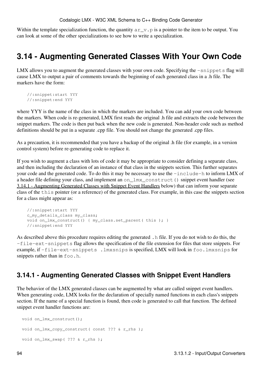Within the template specialization function, the quantity  $a_r v, p$  is a pointer to the item to be output. You can look at some of the other specializations to see how to write a specialization.

# <span id="page-99-0"></span>**3.14 - Augmenting Generated Classes With Your Own Code**

LMX allows you to augment the generated classes with your own code. Specifying the  $-\sin\phi t s$  flag will cause LMX to output a pair of comments towards the beginning of each generated class in a .h file. The markers have the form:

```
//:snippet:start YYY
//:snippet:end YYY
```
where YYY is the name of the class in which the markers are included. You can add your own code between the markers. When code is re-generated, LMX first reads the original .h file and extracts the code between the snippet markers. The code is then put back when the new code is generated. Non-header code such as method definitions should be put in a separate .cpp file. You should not change the generated .cpp files.

As a precaution, it is recommended that you have a backup of the original .h file (for example, in a version control system) before re-generating code to replace it.

If you wish to augment a class with lots of code it may be appropriate to consider defining a separate class, and then including the declaration of an instance of that class in the snippets section. This further separates your code and the generated code. To do this it may be necessary to use the -include-h to inform LMX of a header file defining your class, and implement an on\_lmx\_construct() snippet event handler (see [3.14.1 - Augmenting Generated Classes with Snippet Event Handlers](#page-99-1) below) that can inform your separate class of the this pointer (or a reference) of the generated class. For example, in this case the snippets section for a class might appear as:

```
//:snippet:start YYY
 c_my_details_class my_class;
void on_lmx_construct() { my_class.set_parent( this ); }
//:snippet:end YYY
```
As described above this procedure requires editing the generated .h file. If you do not wish to do this, the -file-ext-snippets flag allows the specification of the file extension for files that store snippets. For example, if -file-ext-snippets .lmxsnips is specified, LMX will look in foo.lmxsnips for snippets rather than in foo.h.

## <span id="page-99-1"></span>**3.14.1 - Augmenting Generated Classes with Snippet Event Handlers**

The behavior of the LMX generated classes can be augmented by what are called snippet event handlers. When generating code, LMX looks for the declaration of specially named functions in each class's snippets section. If the name of a special function is found, then code is generated to call that function. The defined snippet event handler functions are:

```
void on_lmx_construct();
void on_lmx_copy_construct( const ??? & r_rhs );
void on_lmx_swap( ??? & r_rhs );
```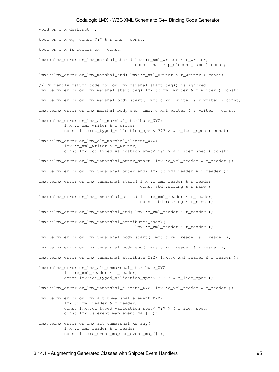```
void on_lmx_destruct();
bool on_lmx_eq( const ??? & r_rhs ) const;
bool on_lmx_is_occurs_ok() const;
 lmx::elmx_error on_lmx_marshal_start( lmx::c_xml_writer & r_writer, 
                                      const char * p_element_name ) const;
 lmx::elmx_error on_lmx_marshal_end( lmx::c_xml_writer & r_writer ) const;
// Currently return code for on_lmx_marshal_start_tag() is ignored
 lmx::elmx_error on_lmx_marshal_start_tag( lmx::c_xml_writer & r_writer ) const;
 lmx::elmx_error on_lmx_marshal_body_start( lmx::c_xml_writer & r_writer ) const;
 lmx::elmx_error on_lmx_marshal_body_end( lmx::c_xml_writer & r_writer ) const;
 lmx::elmx_error on_lmx_alt_marshal_attribute_XYZ(
           lmx::c_xml_writer & r_writer,
          const lmx::ct_typed_validation_spec< ??? > & r_item_spec ) const;
 lmx::elmx_error on_lmx_alt_marshal_element_XYZ(
           lmx::c_xml_writer & r_writer,
          const lmx::ct_typed_validation_spec< ??? > & r_item_spec ) const;
lmx::elmx_error on_lmx_unmarshal_outer_start( lmx::c_xml_reader & r_reader );
lmx::elmx_error on_lmx_unmarshal_outer_end( lmx::c_xml_reader & r_reader );
 lmx::elmx_error on_lmx_unmarshal_start( lmx::c_xml_reader & r_reader,
                                        const std::string & r_name );
 lmx::elmx_error on_lmx_unmarshal_start( lmx::c_xml_reader & r_reader,
                                        const std::string & r_name );
 lmx::elmx_error on_lmx_unmarshal_end( lmx::c_xml_reader & r_reader );
 lmx::elmx_error on_lmx_unmarshal_attributes_check( 
                                        lmx::c_xml_reader & r_reader );
 lmx::elmx_error on_lmx_unmarshal_body_start( lmx::c_xml_reader & r_reader );
 lmx::elmx_error on_lmx_unmarshal_body_end( lmx::c_xml_reader & r_reader );
 lmx::elmx_error on_lmx_unmarshal_attribute_XYZ( lmx::c_xml_reader & r_reader );
 lmx::elmx_error on_lmx_alt_unmarshal_attribute_XYZ(
           lmx::c_xml_reader & r_reader,
          const lmx::ct_typed_validation_spec< ??? > & r_item_spec );
lmx::elmx_error on_lmx_unmarshal_element_XYZ( lmx::c_xml_reader & r_reader );
 lmx::elmx_error on_lmx_alt_unmarshal_element_XYZ(
           lmx::c_xml_reader & r_reader,
          const lmx::ct_typed_validation_spec< ??? > & r_item_spec,
          const lmx::s_event_map event_map[] );
 lmx::elmx_error on_lmx_alt_unmarshal_xs_any(
          lmx::c_xml_reader & r_reader,
          const lmx::s_event_map ac_event_map[] );
```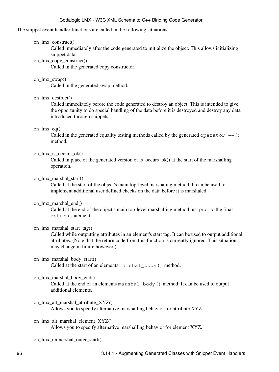#### The snippet event handler functions are called in the following situations:

#### on\_lmx\_construct()

Called immediately after the code generated to initialize the object. This allows initializing snippet data.

#### on\_lmx\_copy\_construct()

Called in the generated copy constructor.

## on\_lmx\_swap()

Called in the generated swap method.

#### on  $lmx$  destruct()

Called immediately before the code generated to destroy an object. This is intended to give the opportunity to do special handling of the data before it is destroyed and destroy any data introduced through snippets.

#### on\_lmx\_eq()

Called in the generated equality testing methods called by the generated operator  $==()$ method.

#### on  $\text{Im}x$  is occurs ok()

Called in place of the generated version of is\_occurs\_ok() at the start of the marshalling operation.

#### on\_lmx\_marshal\_start()

Called at the start of the object's main top-level marshaling method. It can be used to implement additional user defined checks on the data before it is marshaled.

#### on lmx marshal end()

Called at the end of the object's main top-level marshalling method just prior to the final return statement.

#### on\_lmx\_marshal\_start\_tag()

Called while outputting attributes in an element's start tag. It can be used to output additional attributes. (Note that the return code from this function is currently ignored. This situation may change in future however.)

## on\_lmx\_marshal\_body\_start()

Called at the start of an elements marshal body() method.

#### on\_lmx\_marshal\_body\_end()

Called at the end of an elements marshal\_body() method. It can be used to output additional elements.

on\_lmx\_alt\_marshal\_attribute\_XYZ() Allows you to specify alternative marshalling behavior for attribute XYZ.

on\_lmx\_alt\_marshal\_element\_XYZ() Allows you to specify alternative marshalling behavior for element XYZ.

on lmx unmarshal outer start()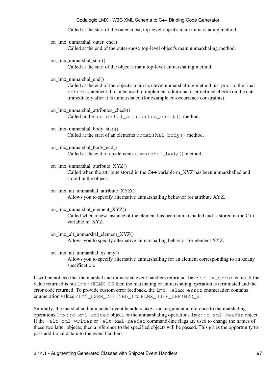Called at the start of the outer-most, top-level object's main unmarshaling method.

- on\_lmx\_unmarshal\_outer\_end() Called at the end of the outer-most, top-level object's main unmarshaling method.
- on lmx unmarshal start() Called at the start of the object's main top-level unmarshaling method.
- on lmx unmarshal end()

Called at the end of the object's main top-level unmarshalling method just prior to the final return statement. It can be used to implement additional user defined checks on the data immediately after it is unmarshaled (for example co-occurrence constraints).

- on\_lmx\_unmarshal\_attributes\_check() Called in the unmarshal\_attributes\_check() method.
- on\_lmx\_unmarshal\_body\_start() Called at the start of an elements unmarshal\_body() method.
- on\_lmx\_unmarshal\_body\_end() Called at the end of an elements unmarshal body() method.
- on\_lmx\_unmarshal\_attribute\_XYZ() Called when the attribute stored in the C++ variable m\_XYZ has been unmarshalled and stored in the object.
- on\_lmx\_alt\_unmarshal\_attribute\_XYZ() Allows you to specify alternative unmarshalling behavior for attribute XYZ.
- on\_lmx\_unmarshal\_element\_XYZ() Called when a new instance of the element has been unmarshalled and is stored in the C++ variable m\_XYZ.
- on lmx alt unmarshal element XYZ() Allows you to specify alternative unmarshalling behavior for element XYZ.
- on\_lmx\_alt\_unmarshal\_xs\_any() Allows you to specify alternative unmarshalling for an element corresponding to an xs:any specification.

It will be noticed that the marshal and unmarshal event handlers return an  $\text{lmx}:e\text{lmx}-e\text{rror}$  value. If the value returned is not  $lmx$ : ELMX\_OK then the marshaling or unmarshaling operation is terminated and the error code returned. To provide custom error feedback, the  $\text{lmx}:e\text{lmx\_error}$  enumeration contains enumeration values ELMX\_USER\_DEFINED\_1 to ELMX\_USER\_DEFINED\_9.

Similarly, the marshal and unmarshal event handlers take as an argument a reference to the marshaling operations lmx::c\_xml\_writer object, or the unmarshaling operations lmx::c\_xml\_reader object. If the -alt-xml-writer or -alt-xml-reader command-line flags are used to change the names of these two latter objects, then a reference to the specified objects will be passed. This gives the opportunity to pass additional data into the event handlers.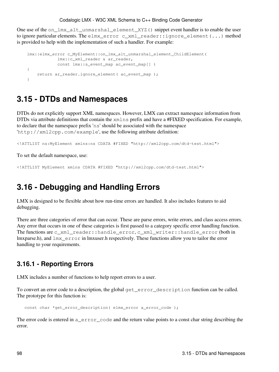One use of the on\_lmx\_alt\_unmarshal\_element\_XYZ() snippet event handler is to enable the user to ignore particular elements. The elmx\_error c\_xml\_reader::ignore\_element(...) method is provided to help with the implementation of such a handler. For example:

```
 lmx::elmx_error c_MyElement::on_lmx_alt_unmarshal_element_ChildElement( 
            lmx::c_xml_reader & ar_reader,
            const lmx::s_event_map ac_event_map[] )
 {
   return ar_reader.ignore_element( ac_event_map );
 }
```
## **3.15 - DTDs and Namespaces**

DTDs do not explicitly support XML namespaces. However, LMX can extract namespace information from DTDs via attribute definitions that contain the  $xmlns$  prefix and have a #FIXED specification. For example, to declare that the namespace prefix 'ns' should be associated with the namespace 'http://xml2cpp.com/example', use the following attribute definition:

<!ATTLIST ns:MyElement xmlns:ns CDATA #FIXED "http://xml2cpp.com/dtd-test.html">

To set the default namespace, use:

<!ATTLIST MyElement xmlns CDATA #FIXED "http://xml2cpp.com/dtd-test.html">

# **3.16 - Debugging and Handling Errors**

LMX is designed to be flexible about how run-time errors are handled. It also includes features to aid debugging.

There are three categories of error that can occur. These are parse errors, write errors, and class access errors. Any error that occurs in one of these categories is first passed to a category specific error handling function. The functions are c\_xml\_reader::handle\_error, c\_xml\_writer::handle\_error (both in lmxparse.h), and lmx\_error in lmxuser.h respectively. These functions allow you to tailor the error handling to your requirements.

## **3.16.1 - Reporting Errors**

LMX includes a number of functions to help report errors to a user.

To convert an error code to a description, the global get\_error\_description function can be called. The prototype for this function is:

const char \*get\_error\_description( elmx\_error a\_error\_code );

The error code is entered in a\_error\_code and the return value points to a const char string describing the error.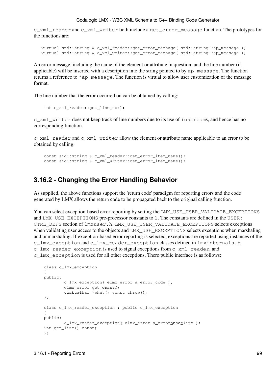c\_xml\_reader and c\_xml\_writer both include a get\_error\_message function. The prototypes for the functions are:

```
 virtual std::string & c_xml_reader::get_error_message( std::string *ap_message );
 virtual std::string & c_xml_writer::get_error_message( std::string *ap_message );
```
An error message, including the name of the element or attribute in question, and the line number (if applicable) will be inserted with a description into the string pointed to by ap\_message. The function returns a reference to \*ap\_message. The function is virtual to allow user customization of the message format.

The line number that the error occurred on can be obtained by calling:

```
int c_xml_reader::get_line_no();
```
c\_xml\_writer does not keep track of line numbers due to its use of iostreams, and hence has no corresponding function.

c\_xml\_reader and c\_xml\_writer allow the element or attribute name applicable to an error to be obtained by calling:

```
const std::string & c_xml_reader::get_error_item_name();
const std::string & c_xml_writer::get_error_item_name();
```
## **3.16.2 - Changing the Error Handling Behavior**

As supplied, the above functions support the 'return code' paradigm for reporting errors and the code generated by LMX allows the return code to be propagated back to the original calling function.

You can select exception-based error reporting by setting the LMX\_USE\_USER\_VALIDATE\_EXCEPTIONS and LMX\_USE\_EXCEPTIONS pre-processor constants to 1. The constants are defined in the USER: CTRL\_DEFS section of lmxuser.h. LMX\_USE\_USER\_VALIDATE\_EXCEPTIONS selects exceptions when validating user access to the objects and LMX\_USE\_EXCEPTIONS selects exceptions when marshaling and unmarshaling. If exception-based error reporting is selected, exceptions are reported using instances of the c\_lmx\_exception and c\_lmx\_reader\_exception classes defined in lmxinternals.h. c\_lmx\_reader\_exception is used to signal exceptions from c\_xml\_reader, and c\_lmx\_exception is used for all other exceptions. There public interface is as follows:

```
class c_lmx_exception
 {
public:
         c_lmx_exception( elmx_error a_error_code );
        elmx_error qet_eonst\chi)
        vonstadhar *what() const throw();
 };
class c_lmx_reader_exception : public c_lmx_exception
 {
public:
        c_lmx_reader_exception( elmx_error a_errorntodeline );
int get_line() const;
 };
```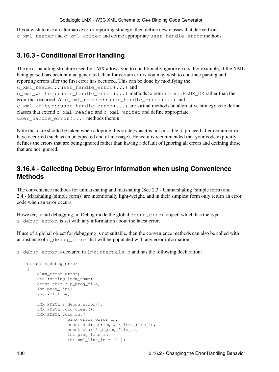If you wish to use an alternative error reporting strategy, then define new classes that derive from c\_xml\_reader and c\_xml\_writer and define appropriate user\_handle\_error methods.

## **3.16.3 - Conditional Error Handling**

```
The error handling structure used by LMX allows you to conditionally ignore errors. For example, if the XML
being parsed has been human generated, then for certain errors you may wish to continue parsing and
reporting errors after the first error has occurred. This can be done by modifying the
c_xml_reader::user_handle_error(...) and
c xml writer::user handle error(....) methods to return lmx::ELMX OK rather than the
error that occurred. As c\_xml\_reader::user\_handle\_error(...) and
c_xml_writer::user_handle_error(...) are virtual methods an alternative strategy is to define
classes that extend c_xml_reader and c_xml_writer and define appropriate
user_handle_error(...) methods therein.
```
Note that care should be taken when adopting this strategy as it is not possible to proceed after certain errors have occurred (such as an unexpected end of message). Hence it is recommended that your code explicitly defines the errors that are being ignored rather than having a default of ignoring all errors and defining those that are not ignored.

## **3.16.4 - Collecting Debug Error Information when using Convenience Methods**

The convenience methods for unmarshaling and marshaling (See [2.3 - Unmarshaling \(simple form\)](#page-35-0) and [2.4 - Marshaling \(simple form\)\)](#page-38-0) are intentionally light-weight, and in their simplest form only return an error code when an error occurs.

However, to aid debugging, in Debug mode the global debug\_error object, which has the type s\_debug\_error, is set with any information about the latest error.

If use of a global object for debugging is not suitable, then the convenience methods can also be called with an instance of s\_debug\_error that will be populated with any error information.

s\_debug\_error is declared in lmxinternals.h and has the following declaration:

```
struct s_debug_error
 {
    elmx_error error;
    std::string item_name;
   const char * p_prog_file;
   int prog_line;
   int xml_line;
    LMX_PDECL s_debug_error();
   LMX_PDECL void clear();
    LMX_PDECL void set(
                 elmx_error error_in,
                const std::string & r_item_name_in,
                const char * p_prog_file_in,
                int prog_line_in,
                int xml line in = -1 );
```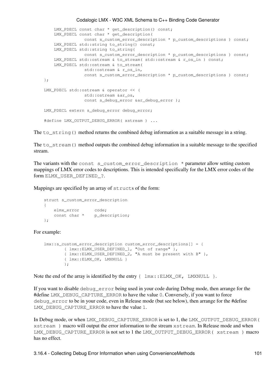```
 LMX_PDECL const char * get_description() const;
     LMX_PDECL const char * get_description(
               const s_custom_error_description * p_custom_descriptions ) const;
     LMX_PDECL std::string to_string() const;
     LMX_PDECL std::string to_string(
               const s_custom_error_description * p_custom_descriptions ) const;
     LMX_PDECL std::ostream & to_stream( std::ostream & r_os_in ) const;
     LMX_PDECL std::ostream & to_stream(
               std::ostream & r_os_in,
               const s_custom_error_description * p_custom_descriptions ) const;
 };
 LMX_PDECL std::ostream & operator << (
                std::ostream &ar_os, 
                const s_debug_error &ar_debug_error );
LMX_PDECL extern s_debug_error debug_error;
#define LMX_OUTPUT_DEBUG_ERROR( xstream ) ...
```
The to\_string() method returns the combined debug information as a suitable message in a string.

The to\_stream() method outputs the combined debug information in a suitable message to the specified stream.

The variants with the const s\_custom\_error\_description \* parameter allow setting custom mappings of LMX error codes to descriptions. This is intended specifically for the LMX error codes of the form ELMX\_USER\_DEFINED\_?.

Mappings are specified by an array of structs of the form:

```
struct s custom error description
    {
elmx_error code;
       const char * p_description;
    };
```
For example:

```
 lmx::s_custom_error_description custom_error_descriptions[] = {
        { lmx::ELMX_USER_DEFINED_1, "Out of range" },
         { lmx::ELMX_USER_DEFINED_2, "A must be present with B" },
         { lmx::ELMX_OK, LMXNULL }
         };
```
Note the end of the array is identified by the entry  $\{ \text{lmx} : ELMX_OK, LMXNULL} \}.$ 

If you want to disable debug\_error being used in your code during Debug mode, then arrange for the #define LMX\_DEBUG\_CAPTURE\_ERROR to have the value 0. Conversely, if you want to force debug error to be in your code, even in Release mode (but see below), then arrange for the #define LMX\_DEBUG\_CAPTURE\_ERROR to have the value 1.

In Debug mode, or when LMX\_DEBUG\_CAPTURE\_ERROR is set to 1, the LMX\_OUTPUT\_DEBUG\_ERROR( xstream ) macro will output the error information to the stream xstream. In Release mode and when LMX\_DEBUG\_CAPTURE\_ERROR is not set to 1 the LMX\_OUTPUT\_DEBUG\_ERROR( xstream ) macro has no effect.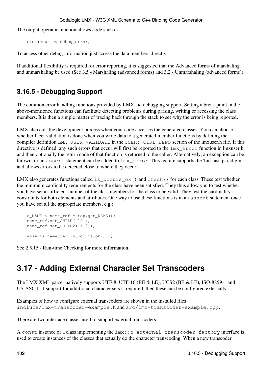The output operator function allows code such as:

std::cout << debug\_error;

To access other debug information just access the data members directly.

If additional flexibility is required for error reporting, it is suggested that the Advanced forms of marshaling and unmarshaling be used (See [3.5 - Marshaling \(advanced forms\)](#page-69-0) and [3.2 - Unmarshaling \(advanced forms\)](#page-58-0)).

## **3.16.5 - Debugging Support**

The common error handling functions provided by LMX aid debugging support. Setting a break point in the above-mentioned functions can facilitate detecting problems during parsing, writing or accessing the class members. It is then a simple matter of tracing back through the stack to see why the error is being reported.

LMX also aids the development process when your code accesses the generated classes. You can choose whether facet validation is done when you write data to a generated member functions by defining the compiler definition LMX\_USER\_VALIDATE in the USER: CTRL\_DEFS section of the lmxuser.h file. If this directive is defined, any such errors that occur will first be reported to the  $\text{lmx}-\text{error}$  function in lmxuser.h, and then optionally the return code of that function is returned to the caller. Alternatively, an exception can be thrown, or an assert statement can be added to lmx\_error. This feature supports the 'fail fast' paradigm and allows errors to be detected close to where they occur.

LMX also generates functions called is  $\text{occurs}\_\text{ok}$  () and check () for each class. These test whether the minimum cardinality requirements for the class have been satisfied. They thus allow you to test whether you have set a sufficient number of the class members for the class to be valid. They test the cardinality constraints for both elements and attributes. One way to use these functions is in an assert statement once you have set all the appropriate members, e.g.:

```
c_NAME & name_ref = top.get_NAME();
 name_ref.set_CHILD( 12 );
 name_ref.set_CHILD2( 1.2 );
 assert( name_ref.is_occurs_ok() );
```
See [2.5.15 - Run-time Checking](#page-53-0) for more information.

# **3.17 - Adding External Character Set Transcoders**

The LMX XML parser natively supports UTF-8, UTF-16 (BE & LE), UCS2 (BE & LE), ISO-8859-1 and US-ASCII. If support for additional character sets is required, then these can be configured externally.

```
Examples of how to configure external transcoders are shown in the installed files
include/lmx-transcoder-example.h and src/lmx-transcoder-example.cpp.
```
There are two interface classes used to support external transcoders:

A const instance of a class implementing the  $lmx$ :: c\_external\_transcoder\_factory interface is used to create instances of the classes that actually do the character transcoding. When a new transcoder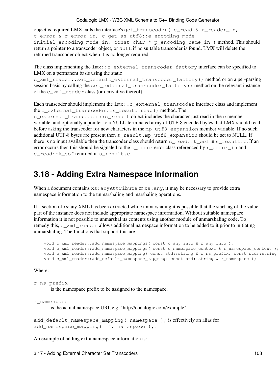object is required LMX calls the interface's get\_transcoder ( $c$ \_read  $\&$  r\_reader\_in, c\_error & r\_error\_in, c\_get\_as\_utf8::e\_encoding\_mode initial\_encoding\_mode\_in, const char \* p\_encoding\_name\_in ) method. This should return a pointer to a transcoder object, or NULL if no suitable transcoder is found. LMX will delete the returned transcoder object when it is no longer required.

The class implementing the lmx::c\_external\_transcoder\_factory interface can be specified to LMX on a permanent basis using the static

c\_xml\_reader::set\_default\_external\_transcoder\_factory() method or on a per-parsing session basis by calling the set\_external\_transcoder\_factory() method on the relevant instance of the c\_xml\_reader class (or derivative thereof).

Each transcoder should implement the  $lmx$ :: c\_external\_transcoder interface class and implement the c\_external\_transcoder::s\_result read() method. The c\_external\_transcoder::s\_result object includes the character just read in the c member

variable, and optionally a pointer to a NULL-terminated array of UTF-8 encoded bytes that LMX should read before asking the transcoder for new characters in the mp\_utf8\_expansion member variable. If no such additional UTF-8 bytes are present then s\_result.mp\_utf8\_expansion should be set to NULL. If there is no input available then the transcoder class should return c\_read::k\_eof in s\_result.c. If an error occurs then this should be signaled to the  $c$  error error class referenced by  $r$  error in and c\_read::k\_eof returned in s\_result.c.

### **3.18 - Adding Extra Namespace Information**

When a document contains  $xs:$  anyAttribute or  $xs:$  any, it may be necessary to provide extra namespace information to the unmarshaling and marshaling operations.

If a section of xs:any XML has been extracted while unmarshaling it is possible that the start tag of the value part of the instance does not include appropriate namespace information. Without suitable namespace information it is not possible to unmarshal its contents using another module of unmarshaling code. To remedy this, c\_xml\_reader allows additional namespace information to be added to it prior to initiating unmarshaling. The functions that support this are:

void c\_xml\_reader::add\_namespace\_mappings( const c\_any\_info & r\_any\_info ); void c\_xml\_reader::add\_namespace\_mappings( const c\_namespace\_context & r\_namespace\_context ); void c\_xml\_reader::add\_namespace\_mapping( const std::string & r\_ns\_prefix, const std::string void c\_xml\_reader::add\_default\_namespace\_mapping( const std::string & r\_namespace );

#### Where:

#### r\_ns\_prefix

is the namespace prefix to be assigned to the namespace.

```
r_namespace
```
is the actual namespace URI, e.g. "http://codalogic.com/example".

add\_default\_namespace\_mapping( namespace ); is effectively an alias for add\_namespace\_mapping( "", namespace );.

An example of adding extra namespace information is: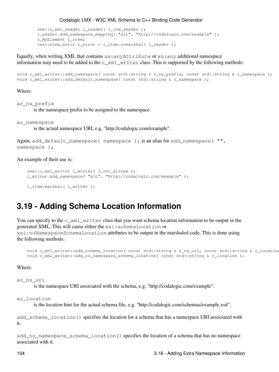```
 lmx::c_xml_reader l_reader( l_low_reader );
 l_reader.add_namespace_mapping( "alt", "http://codalogic.com/example" );
 c_MyElement l_item;
 lmx::elmx_error l_error = l_item.unmarshal( l_reader );
```
Equally, when writing XML that contains  $xs:$  anyAttribute or  $xs:$  any additional namespace information may need to be added to the  $\subset$  xml writer class. This is supported by the following methods:

```
void c_xml_writer::add_namespace( const std::string & r_ns_prefix, const std::string & r_namespace );
void c_xml_writer::add_default_namespace( const std::string & r_namespace );
```
#### Where:

ar ns prefix

is the namespace prefix to be assigned to the namespace.

ar\_namespace

is the actual namespace URI, e.g. "http://codalogic.com/example".

```
Again, add_default_namespace( namespace ); is an alias for add_namespace( "",
namespace ) ;.
```
An example of their use is:

```
 lmx::c_xml_writer l_writer( l_out_stream );
 l_writer.add_namespace( "alt", "http://codalogic.com/example" );
```

```
 l_item.marshal( l_writer );
```
### **3.19 - Adding Schema Location Information**

You can specify to the c  $\pi$ ml writer class that you want schema location information to be output in the generated XML. This will cause either the xsi:schemaLocation or xsi:noNamespaceSchemaLocation attributes to be output in the marshaled code. This is done using the following methods:

void c\_xml\_writer::add\_schema\_location( const std::string & r\_ns\_uri, const std::string & r\_location void c\_xml\_writer::add\_no\_namespace\_schema\_location( const std::string & r\_location );

Where:

ar\_ns\_uri

is the namespace URI associated with the schema, e.g. "http://codalogic.com/example".

ar\_location

is the location hint for the actual schema file, e.g. "http://codalogic.com/schemas/example.xsd".

add\_schema\_location() specifies the location for a schema that has a namespace URI associated with it.

add\_no\_namespace\_schema\_location() specifies the location of a schema that has no namespace associated with it.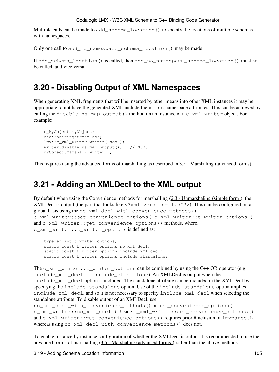Multiple calls can be made to add schema location() to specify the locations of multiple schemas with namespaces.

Only one call to add\_no\_namespace\_schema\_location() may be made.

If add\_schema\_location() is called, then add\_no\_namespace\_schema\_location() must not be called, and vice versa.

### **3.20 - Disabling Output of XML Namespaces**

When generating XML fragments that will be inserted by other means into other XML instances it may be appropriate to not have the generated XML include the xmlns namespace attributes. This can be achieved by calling the disable\_ns\_map\_output() method on an instance of a c\_xml\_writer object. For example:

```
 c_MyObject myObject;
 std::ostringstream sos;
 lmx::c_xml_writer writer( sos );
 writer.disable_ns_map_output(); // N.B.
 myObject.marshal( writer );
```
This requires using the advanced forms of marshalling as described in [3.5 - Marshaling \(advanced forms\).](#page-69-0)

## **3.21 - Adding an XMLDecl to the XML output**

By default when using the Convenience methods for marshalling  $(2.3 - Un)$  marshaling (simple form)), the XMLDecl is output (the part that looks like  $\leq 2 \times m1$  version="1.0"?>). This can be configured on a global basis using the no  $xml$  decl with convenience methods(), c\_xml\_writer::set\_convenience\_options( c\_xml\_writer::t\_writer\_options ) and c xml writer::get convenience options() methods, where. c\_xml\_writer::t\_writer\_options is defined as:

```
typedef int t_writer_options;
static const t_writer_options no_xml_decl;
static const t_writer_options include_xml_decl;
static const t_writer_options include_standalone;
```
The  $c\_xml\_writer::t\_writer\_options$  can be combined by using the C++ OR operator (e.g. include\_xml\_decl | include\_standalone). An XMLDecl is output when the include\_xml\_decl option is included. The standalone attribute can be included in the XMLDecl by specifying the include\_standalone option. Use of the include\_standalone option implies include\_xml\_decl, and so it is not necessary to specify include\_xml\_decl when selecting the standalone attribute. To disable output of an XMLDecl, use

```
no_xml_decl_with_convenience_methods() or set_convenience_options(
c_xml_writer::no_xml_decl ). Using c_xml_writer::set_convenience_options()
and c_xml_writer::get_convenience_options() requires prior #inclusion of lmxparse.h,
whereas using no_xml_decl_with_convenience_methods() does not.
```
To enable instance by instance configuration of whether the XMLDecl is output it is recommended to use the advanced forms of marshalling ([3.5 - Marshaling \(advanced forms\)](#page-69-0)) rather than the above methods.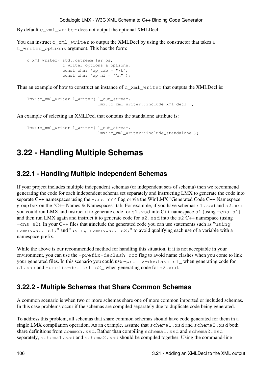By default c\_xml\_writer does not output the optional XMLDecl.

You can instruct c\_xml\_writer to output the XMLDecl by using the constructor that takes a t\_writer\_options argument. This has the form:

```
 c_xml_writer( std::ostream &ar_os,
              t_writer_options a_options,
             const char *ap_tab = "\tilde{}const char *ap_n1 = "\n" );
```
Thus an example of how to construct an instance of  $c\_xml\_write$  that outputs the XMLDecl is:

```
 lmx::c_xml_writer l_writer( l_out_stream, 
                             lmx::c_xml_writer::include_xml_decl );
```
An example of selecting an XMLDecl that contains the standalone attribute is:

```
 lmx::c_xml_writer l_writer( l_out_stream, 
                             lmx::c_xml_writer::include_standalone );
```
# **3.22 - Handling Multiple Schemas**

### **3.22.1 - Handling Multiple Independent Schemas**

If your project includes multiple independent schemas (or independent sets of schema) then we recommend generating the code for each independent schema set separately and instructing LMX to generate the code into separate C++ namespaces using the  $-\text{cns}$  YYY flag or via the WinLMX "Generated Code C++ Namespace" group box on the "C++ Names & Namespaces" tab. For example, if you have schemas s1.xsd and s2.xsd you could run LMX and instruct it to generate code for  $s1$ .  $x \, sd$  into C++ namespace  $s1$  (using  $-cns$  s1) and then run LMX again and instruct it to generate code for  $s2$ .  $x \cdot s3$  into the s2 C++ namespace (using -cns s2). In your C++ files that #include the generated code you can use statements such as "using namespace s1;" and "using namespace s2;" to avoid qualifying each use of a variable with a namespace prefix.

While the above is our recommended method for handling this situation, if it is not acceptable in your environment, you can use the -prefix-declash YYY flag to avoid name clashes when you come to link your generated files. In this scenario you could use  $-prefix-declash \s1$  when generating code for s1.xsd and -prefix-declash s2\_ when generating code for s2.xsd.

### **3.22.2 - Multiple Schemas that Share Common Schemas**

A common scenario is when two or more schemas share one of more common imported or included schemas. In this case problems occur if the schemas are compiled separately due to duplicate code being generated.

To address this problem, all schemas that share common schemas should have code generated for them in a single LMX compilation operation. As an example, assume that schema1.xsd and schema2.xsd both share definitions from common.xsd. Rather than compiling schema1.xsd and schema2.xsd separately, schema1.xsd and schema2.xsd should be compiled together. Using the command-line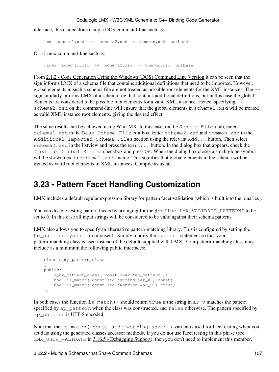interface, this can be done using a DOS command-line such as:

lmx schema1.xsd ++ schema2.xsd + common.xsd outbase

Or a Linux command-line such as:

linmx schema1.xsd ++ schema2.xsd + common.xsd outbase

From [2.1.2 - Code Generation Using the Windows \(DOS\) Command Line Version](#page-31-0) it can be seen that the + sign informs LMX of a schema file that contains additional definitions that need to be imported. However, global elements in such a schema file are not treated as possible root elements for the XML instances. The ++ sign similarly informs LMX of a schema file that contains additional definitions, but in this case the global elements are considered to be possible root elements for a valid XML instance. Hence, specifying ++ schema2.xsd on the command-line will ensure that the global elements in schema2.xsd will be treated as valid XML instance root elements, giving the desired effect.

The same results can be achieved using WinLMX. In this case, on the Schema Files tab, enter schema1.xsd in the Base Schema File edit box. Enter schema2.xsd and common.xsd in the Additional Imported Schema Files section using the relevant Add... button. Then select schema2.xsd in the listview and press the Edit... button. In the dialog box that appears, check the Treat as Global Schema checkbox and press OK. When the dialog box closes a small globe symbol will be shown next to schema2.xsd's name. This signifies that global elements in the schema will be treated as valid root elements in XML instances. Compile as usual.

# **3.23 - Pattern Facet Handling Customization**

LMX includes a default regular expression library for pattern facet validation (which is built into the binaries).

You can disable testing pattern facets by arranging for the #define LMX VALIDATE PATTERNS to be set to 0. In this case all input strings will be considered to be valid against their schema patterns.

LMX also allows you to specify an alternative pattern-matching library. This is configured by setting the tc\_pattern typedef in lmxuser.h. Simply modify the typedef statement so that your pattern-matching class is used instead of the default supplied with LMX. Your pattern-matching class must include as a minimum the following public interfaces:

```
class c_my_pattern_class
 {
public:
     c_my_pattern_class( const char *ap_pattern );
    bool is_match( const std::string &ar_v ) const;
   bool is_match( const std::wstring &ar_v ) const;
 };
```
In both cases the function is  $\_$ match() should return true if the string in ar $\_v$  matches the pattern specified by ap\_pattern when the class was constructed, and false otherwise. The pattern specified by ap\_pattern is UTF-8 encoded.

Note that the is\_match( const std::wstring  $&ar_v$  ) variant is used for facet testing when you set data using the generated classes accessor methods. If you do not use facet testing in this phase (see LMX\_USER\_VALIDATE in [3.16.5 - Debugging Support](#page-107-0)), then you don't need to implement this member.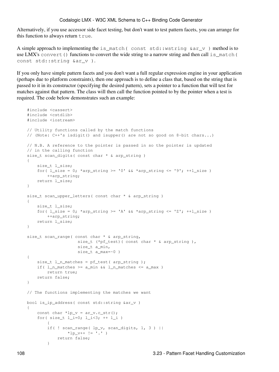Alternatively, if you use accessor side facet testing, but don't want to test pattern facets, you can arrange for this function to always return true.

A simple approach to implementing the is\_match( const std::wstring &ar\_v ) method is to use LMX's convert() functions to convert the wide string to a narrow string and then call is\_match( const std::string &ar\_v ).

If you only have simple pattern facets and you don't want a full regular expression engine in your application (perhaps due to platform constraints), then one approach is to define a class that, based on the string that is passed to it in its constructor (specifying the desired pattern), sets a pointer to a function that will test for matches against that pattern. The class will then call the function pointed to by the pointer when a test is required. The code below demonstrates such an example:

```
 #include <cassert>
     #include <cstdlib>
     #include <iostream>
    // Utility functions called by the match functions
    // (Note: C++'s isdigit() and isupper() are not so good on 8-bit chars...)
    // N.B. A reference to the pointer is passed in so the pointer is updated
    // in the calling function
     size_t scan_digits( const char * & arp_string )
     {
          size_t l_size;
         for( l\_size = 0; *arp_string >= '0' && *arp_string <= '9'; ++l\_size )
              ++arp_string;
         return l_size;
      }
      size_t scan_upper_letters( const char * & arp_string )
      {
          size_t l_size;
         for( l\_size = 0; *arp_string >= 'A' && *arp_string <= 'Z'; ++l\_size )
              ++arp_string;
        return l_size;
      }
     size_t scan_range( const char * & arp_string,
                             size_t (*pf_test)( const char * & arp_string ),
                             size t a min,
                              size_t a_max=~0 )
      {
         size t l n matches = pf test( arp string );
         if( l_n matches >= a_min && l_n matches <= a_max )
             return true;
         return false;
      }
     // The functions implementing the matches we want
    bool is_ip_address( const std::string &ar_v )
      {
         const char *lp_v = ar_v.c_str();
         for( size_t l_i=0; l_i<3; ++ l_i)
\left\{ \begin{array}{cc} 0 & 0 & 0 \\ 0 & 0 & 0 \\ 0 & 0 & 0 \\ 0 & 0 & 0 \\ 0 & 0 & 0 \\ 0 & 0 & 0 \\ 0 & 0 & 0 \\ 0 & 0 & 0 \\ 0 & 0 & 0 \\ 0 & 0 & 0 \\ 0 & 0 & 0 \\ 0 & 0 & 0 & 0 \\ 0 & 0 & 0 & 0 \\ 0 & 0 & 0 & 0 \\ 0 & 0 & 0 & 0 & 0 \\ 0 & 0 & 0 & 0 & 0 \\ 0 & 0 & 0 & 0 & 0 \\ 0 & 0 & 0 & 0 & 0 & 0 \\ 0 & 0 & 0 & 0if( ! scan_range( lp_v, scan_digits, 1, 3 ) ||
                        *lp_v++ != '.'')return false;
 }
```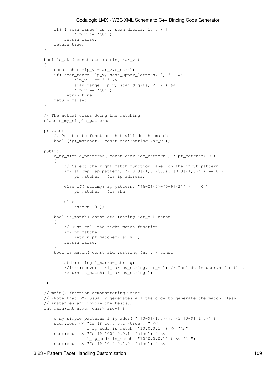```
if( ! scan_range( lp_v, scan_digits, 1, 3 ) ||
               *lp_v := '0')return false;
        return true;
     }
   bool is_sku( const std::string &ar_v )
\left\{\begin{array}{ccc} \end{array}\right\}const char *lp_v = ar_v.c_str();
        if( scan_range( lp_v, scan_upper_letters, 3, 3 ) &&
                 *lp_v++ == '-' &&
                 scan_range( lp_v, scan_digits, 2, 2 ) &&
                *lp_v == '0')
            return true;
       return false;
    }
   // The actual class doing the matching
   class c_my_simple_patterns
    {
   private:
       // Pointer to function that will do the match
       bool (*pf_matcher)( const std::string &ar_v );
   public:
         c_my_simple_patterns( const char *ap_pattern ) : pf_matcher( 0 )
         {
            // Select the right match function based on the input pattern
            if( strcmp( ap_pattern, "([0-9]{1,3}\ \\.){3}[0-9]{1,3}" ) == 0 )
                 pf_matcher = &is_ip_address;
            else if( strcmp( ap_pattern, " [A-Z] {3} - [0-9] {2}" ) == 0 )
                 pf_matcher = &is_sku;
            else
                 assert( 0 );
         }
        bool is_match( const std::string &ar_v ) const
\overline{\mathcal{L}}// Just call the right match function
            if( pf_matcher )
                return pf_matcher( ar_v );
            return false;
 }
       bool is_match( const std::wstring &ar_v ) const
         {
            std::string l_narrow_string;
            //lmx::convert( &l_narrow_string, ar_v ); // Include lmxuser.h for this
            return is_match( l_narrow_string );
         }
    };
   // main() function demonstrating usage
   // (Note that LMX usually generates all the code to generate the match class 
   // instances and invoke the tests.)
   int main(int argc, char* argv[])
     {
        c_my_simple_patterns l_ip_addr( "([0-9]{1,3}\\).\] [0-9]{1,3} std::cout << "Is IP 10.0.0.1 (true): " << 
                     l_ip_addr.is_match( "10.0.0.1" ) << "\n";
         std::cout << "Is IP 1000.0.0.1 (false): " << 
                      l<sub>ip_addr.is_match(</sub> "1000.0.0.1") << "\n";
         std::cout << "Is IP 10.0.0.1.0 (false): " <<
```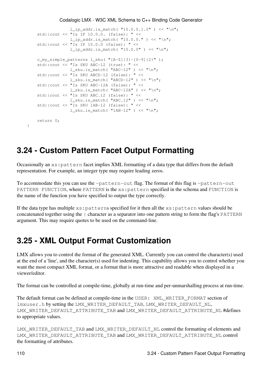```
 l_ip_addr.is_match( "10.0.0.1.0" ) << "\n";
 std::cout << "Is IP 10.0.0. (false): " << 
              l_ip_addr.is_match( "10.0.0." ) << "\n";
 std::cout << "Is IP 10.0.0 (false): " << 
             l_ip_addr.is_match( "10.0.0" ) << "\n";
 c_my_simple_patterns l_sku( "[A-Z]{3}-[0-9]{2}" );
 std::cout << "Is SKU ABC-12 (true): " << 
             l_sku.is_match( "ABC-12" ) << "\n";
 std::cout << "Is SKU ABCD-12 (false): " << 
            l_sku.is_match( "ABCD-12" ) << "\n";
 std::cout << "Is SKU ABC-12A (false): " << 
            l_sku.is_match( "ABC-12A" ) << "\n";
 std::cout << "Is SKU ABC.12 (false): " << 
             l_sku.is_match( "ABC.12" ) << "\n";
 std::cout << "Is SKU 1AB-12 (false): " << 
            l_sku.is_match( "1AB-12" ) << "\n";
return 0;
```
## **3.24 - Custom Pattern Facet Output Formatting**

Occasionally an xs:pattern facet implies XML formatting of a data type that differs from the default representation. For example, an integer type may require leading zeros.

To accommodate this you can use the -pattern-out flag. The format of this flag is -pattern-out PATTERN FUNCTION, where PATTERN is the  $xs$ : pattern specified in the schema and FUNCTION is the name of the function you have specified to output the type correctly.

If the data type has multiple xs:patterns specified for it then all the xs:pattern values should be concatenated together using the | character as a separator into one pattern string to form the flag's PATTERN argument. This may require quotes to be used on the command-line.

# **3.25 - XML Output Format Customization**

LMX allows you to control the format of the generated XML. Currently you can control the character(s) used at the end of a 'line', and the character(s) used for indenting. This capability allows you to control whether you want the most compact XML format, or a format that is more attractive and readable when displayed in a viewer/editor.

The format can be controlled at compile-time, globally at run-time and per-unmarshalling process at run-time.

The default format can be defined at compile-time in the USER: XML\_WRITER\_FORMAT section of lmxuser.h by setting the LMX\_WRITER\_DEFAULT\_TAB, LMX\_WRITER\_DEFAULT\_NL, LMX\_WRITER\_DEFAULT\_ATTRIBUTE\_TAB and LMX\_WRITER\_DEFAULT\_ATTRIBUTE\_NL #defines to appropriate values.

LMX\_WRITER\_DEFAULT\_TAB and LMX\_WRITER\_DEFAULT\_NL control the formatting of elements and LMX\_WRITER\_DEFAULT\_ATTRIBUTE\_TAB and LMX\_WRITER\_DEFAULT\_ATTRIBUTE\_NL control the formatting of attributes.

}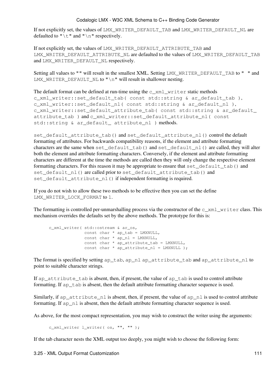If not explicitly set, the values of LMX\_WRITER\_DEFAULT\_TAB and LMX\_WRITER\_DEFAULT\_NL are defaulted to " $\setminus t$ " and " $\setminus n$ " respectively.

If not explicitly set, the values of LMX\_WRITER\_DEFAULT\_ATTRIBUTE\_TAB and LMX\_WRITER\_DEFAULT\_ATTRIBUTE\_NL are defaulted to the values of LMX\_WRITER\_DEFAULT\_TAB and LMX\_WRITER\_DEFAULT\_NL respectively.

Setting all values to "" will result in the smallest XML. Setting LMX\_WRITER\_DEFAULT\_TAB to " " and LMX\_WRITER\_DEFAULT\_NL to "\n" will result in shallower nesting.

The default format can be defined at run-time using the  $\text{c}$  xml writer static methods c\_xml\_writer::set\_default\_tab( const std::string & ar\_default\_tab ), c\_xml\_writer::set\_default\_nl( const std::string & ar\_default\_nl ), c\_xml\_writer::set\_default\_attribute\_tab( const std::string & ar\_default\_ attribute\_tab ) and c\_xml\_writer::set\_default\_attribute\_nl( const std::string & ar default attribute nl ) methods.

set\_default\_attribute\_tab() and set\_default\_attribute\_nl() control the default formatting of attributes. For backwards compatibility reasons, if the element and attribute formatting characters are the same when set\_default\_tab() and set\_default\_nl() are called, they will alter both the element and attribute formatting characters. Conversely, if the element and attribute formatting characters are different at the time the methods are called then they will only change the respective element formatting characters. For this reason it may be appropriate to ensure that set\_default\_tab() and set\_default\_nl() are called prior to set\_default\_attribute\_tab() and set\_default\_attribute\_nl() if independent formatting is required.

If you do not wish to allow these two methods to be effective then you can set the define LMX\_WRITER\_LOCK\_FORMAT to 1.

The formatting is controlled per-unmarshalling process via the constructor of the  $c_{x}$ ml\_writer class. This mechanism overrides the defaults set by the above methods. The prototype for this is:

```
 c_xml_writer( std::ostream & ar_os,
              const char * ap_tab = LMXNULL, 
              const char * ap_nl = LMXNULL,
              const char * ap_attribute_tab = LMXNULL, 
              const char * ap_attribute_nl = LMXNULL );
```
The format is specified by setting ap\_tab, ap\_nl ap\_attribute\_tab and ap\_attribute\_nl to point to suitable character strings.

If ap\_attribute\_tab is absent, then, if present, the value of ap\_tab is used to control attribute formatting. If ap tab is absent, then the default attribute formatting character sequence is used.

Similarly, if ap\_attribute\_nl is absent, then, if present, the value of ap\_nl is used to control attribute formatting. If  $ap\_n1$  is absent, then the default attribute formatting character sequence is used.

As above, for the most compact representation, you may wish to construct the writer using the arguments:

```
c_xml_writer l_writer( os, "", "" );
```
If the tab character nests the XML output too deeply, you might wish to choose the following form: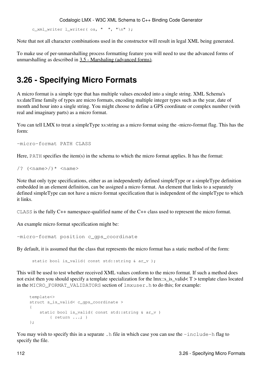c\_xml\_writer l\_writer(  $os, " "," " \n$ 

Note that not all character combinations used in the constructor will result in legal XML being generated.

To make use of per-unmarshalling process formatting feature you will need to use the advanced forms of unmarshalling as described in [3.5 - Marshaling \(advanced forms\).](#page-69-0)

# **3.26 - Specifying Micro Formats**

A micro format is a simple type that has multiple values encoded into a single string. XML Schema's xs:dateTime family of types are micro formats, encoding multiple integer types such as the year, date of month and hour into a single string. You might choose to define a GPS coordinate or complex number (with real and imaginary parts) as a micro format.

You can tell LMX to treat a simpleType xs: string as a micro format using the -micro-format flag. This has the form:

```
-micro-format PATH CLASS
```
Here, PATH specifies the item(s) in the schema to which the micro format applies. It has the format:

/?  $(*name*)/* *name*$ 

Note that only type specifications, either as an independently defined simpleType or a simpleType definition embedded in an element definition, can be assigned a micro format. An element that links to a separately defined simpleType can not have a micro format specification that is independent of the simpleType to which it links.

CLASS is the fully C++ namespace-qualified name of the C++ class used to represent the micro format.

An example micro format specification might be:

-micro-format position c\_gps\_coordinate

By default, it is assumed that the class that represents the micro format has a static method of the form:

static bool is valid( const std::string & ar v );

This will be used to test whether received XML values conform to the micro format. If such a method does not exist then you should specify a template specialization for the lmx::s\_is\_valid< T > template class located in the MICRO\_FORMAT\_VALIDATORS section of lmxuser.h to do this; for example:

```
template<>
     struct s_is_valid< c_gps_coordinate >
\overline{\mathcal{A}}static bool is_valid( const std::string & ar_v )
              { return ...; }
      };
```
You may wish to specify this in a separate. h file in which case you can use the  $-$ include-h flag to specify the file.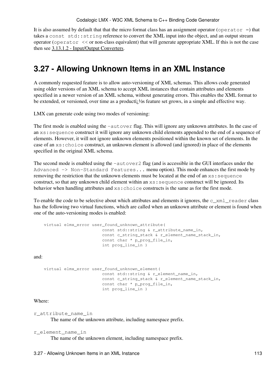It is also assumed by default that that the micro format class has an assignment operator (operator =) that takes a const std::string reference to convert the XML input into the object, and an output stream operator (operator << or non-class equivalent) that will generate appropriate XML. If this is not the case then see [3.13.1.2 - Input/Output Converters](#page-98-0).

# **3.27 - Allowing Unknown Items in an XML Instance**

A commonly requested feature is to allow auto-versioning of XML schemas. This allows code generated using older versions of an XML schema to accept XML instances that contain attributes and elements specified in a newer version of an XML schema, without generating errors. This enables the XML format to be extended, or versioned, over time as a producti $\lambda/2$ s feature set grows, in a simple and effective way.

LMX can generate code using two modes of versioning:

The first mode is enabled using the -autover flag. This will ignore any unknown attributes. In the case of an xs:sequence construct it will ignore any unknown child elements appended to the end of a sequence of elements. However, it will not ignore unknown elements positioned within the known set of elements. In the case of an xs:choice construct, an unknown element is allowed (and ignored) in place of the elements specified in the original XML schema.

The second mode is enabled using the  $-\text{autover2}$  flag (and is accessible in the GUI interfaces under the Advanced  $\rightarrow$  Non-Standard Features... menu option). This mode enhances the first mode by removing the restriction that the unknown elements must be located at the end of an xs:sequence construct, so that any unknown child element within an xs:sequence construct will be ignored. Its behavior when handling attributes and xs:choice constructs is the same as for the first mode.

To enable the code to be selective about which attributes and elements it ignores, the  $c\_xml\_reader$  class has the following two virtual functions, which are called when an unknown attribute or element is found when one of the auto-versioning modes is enabled:

```
 virtual elmx_error user_found_unknown_attribute(
                      const std::string & r_attribute_name_in,
                       const c_string_stack & r_element_name_stack_in,
                       const char * p_prog_file_in,
                       int prog_line_in )
```
and:

```
 virtual elmx_error user_found_unknown_element(
                      const std::string & r_element_name_in,
                      const c_string_stack & r_element_name_stack_in,
                      const char * p_prog_file_in,
                       int prog_line_in )
```
Where:

r\_attribute\_name\_in

The name of the unknown attribute, including namespace prefix.

r\_element\_name\_in

The name of the unknown element, including namespace prefix.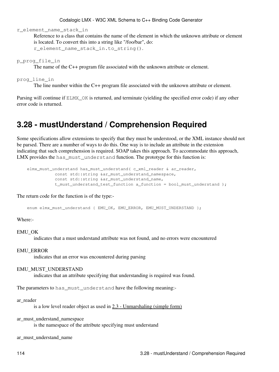r\_element\_name\_stack\_in

Reference to a class that contains the name of the element in which the unknown attribute or element is located. To convert this into a string like "/foo/bar", do: r\_element\_name\_stack\_in.to\_string().

p\_prog\_file\_in

The name of the C++ program file associated with the unknown attribute or element.

prog\_line\_in

The line number within the C++ program file associated with the unknown attribute or element.

Parsing will continue if ELMX\_OK is returned, and terminate (yielding the specified error code) if any other error code is returned.

## **3.28 - mustUnderstand / Comprehension Required**

Some specifications allow extensions to specify that they must be understood, or the XML instance should not be parsed. There are a number of ways to do this. One way is to include an attribute in the extension indicating that such comprehension is required. SOAP takes this approach. To accommodate this approach, LMX provides the has must understand function. The prototype for this function is:

```
elmx must understand has must understand( c xml reader & ar reader,
          const std::string &ar_must_understand_namespace, 
          const std::string &ar_must_understand_name,
           t_must_understand_test_function a_function = bool_must_understand );
```
The return code for the function is of the type:-

enum elmx\_must\_understand { EMU\_OK, EMU\_ERROR, EMU\_MUST\_UNDERSTAND };

Where:-

EMU\_OK

indicates that a must understand attribute was not found, and no errors were encountered

#### EMU\_ERROR

indicates that an error was encountered during parsing

#### EMU\_MUST\_UNDERSTAND

indicates that an attribute specifying that understanding is required was found.

The parameters to has\_must\_understand have the following meaning:-

#### ar\_reader

is a low level reader object as used in [2.3 - Unmarshaling \(simple form\)](#page-35-0)

ar\_must\_understand\_namespace

is the namespace of the attribute specifying must understand

ar\_must\_understand\_name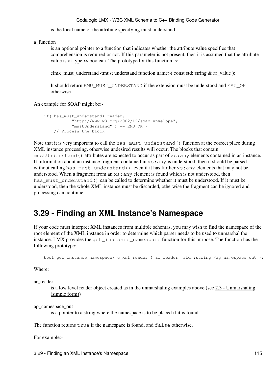is the local name of the attribute specifying must understand

a\_function

is an optional pointer to a function that indicates whether the attribute value specifies that comprehension is required or not. If this parameter is not present, then it is assumed that the attribute value is of type xs:boolean. The prototype for this function is:

elmx\_must\_understand <must understand function name>( const std::string & ar\_value );

It should return EMU\_MUST\_UNDERSTAND if the extension must be understood and EMU\_OK otherwise.

An example for SOAP might be:-

```
if( has_must_understand( reader,
            "http://www.w3.org/2002/12/soap-envelope", 
            "mustUnderstand" ) == EMU_OK )
    // Process the block
```
Note that it is very important to call the has\_must\_understand() function at the correct place during XML instance processing, otherwise undesired results will occur. The blocks that contain mustUnderstand() attributes are expected to occur as part of xs:any elements contained in an instance. If information about an instance fragment contained in  $xs:$  any is understood, then it should be parsed without calling has\_must\_understand(), even if it has further xs: any elements that may not be understood. When a fragment from an  $xs:$  any element is found which is not understood, then has\_must\_understand() can be called to determine whether it must be understood. If it must be understood, then the whole XML instance must be discarded, otherwise the fragment can be ignored and processing can continue.

# **3.29 - Finding an XML Instance's Namespace**

If your code must interpret XML instances from multiple schemas, you may wish to find the namespace of the root element of the XML instance in order to determine which parser needs to be used to unmarshal the instance. LMX provides the get\_instance\_namespace function for this purpose. The function has the following prototype:-

bool get\_instance\_namespace( c\_xml\_reader & ar\_reader, std::string \*ap\_namespace\_out );

Where:

ar\_reader

is a low level reader object created as in the unmarshaling examples above (see [2.3 - Unmarshaling](#page-35-0) [\(simple form\)\)](#page-35-0)

ap\_namespace\_out

is a pointer to a string where the namespace is to be placed if it is found.

The function returns true if the namespace is found, and false otherwise.

For example:-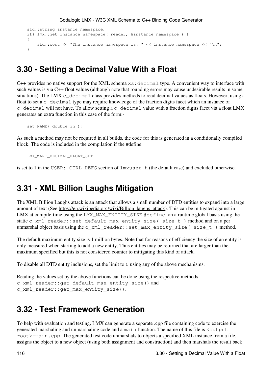```
 std::string instance_namespace;
if( lmx::get_instance_namespace( reader, &instance_namespace ) )
 {
   std::cout << "The instance namespace is: " << instance_namespace << "\n";
 }
```
### **3.30 - Setting a Decimal Value With a Float**

 $C++$  provides no native support for the XML schema  $xs:$  decimal type. A convenient way to interface with such values is via C++ float values (although note that rounding errors may cause undesirable results in some situations). The LMX  $c$  decimal class provides methods to read decimal values as floats. However, using a float to set a c\_decimal type may require knowledge of the fraction digits facet which an instance of c\_decimal will not have. To allow setting a c\_decimal value with a fraction digits facet via a float LMX generates an extra function in this case of the form:-

```
 set_NAME( double in );
```
As such a method may not be required in all builds, the code for this is generated in a conditionally compiled block. The code is included in the compilation if the #define:

LMX\_WANT\_DECIMAL\_FLOAT\_SET

is set to 1 in the USER: CTRL\_DEFS section of lmxuser.h (the default case) and excluded otherwise.

### **3.31 - XML Billion Laughs Mitigation**

The XML Billion Laughs attack is an attack that allows a small number of DTD entities to expand into a large amount of text (See [https://en.wikipedia.org/wiki/Billion\\_laughs\\_attack\)](https://en.wikipedia.org/wiki/Billion_laughs_attack). This can be mitigated against in LMX at compile-time using the LMX\_MAX\_ENTITY\_SIZE #define, on a runtime global basis using the static c\_xml\_reader::set\_default\_max\_entity\_size( size\_t ) method and on a per unmarshal object basis using the  $c\_xml\_reader::set\_max\_entity\_size( size_t )$  method.

The default maximum entity size is 1 million bytes. Note that for reasons of efficiency the size of an entity is only measured when starting to add a new entity. Thus entities may be returned that are larger than the maximum specified but this is not considered counter to mitigating this kind of attack.

To disable all DTD entity inclusions, set the limit to 0 using any of the above mechanisms.

```
Reading the values set by the above functions can be done using the respective methods
c_xml_reader::get_default_max_entity_size() and
c_xml_reader::get_max_entity_size().
```
# **3.32 - Test Framework Generation**

To help with evaluation and testing, LMX can generate a separate .cpp file containing code to exercise the generated marshaling and unmarshaling code and a main function. The name of this file is <output root>-main.cpp. The generated test code unmarshals to objects a specified XML instance from a file, assigns the object to a new object (using both assignment and construction) and then marshals the result back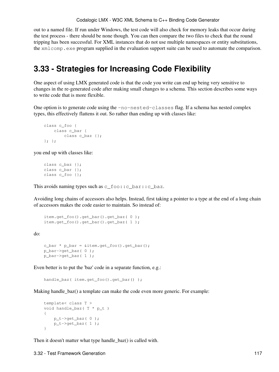out to a named file. If run under Windows, the test code will also check for memory leaks that occur during the test process - there should be none though. You can then compare the two files to check that the round tripping has been successful. For XML instances that do not use multiple namespaces or entity substitutions, the xmlcomp.exe program supplied in the evaluation support suite can be used to automate the comparison.

# **3.33 - Strategies for Increasing Code Flexibility**

One aspect of using LMX generated code is that the code you write can end up being very sensitive to changes in the re-generated code after making small changes to a schema. This section describes some ways to write code that is more flexible.

One option is to generate code using the -no-nested-classes flag. If a schema has nested complex types, this effectively flattens it out. So rather than ending up with classes like:

```
class c_foo {
  class c_bar {
      class c_baz {};
 }; };
```
you end up with classes like:

```
class c_baz {};
class c_bar {};
class c_foo {};
```
This avoids naming types such as  $\circ$  foo::  $\circ$  bar:: $\circ$  baz.

Avoiding long chains of accessors also helps. Instead, first taking a pointer to a type at the end of a long chain of accessors makes the code easier to maintain. So instead of:

```
 item.get_foo().get_bar().get_baz( 0 );
 item.get_foo().get_bar().get_baz( 1 );
```
do:

```
c_bar * p_bar = &item.get_foo().get_bar();
 p_bar->get_baz( 0 );
 p_bar->get_baz( 1 );
```
Even better is to put the 'baz' code in a separate function, e.g.:

handle\_baz( item.get\_foo().get\_bar() );

Making handle\_baz() a template can make the code even more generic. For example:

```
template< class T >
void handle_baz( T * p_t )
 {
  p_t->qet_baz( 0 );
    p_t->get_baz( 1 );
 }
```
Then it doesn't matter what type handle\_baz() is called with.